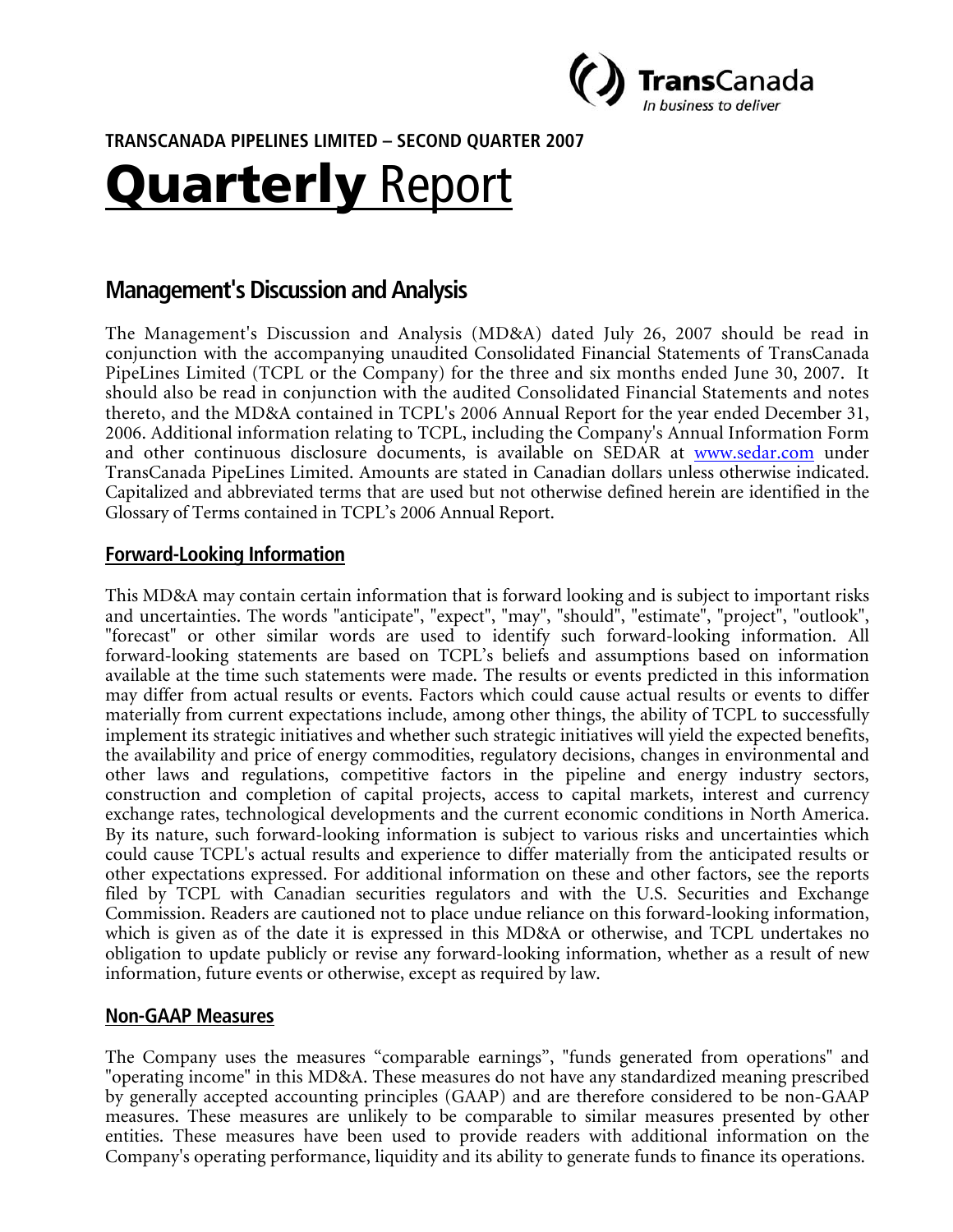

**TRANSCANADA PIPELINES LIMITED – SECOND QUARTER 2007** 

# Quarterly Report

# **Management's Discussion and Analysis**

The Management's Discussion and Analysis (MD&A) dated July 26, 2007 should be read in conjunction with the accompanying unaudited Consolidated Financial Statements of TransCanada PipeLines Limited (TCPL or the Company) for the three and six months ended June 30, 2007. It should also be read in conjunction with the audited Consolidated Financial Statements and notes thereto, and the MD&A contained in TCPL's 2006 Annual Report for the year ended December 31, 2006. Additional information relating to TCPL, including the Company's Annual Information Form and other continuous disclosure documents, is available on SEDAR at www.sedar.com under TransCanada PipeLines Limited. Amounts are stated in Canadian dollars unless otherwise indicated. Capitalized and abbreviated terms that are used but not otherwise defined herein are identified in the Glossary of Terms contained in TCPL's 2006 Annual Report.

#### **Forward-Looking Information**

This MD&A may contain certain information that is forward looking and is subject to important risks and uncertainties. The words "anticipate", "expect", "may", "should", "estimate", "project", "outlook", "forecast" or other similar words are used to identify such forward-looking information. All forward-looking statements are based on TCPL's beliefs and assumptions based on information available at the time such statements were made. The results or events predicted in this information may differ from actual results or events. Factors which could cause actual results or events to differ materially from current expectations include, among other things, the ability of TCPL to successfully implement its strategic initiatives and whether such strategic initiatives will yield the expected benefits, the availability and price of energy commodities, regulatory decisions, changes in environmental and other laws and regulations, competitive factors in the pipeline and energy industry sectors, construction and completion of capital projects, access to capital markets, interest and currency exchange rates, technological developments and the current economic conditions in North America. By its nature, such forward-looking information is subject to various risks and uncertainties which could cause TCPL's actual results and experience to differ materially from the anticipated results or other expectations expressed. For additional information on these and other factors, see the reports filed by TCPL with Canadian securities regulators and with the U.S. Securities and Exchange Commission. Readers are cautioned not to place undue reliance on this forward-looking information, which is given as of the date it is expressed in this MD&A or otherwise, and TCPL undertakes no obligation to update publicly or revise any forward-looking information, whether as a result of new information, future events or otherwise, except as required by law.

#### **Non-GAAP Measures**

The Company uses the measures "comparable earnings", "funds generated from operations" and "operating income" in this MD&A. These measures do not have any standardized meaning prescribed by generally accepted accounting principles (GAAP) and are therefore considered to be non-GAAP measures. These measures are unlikely to be comparable to similar measures presented by other entities. These measures have been used to provide readers with additional information on the Company's operating performance, liquidity and its ability to generate funds to finance its operations.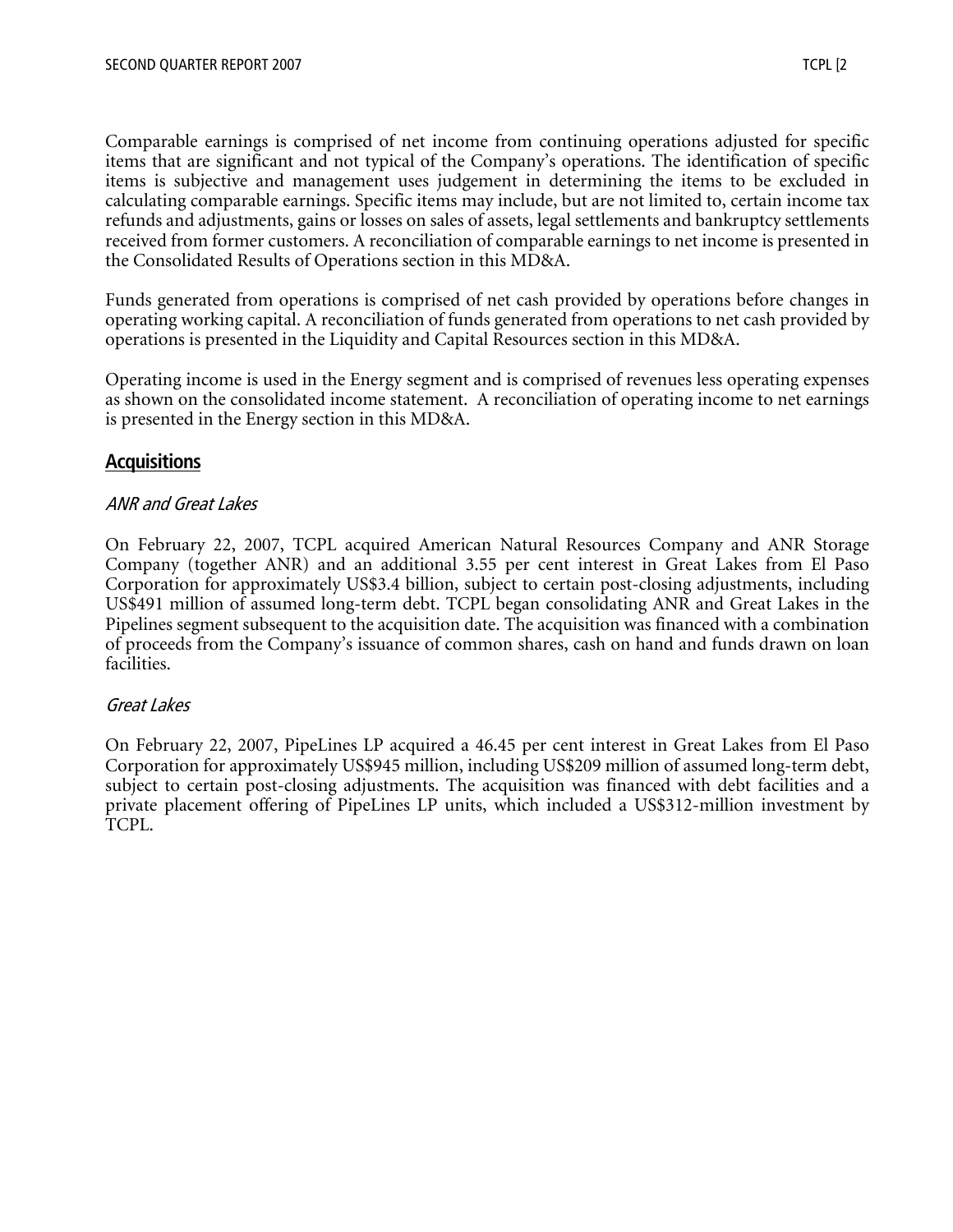Comparable earnings is comprised of net income from continuing operations adjusted for specific items that are significant and not typical of the Company's operations. The identification of specific items is subjective and management uses judgement in determining the items to be excluded in calculating comparable earnings. Specific items may include, but are not limited to, certain income tax refunds and adjustments, gains or losses on sales of assets, legal settlements and bankruptcy settlements received from former customers. A reconciliation of comparable earnings to net income is presented in the Consolidated Results of Operations section in this MD&A.

Funds generated from operations is comprised of net cash provided by operations before changes in operating working capital. A reconciliation of funds generated from operations to net cash provided by operations is presented in the Liquidity and Capital Resources section in this MD&A.

Operating income is used in the Energy segment and is comprised of revenues less operating expenses as shown on the consolidated income statement. A reconciliation of operating income to net earnings is presented in the Energy section in this MD&A.

## **Acquisitions**

#### ANR and Great Lakes

On February 22, 2007, TCPL acquired American Natural Resources Company and ANR Storage Company (together ANR) and an additional 3.55 per cent interest in Great Lakes from El Paso Corporation for approximately US\$3.4 billion, subject to certain post-closing adjustments, including US\$491 million of assumed long-term debt. TCPL began consolidating ANR and Great Lakes in the Pipelines segment subsequent to the acquisition date. The acquisition was financed with a combination of proceeds from the Company's issuance of common shares, cash on hand and funds drawn on loan facilities.

#### Great Lakes

On February 22, 2007, PipeLines LP acquired a 46.45 per cent interest in Great Lakes from El Paso Corporation for approximately US\$945 million, including US\$209 million of assumed long-term debt, subject to certain post-closing adjustments. The acquisition was financed with debt facilities and a private placement offering of PipeLines LP units, which included a US\$312-million investment by TCPL.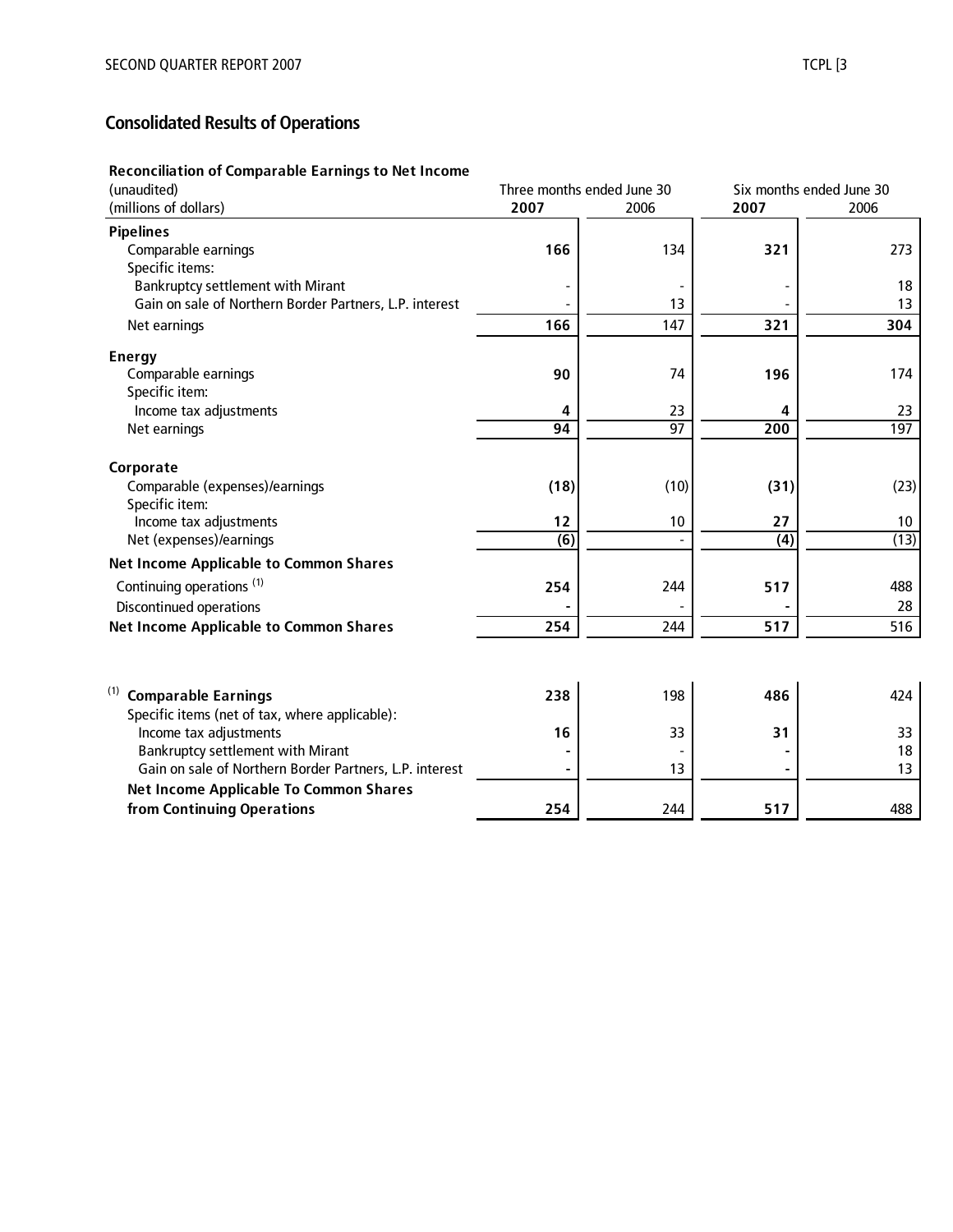# **Consolidated Results of Operations**

#### **Reconciliation of Comparable Earnings to Net Income**

| (unaudited)                                             | Three months ended June 30 |      | Six months ended June 30 |      |
|---------------------------------------------------------|----------------------------|------|--------------------------|------|
| (millions of dollars)                                   | 2007                       | 2006 | 2007                     | 2006 |
| <b>Pipelines</b>                                        |                            |      |                          |      |
| Comparable earnings                                     | 166                        | 134  | 321                      | 273  |
| Specific items:                                         |                            |      |                          |      |
| <b>Bankruptcy settlement with Mirant</b>                |                            |      |                          | 18   |
| Gain on sale of Northern Border Partners, L.P. interest |                            | 13   |                          | 13   |
| Net earnings                                            | 166                        | 147  | 321                      | 304  |
| <b>Energy</b>                                           |                            |      |                          |      |
| Comparable earnings                                     | 90                         | 74   | 196                      | 174  |
| Specific item:                                          |                            |      |                          |      |
| Income tax adjustments                                  | 4                          | 23   | 4                        | 23   |
| Net earnings                                            | 94                         | 97   | 200                      | 197  |
| Corporate                                               |                            |      |                          |      |
| Comparable (expenses)/earnings                          | (18)                       | (10) | (31)                     | (23) |
| Specific item:                                          |                            |      |                          |      |
| Income tax adjustments                                  | 12                         | 10   | 27                       | 10   |
| Net (expenses)/earnings                                 | $\overline{(6)}$           |      | $\overline{(4)}$         | (13) |
| <b>Net Income Applicable to Common Shares</b>           |                            |      |                          |      |
| Continuing operations <sup>(1)</sup>                    | 254                        | 244  | 517                      | 488  |
| <b>Discontinued operations</b>                          |                            |      |                          | 28   |
| <b>Net Income Applicable to Common Shares</b>           | 254                        | 244  | 517                      | 516  |
|                                                         |                            |      |                          |      |
| (1)<br><b>Comparable Earnings</b>                       | 238                        | 198  | 486                      | 424  |
| Specific items (net of tax, where applicable):          |                            |      |                          |      |
| Income tax adjustments                                  | 16                         | 33   | 31                       | 33   |
| Bankruptcy settlement with Mirant                       |                            |      |                          | 18   |
| Gain on sale of Northern Border Partners, L.P. interest |                            | 13   |                          | 13   |
| <b>Net Income Applicable To Common Shares</b>           |                            |      |                          |      |
| from Continuing Operations                              | 254                        | 244  | 517                      | 488  |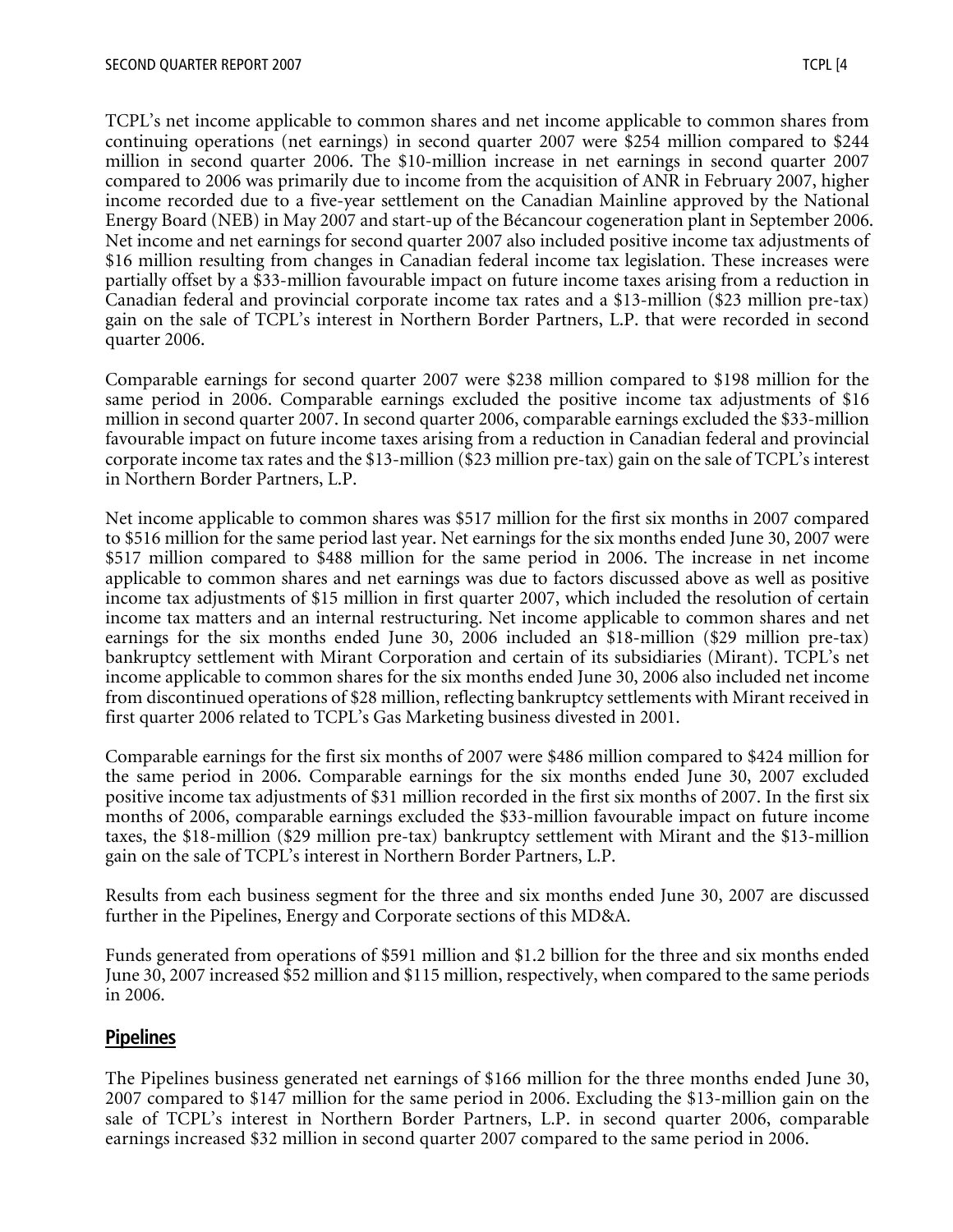TCPL's net income applicable to common shares and net income applicable to common shares from continuing operations (net earnings) in second quarter 2007 were \$254 million compared to \$244 million in second quarter 2006. The \$10-million increase in net earnings in second quarter 2007 compared to 2006 was primarily due to income from the acquisition of ANR in February 2007, higher income recorded due to a five-year settlement on the Canadian Mainline approved by the National Energy Board (NEB) in May 2007 and start-up of the Bécancour cogeneration plant in September 2006. Net income and net earnings for second quarter 2007 also included positive income tax adjustments of \$16 million resulting from changes in Canadian federal income tax legislation. These increases were partially offset by a \$33-million favourable impact on future income taxes arising from a reduction in Canadian federal and provincial corporate income tax rates and a \$13-million (\$23 million pre-tax) gain on the sale of TCPL's interest in Northern Border Partners, L.P. that were recorded in second quarter 2006.

Comparable earnings for second quarter 2007 were \$238 million compared to \$198 million for the same period in 2006. Comparable earnings excluded the positive income tax adjustments of \$16 million in second quarter 2007. In second quarter 2006, comparable earnings excluded the \$33-million favourable impact on future income taxes arising from a reduction in Canadian federal and provincial corporate income tax rates and the \$13-million (\$23 million pre-tax) gain on the sale of TCPL's interest in Northern Border Partners, L.P.

Net income applicable to common shares was \$517 million for the first six months in 2007 compared to \$516 million for the same period last year. Net earnings for the six months ended June 30, 2007 were \$517 million compared to \$488 million for the same period in 2006. The increase in net income applicable to common shares and net earnings was due to factors discussed above as well as positive income tax adjustments of \$15 million in first quarter 2007, which included the resolution of certain income tax matters and an internal restructuring. Net income applicable to common shares and net earnings for the six months ended June 30, 2006 included an \$18-million (\$29 million pre-tax) bankruptcy settlement with Mirant Corporation and certain of its subsidiaries (Mirant). TCPL's net income applicable to common shares for the six months ended June 30, 2006 also included net income from discontinued operations of \$28 million, reflecting bankruptcy settlements with Mirant received in first quarter 2006 related to TCPL's Gas Marketing business divested in 2001.

Comparable earnings for the first six months of 2007 were \$486 million compared to \$424 million for the same period in 2006. Comparable earnings for the six months ended June 30, 2007 excluded positive income tax adjustments of \$31 million recorded in the first six months of 2007. In the first six months of 2006, comparable earnings excluded the \$33-million favourable impact on future income taxes, the \$18-million (\$29 million pre-tax) bankruptcy settlement with Mirant and the \$13-million gain on the sale of TCPL's interest in Northern Border Partners, L.P.

Results from each business segment for the three and six months ended June 30, 2007 are discussed further in the Pipelines, Energy and Corporate sections of this MD&A.

Funds generated from operations of \$591 million and \$1.2 billion for the three and six months ended June 30, 2007 increased \$52 million and \$115 million, respectively, when compared to the same periods in 2006.

## **Pipelines**

The Pipelines business generated net earnings of \$166 million for the three months ended June 30, 2007 compared to \$147 million for the same period in 2006. Excluding the \$13-million gain on the sale of TCPL's interest in Northern Border Partners, L.P. in second quarter 2006, comparable earnings increased \$32 million in second quarter 2007 compared to the same period in 2006.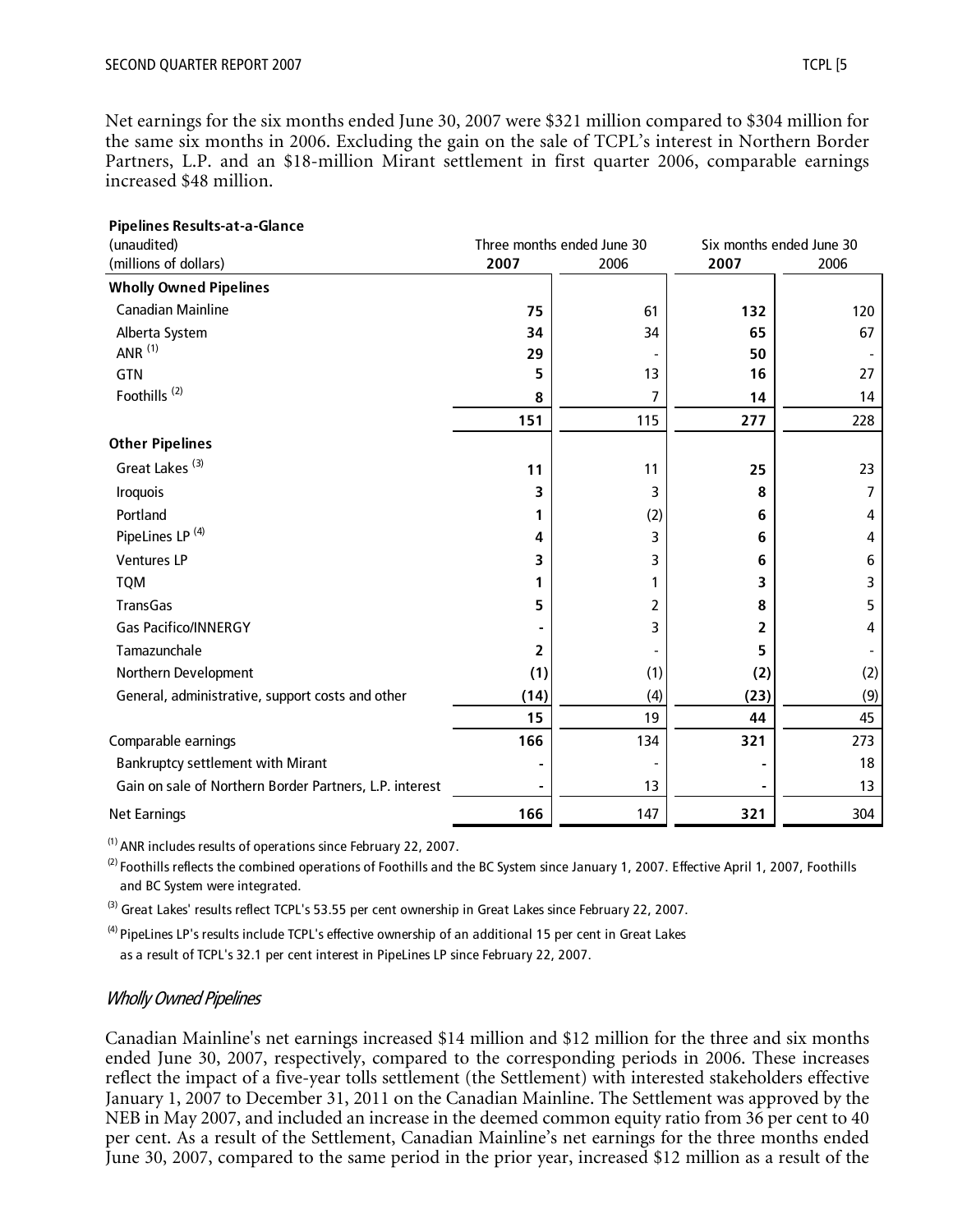Net earnings for the six months ended June 30, 2007 were \$321 million compared to \$304 million for the same six months in 2006. Excluding the gain on the sale of TCPL's interest in Northern Border Partners, L.P. and an \$18-million Mirant settlement in first quarter 2006, comparable earnings increased \$48 million.

| Pipelines Results-at-a-Glance                           |      |                            |      |                          |
|---------------------------------------------------------|------|----------------------------|------|--------------------------|
| (unaudited)                                             |      | Three months ended June 30 |      | Six months ended June 30 |
| (millions of dollars)                                   | 2007 | 2006                       | 2007 | 2006                     |
| <b>Wholly Owned Pipelines</b>                           |      |                            |      |                          |
| <b>Canadian Mainline</b>                                | 75   | 61                         | 132  | 120                      |
| Alberta System                                          | 34   | 34                         | 65   | 67                       |
| ANR $(1)$                                               | 29   |                            | 50   |                          |
| GTN                                                     | 5    | 13                         | 16   | 27                       |
| Foothills <sup>(2)</sup>                                | 8    | 7                          | 14   | 14                       |
|                                                         | 151  | 115                        | 277  | 228                      |
| <b>Other Pipelines</b>                                  |      |                            |      |                          |
| Great Lakes <sup>(3)</sup>                              | 11   | 11                         | 25   | 23                       |
| <b>Iroquois</b>                                         | 3    | 3                          | 8    | $\overline{7}$           |
| Portland                                                |      | (2)                        | 6    | 4                        |
| PipeLines LP <sup>(4)</sup>                             | 4    | 3                          | 6    | 4                        |
| <b>Ventures LP</b>                                      | 3    | 3                          | 6    | 6                        |
| <b>TQM</b>                                              | 1    | 1                          | 3    | 3                        |
| TransGas                                                | 5    | 2                          | 8    | 5                        |
| <b>Gas Pacifico/INNERGY</b>                             |      | 3                          | 2    | 4                        |
| Tamazunchale                                            | 2    |                            | 5    |                          |
| Northern Development                                    | (1)  | (1)                        | (2)  | (2)                      |
| General, administrative, support costs and other        | (14) | (4)                        | (23) | (9)                      |
|                                                         | 15   | 19                         | 44   | 45                       |
| Comparable earnings                                     | 166  | 134                        | 321  | 273                      |
| <b>Bankruptcy settlement with Mirant</b>                |      |                            |      | 18                       |
| Gain on sale of Northern Border Partners, L.P. interest |      | 13                         |      | 13                       |
| <b>Net Earnings</b>                                     | 166  | 147                        | 321  | 304                      |

(1) ANR includes results of operations since February 22, 2007.

 $^{(2)}$  Foothills reflects the combined operations of Foothills and the BC System since January 1, 2007. Effective April 1, 2007, Foothills and BC System were integrated.

 $^{(3)}$  Great Lakes' results reflect TCPL's 53.55 per cent ownership in Great Lakes since February 22, 2007.

<sup>(4)</sup> PipeLines LP's results include TCPL's effective ownership of an additional 15 per cent in Great Lakes as a result of TCPL's 32.1 per cent interest in PipeLines LP since February 22, 2007.

#### Wholly Owned Pipelines

Canadian Mainline's net earnings increased \$14 million and \$12 million for the three and six months ended June 30, 2007, respectively, compared to the corresponding periods in 2006. These increases reflect the impact of a five-year tolls settlement (the Settlement) with interested stakeholders effective January 1, 2007 to December 31, 2011 on the Canadian Mainline. The Settlement was approved by the NEB in May 2007, and included an increase in the deemed common equity ratio from 36 per cent to 40 per cent. As a result of the Settlement, Canadian Mainline's net earnings for the three months ended June 30, 2007, compared to the same period in the prior year, increased \$12 million as a result of the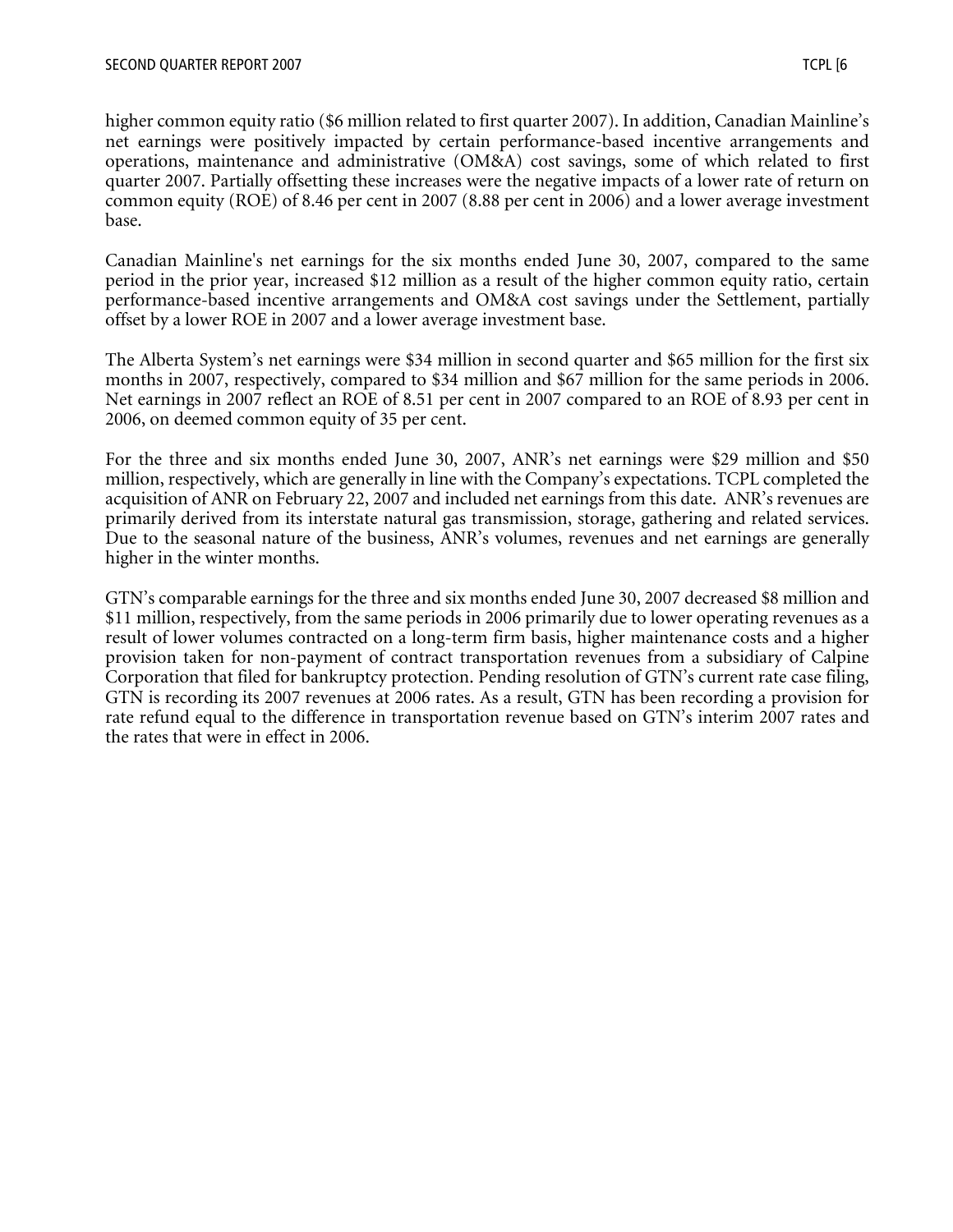higher common equity ratio (\$6 million related to first quarter 2007). In addition, Canadian Mainline's net earnings were positively impacted by certain performance-based incentive arrangements and operations, maintenance and administrative (OM&A) cost savings, some of which related to first quarter 2007. Partially offsetting these increases were the negative impacts of a lower rate of return on common equity (ROE) of 8.46 per cent in 2007 (8.88 per cent in 2006) and a lower average investment base.

Canadian Mainline's net earnings for the six months ended June 30, 2007, compared to the same period in the prior year, increased \$12 million as a result of the higher common equity ratio, certain performance-based incentive arrangements and OM&A cost savings under the Settlement, partially offset by a lower ROE in 2007 and a lower average investment base.

The Alberta System's net earnings were \$34 million in second quarter and \$65 million for the first six months in 2007, respectively, compared to \$34 million and \$67 million for the same periods in 2006. Net earnings in 2007 reflect an ROE of 8.51 per cent in 2007 compared to an ROE of 8.93 per cent in 2006, on deemed common equity of 35 per cent.

For the three and six months ended June 30, 2007, ANR's net earnings were \$29 million and \$50 million, respectively, which are generally in line with the Company's expectations. TCPL completed the acquisition of ANR on February 22, 2007 and included net earnings from this date. ANR's revenues are primarily derived from its interstate natural gas transmission, storage, gathering and related services. Due to the seasonal nature of the business, ANR's volumes, revenues and net earnings are generally higher in the winter months.

GTN's comparable earnings for the three and six months ended June 30, 2007 decreased \$8 million and \$11 million, respectively, from the same periods in 2006 primarily due to lower operating revenues as a result of lower volumes contracted on a long-term firm basis, higher maintenance costs and a higher provision taken for non-payment of contract transportation revenues from a subsidiary of Calpine Corporation that filed for bankruptcy protection. Pending resolution of GTN's current rate case filing, GTN is recording its 2007 revenues at 2006 rates. As a result, GTN has been recording a provision for rate refund equal to the difference in transportation revenue based on GTN's interim 2007 rates and the rates that were in effect in 2006.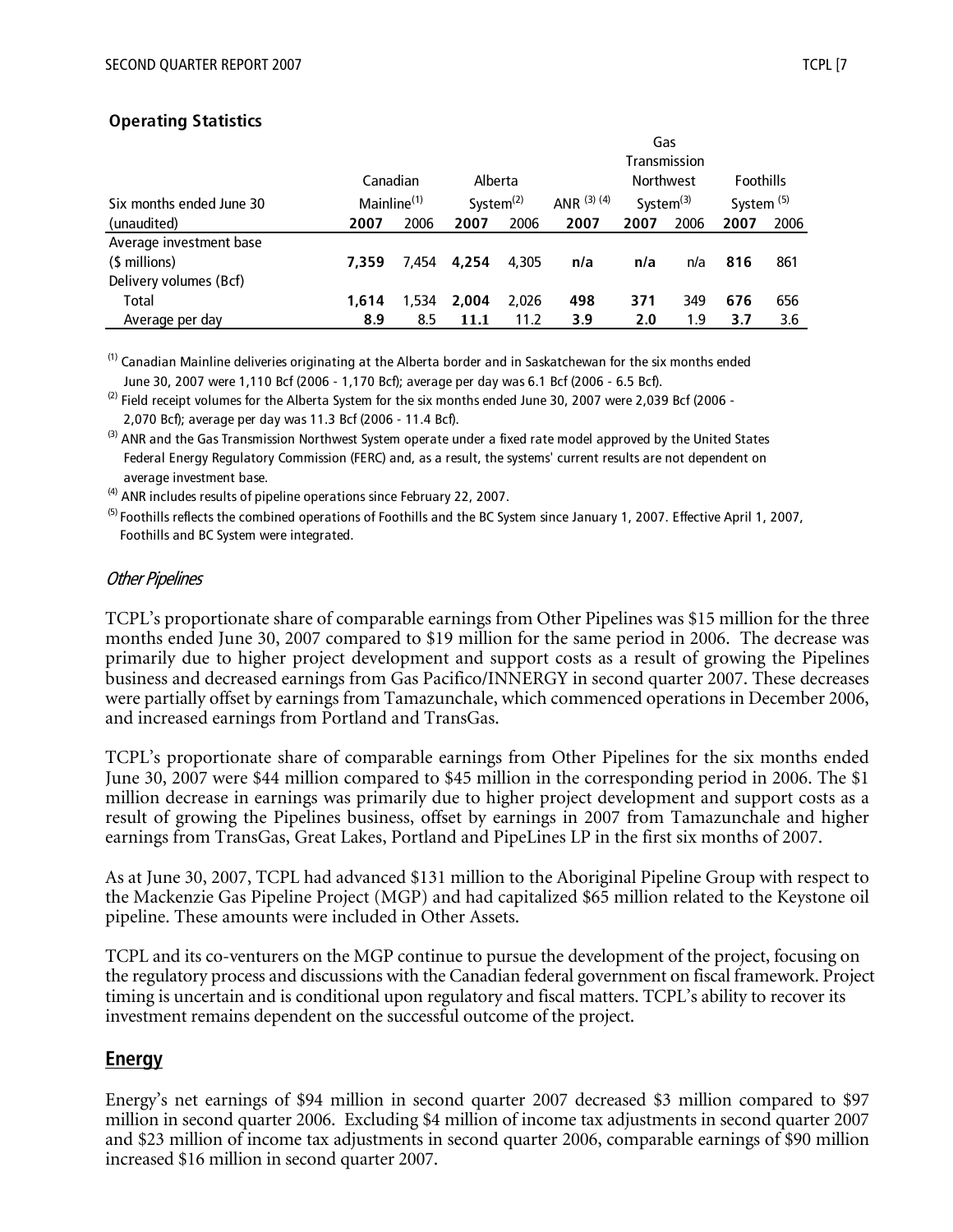#### **Operating Statistics**

|                          |                         |       |              |       | Gas         |                  |              |                       |      |
|--------------------------|-------------------------|-------|--------------|-------|-------------|------------------|--------------|-----------------------|------|
|                          |                         |       |              |       |             |                  | Transmission |                       |      |
|                          | Canadian                |       | Alberta      |       |             | <b>Northwest</b> |              | <b>Foothills</b>      |      |
| Six months ended June 30 | Mainline <sup>(1)</sup> |       | System $(2)$ |       | ANR (3) (4) | System $(3)$     |              | System <sup>(5)</sup> |      |
| (unaudited)              | 2007                    | 2006  | 2007         | 2006  | 2007        | 2007             | 2006         | 2007                  | 2006 |
| Average investment base  |                         |       |              |       |             |                  |              |                       |      |
| (\$ millions)            | 7.359                   | 7.454 | 4.254        | 4.305 | n/a         | n/a              | n/a          | 816                   | 861  |
| Delivery volumes (Bcf)   |                         |       |              |       |             |                  |              |                       |      |
| Total                    | 1.614                   | 1,534 | 2.004        | 2.026 | 498         | 371              | 349          | 676                   | 656  |
| Average per day          | 8.9                     | 8.5   | 11.1         | 11.2  | 3.9         | 2.0              | 1.9          | 3.7                   | 3.6  |

<sup>(1)</sup> Canadian Mainline deliveries originating at the Alberta border and in Saskatchewan for the six months ended June 30, 2007 were 1,110 Bcf (2006 - 1,170 Bcf); average per day was 6.1 Bcf (2006 - 6.5 Bcf).

 $^{(2)}$  Field receipt volumes for the Alberta System for the six months ended June 30, 2007 were 2,039 Bcf (2006 -2,070 Bcf); average per day was 11.3 Bcf (2006 - 11.4 Bcf).

<sup>(3)</sup> ANR and the Gas Transmission Northwest System operate under a fixed rate model approved by the United States Federal Energy Regulatory Commission (FERC) and, as a result, the systems' current results are not dependent on average investment base.

 $<sup>(4)</sup>$  ANR includes results of pipeline operations since February 22, 2007.</sup>

<sup>(5)</sup> Foothills reflects the combined operations of Foothills and the BC System since January 1, 2007. Effective April 1, 2007, Foothills and BC System were integrated.

#### Other Pipelines

TCPL's proportionate share of comparable earnings from Other Pipelines was \$15 million for the three months ended June 30, 2007 compared to \$19 million for the same period in 2006. The decrease was primarily due to higher project development and support costs as a result of growing the Pipelines business and decreased earnings from Gas Pacifico/INNERGY in second quarter 2007. These decreases were partially offset by earnings from Tamazunchale, which commenced operations in December 2006, and increased earnings from Portland and TransGas.

TCPL's proportionate share of comparable earnings from Other Pipelines for the six months ended June 30, 2007 were \$44 million compared to \$45 million in the corresponding period in 2006. The \$1 million decrease in earnings was primarily due to higher project development and support costs as a result of growing the Pipelines business, offset by earnings in 2007 from Tamazunchale and higher earnings from TransGas, Great Lakes, Portland and PipeLines LP in the first six months of 2007.

As at June 30, 2007, TCPL had advanced \$131 million to the Aboriginal Pipeline Group with respect to the Mackenzie Gas Pipeline Project (MGP) and had capitalized \$65 million related to the Keystone oil pipeline. These amounts were included in Other Assets.

TCPL and its co-venturers on the MGP continue to pursue the development of the project, focusing on the regulatory process and discussions with the Canadian federal government on fiscal framework. Project timing is uncertain and is conditional upon regulatory and fiscal matters. TCPL's ability to recover its investment remains dependent on the successful outcome of the project.

## **Energy**

Energy's net earnings of \$94 million in second quarter 2007 decreased \$3 million compared to \$97 million in second quarter 2006. Excluding \$4 million of income tax adjustments in second quarter 2007 and \$23 million of income tax adjustments in second quarter 2006, comparable earnings of \$90 million increased \$16 million in second quarter 2007.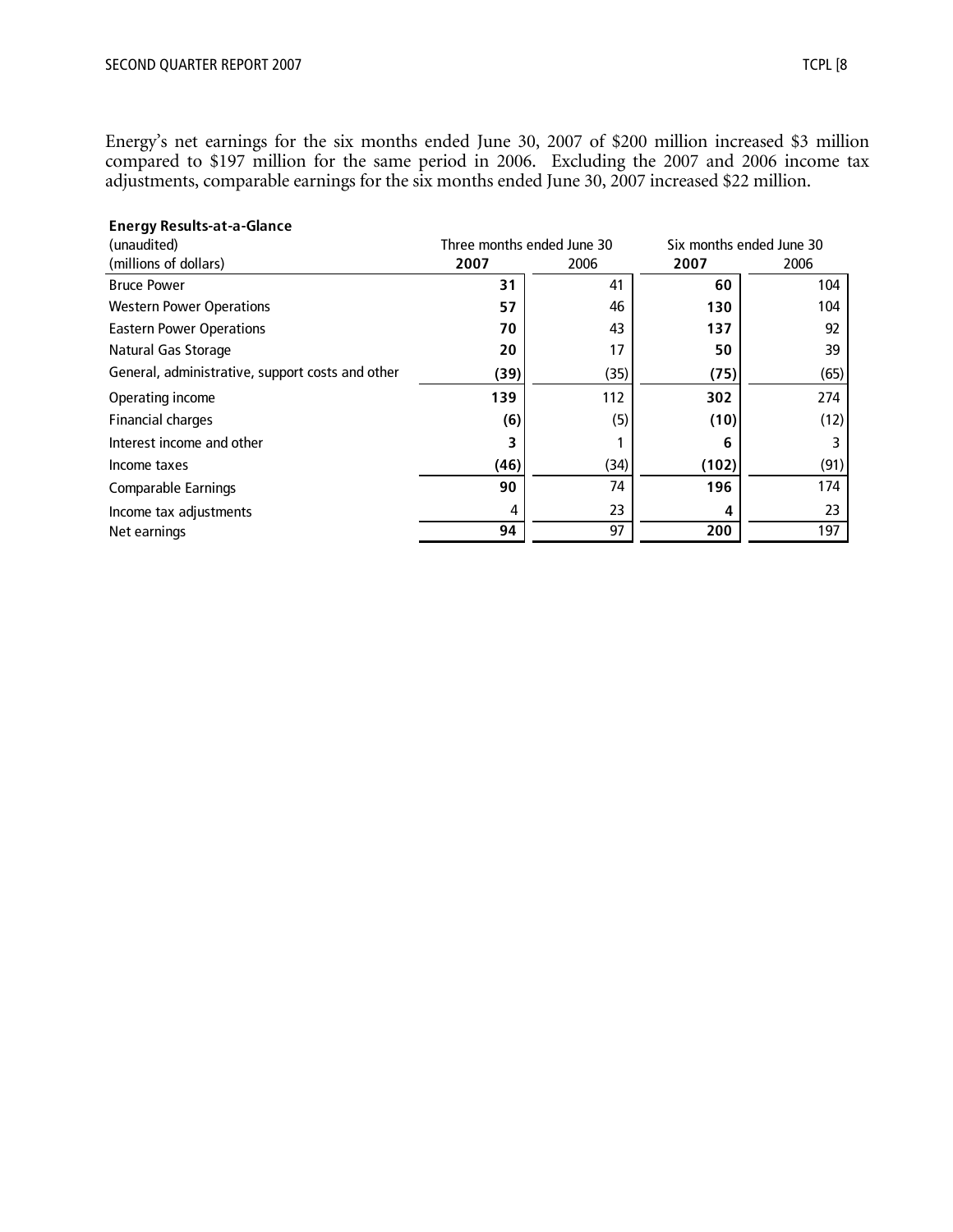Energy's net earnings for the six months ended June 30, 2007 of \$200 million increased \$3 million compared to \$197 million for the same period in 2006. Excluding the 2007 and 2006 income tax adjustments, comparable earnings for the six months ended June 30, 2007 increased \$22 million.

| <b>Energy Results-at-a-Glance</b><br>(unaudited) |      | Three months ended June 30 |       | Six months ended June 30 |
|--------------------------------------------------|------|----------------------------|-------|--------------------------|
| (millions of dollars)                            | 2007 | 2006                       | 2007  | 2006                     |
| <b>Bruce Power</b>                               | 31   | 41                         | 60    | 104                      |
| <b>Western Power Operations</b>                  | 57   | 46                         | 130   | 104                      |
| <b>Eastern Power Operations</b>                  | 70   | 43                         | 137   | 92                       |
| Natural Gas Storage                              | 20   | 17                         | 50    | 39                       |
| General, administrative, support costs and other | (39) | (35)                       | (75)  | (65)                     |
| Operating income                                 | 139  | 112                        | 302   | 274                      |
| <b>Financial charges</b>                         | (6)  | (5)                        | (10)  | (12)                     |
| Interest income and other                        | 3    |                            | 6     | 3                        |
| Income taxes                                     | (46) | (34)                       | (102) | (91)                     |
| <b>Comparable Earnings</b>                       | 90   | 74                         | 196   | 174                      |
| Income tax adjustments                           | 4    | 23                         |       | 23                       |
| Net earnings                                     | 94   | 97                         | 200   | 197                      |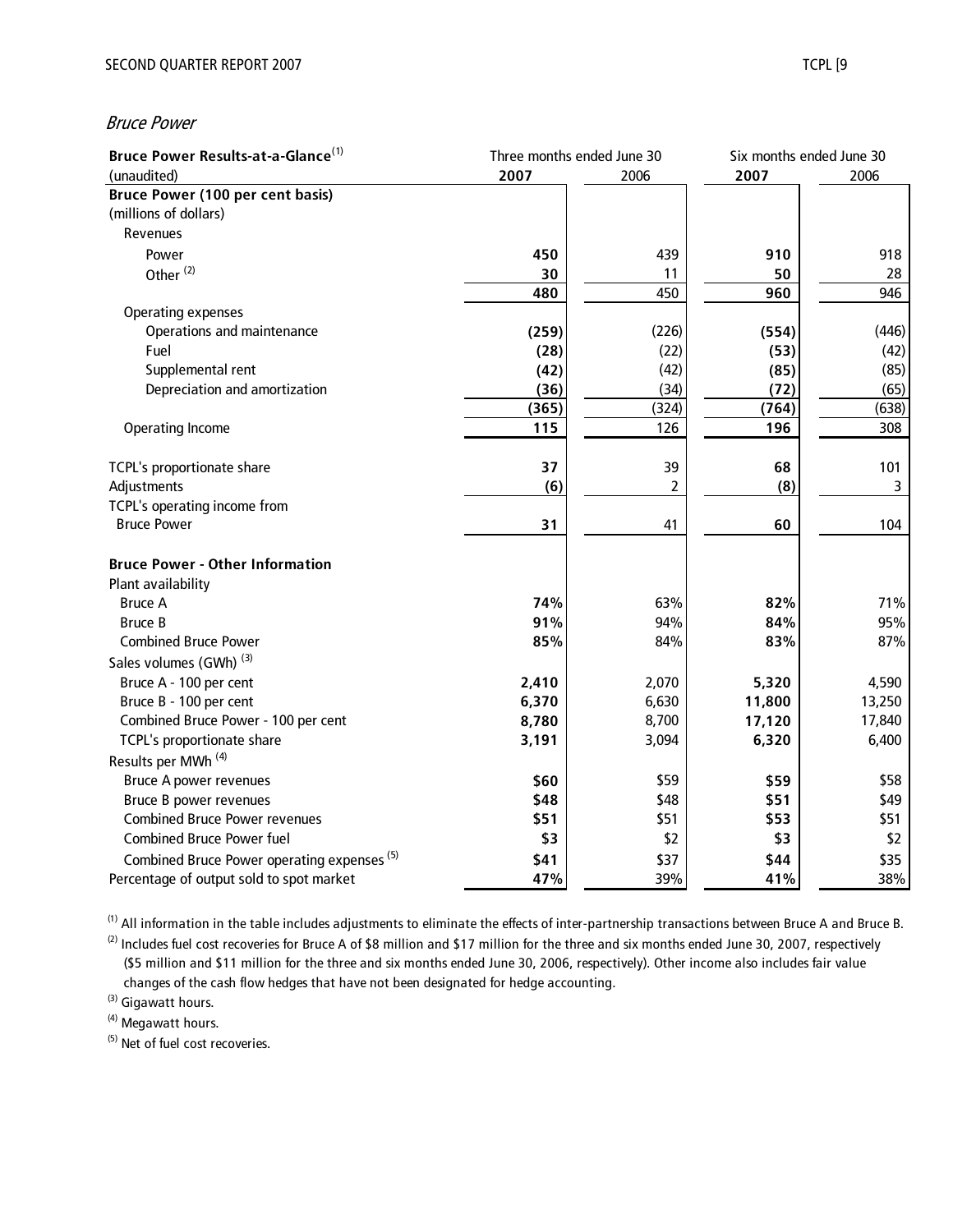#### Bruce Power

| Bruce Power Results-at-a-Glance <sup>(1)</sup>                 |                | Three months ended June 30 |                 | Six months ended June 30 |  |
|----------------------------------------------------------------|----------------|----------------------------|-----------------|--------------------------|--|
| (unaudited)                                                    | 2007           | 2006                       |                 | 2006                     |  |
| <b>Bruce Power (100 per cent basis)</b>                        |                |                            |                 |                          |  |
| (millions of dollars)                                          |                |                            |                 |                          |  |
| Revenues                                                       |                |                            |                 |                          |  |
| Power                                                          | 450            | 439                        | 910             | 918                      |  |
| Other <sup>(2)</sup>                                           | 30             | 11                         | 50              | 28                       |  |
|                                                                | 480            | 450                        | 960             | 946                      |  |
| <b>Operating expenses</b>                                      |                |                            |                 |                          |  |
| Operations and maintenance                                     | (259)          | (226)                      | (554)           | (446)                    |  |
| Fuel                                                           | (28)           | (22)                       | (53)            | (42)                     |  |
| Supplemental rent                                              | (42)           | (42)                       | (85)            | (85)                     |  |
| Depreciation and amortization                                  | (36)           | (34)                       | (72)            | (65)                     |  |
|                                                                | (365)          | (324)                      | (764)           | (638)                    |  |
| <b>Operating Income</b>                                        | 115            | 126                        | 196             | 308                      |  |
|                                                                |                |                            |                 |                          |  |
| TCPL's proportionate share                                     | 37             | 39                         | 68              | 101                      |  |
| Adjustments                                                    | (6)            | 2                          | (8)             | 3                        |  |
| TCPL's operating income from                                   |                |                            |                 |                          |  |
| <b>Bruce Power</b>                                             | 31             | 41                         | 60              | 104                      |  |
| <b>Bruce Power - Other Information</b>                         |                |                            |                 |                          |  |
| Plant availability                                             |                |                            |                 |                          |  |
| <b>Bruce A</b>                                                 | 74%            | 63%                        | 82%             | 71%                      |  |
| <b>Bruce B</b>                                                 | 91%            | 94%                        | 84%             | 95%                      |  |
| <b>Combined Bruce Power</b>                                    | 85%            | 84%                        | 83%             | 87%                      |  |
| Sales volumes (GWh) <sup>(3)</sup>                             |                |                            |                 |                          |  |
| Bruce A - 100 per cent                                         |                |                            |                 | 4,590                    |  |
| Bruce B - 100 per cent                                         | 2,410<br>6,370 | 2,070<br>6,630             | 5,320<br>11,800 | 13,250                   |  |
| Combined Bruce Power - 100 per cent                            | 8,780          | 8,700                      | 17,120          | 17,840                   |  |
| TCPL's proportionate share                                     | 3,191          | 3,094                      | 6,320           | 6,400                    |  |
| Results per MWh <sup>(4)</sup>                                 |                |                            |                 |                          |  |
|                                                                |                |                            |                 |                          |  |
| <b>Bruce A power revenues</b>                                  | \$60           | \$59                       | \$59            | \$58                     |  |
| Bruce B power revenues<br><b>Combined Bruce Power revenues</b> | \$48           | \$48<br>\$51               | \$51            | \$49<br>\$51             |  |
| <b>Combined Bruce Power fuel</b>                               | \$51<br>\$3    | \$2                        | \$53            | \$2                      |  |
|                                                                |                |                            | \$3             |                          |  |
| Combined Bruce Power operating expenses <sup>(5)</sup>         | \$41           | \$37                       | \$44            | \$35                     |  |
| Percentage of output sold to spot market                       | 47%            | 39%                        | 41%             | 38%                      |  |

 $(1)$  All information in the table includes adjustments to eliminate the effects of inter-partnership transactions between Bruce A and Bruce B.

 $(2)$  Includes fuel cost recoveries for Bruce A of \$8 million and \$17 million for the three and six months ended June 30, 2007, respectively (\$5 million and \$11 million for the three and six months ended June 30, 2006, respectively). Other income also includes fair value changes of the cash flow hedges that have not been designated for hedge accounting.

(3) Gigawatt hours.

(4) Megawatt hours.

(5) Net of fuel cost recoveries.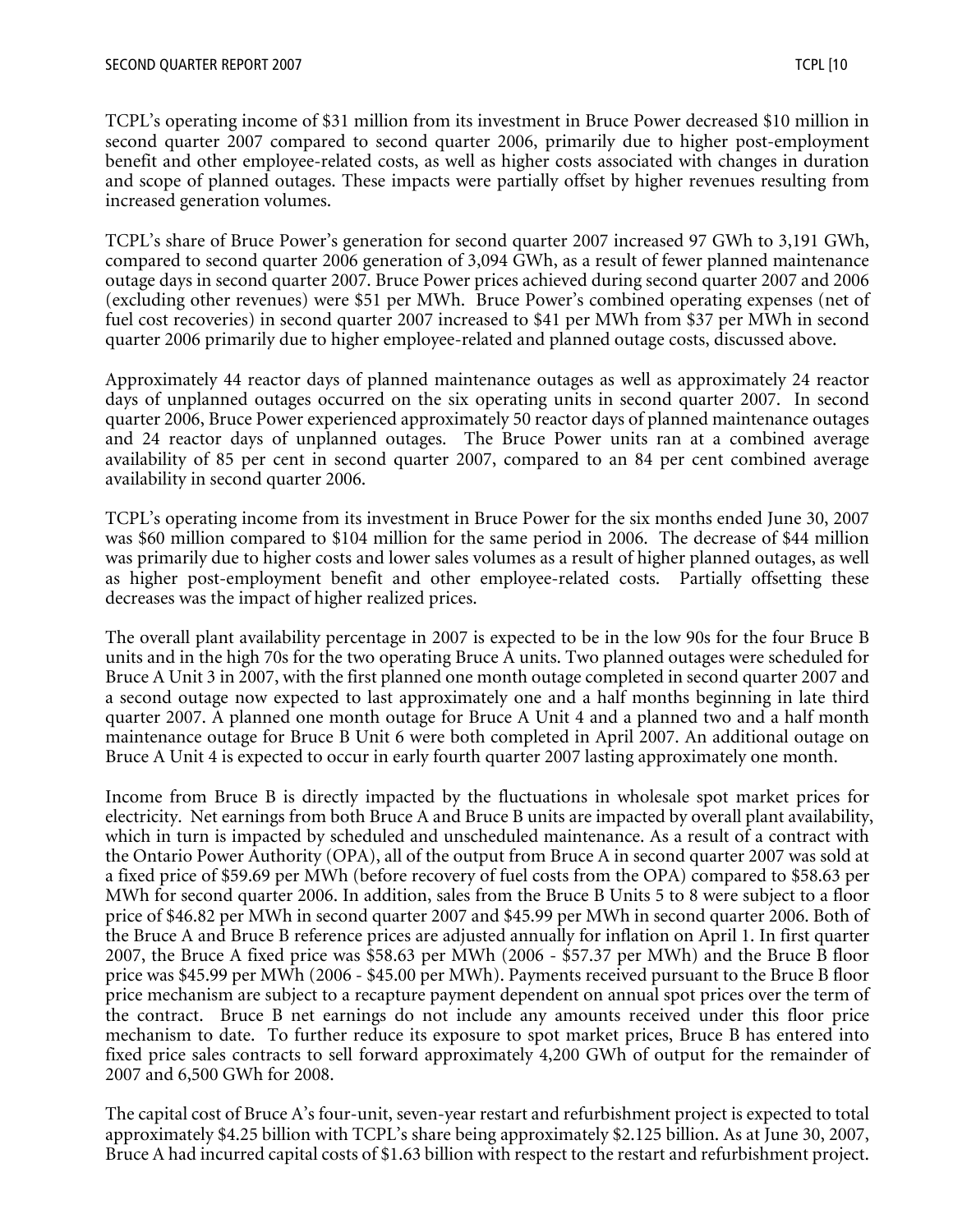TCPL's operating income of \$31 million from its investment in Bruce Power decreased \$10 million in second quarter 2007 compared to second quarter 2006, primarily due to higher post-employment benefit and other employee-related costs, as well as higher costs associated with changes in duration and scope of planned outages. These impacts were partially offset by higher revenues resulting from increased generation volumes.

TCPL's share of Bruce Power's generation for second quarter 2007 increased 97 GWh to 3,191 GWh, compared to second quarter 2006 generation of 3,094 GWh, as a result of fewer planned maintenance outage days in second quarter 2007. Bruce Power prices achieved during second quarter 2007 and 2006 (excluding other revenues) were \$51 per MWh. Bruce Power's combined operating expenses (net of fuel cost recoveries) in second quarter 2007 increased to \$41 per MWh from \$37 per MWh in second quarter 2006 primarily due to higher employee-related and planned outage costs, discussed above.

Approximately 44 reactor days of planned maintenance outages as well as approximately 24 reactor days of unplanned outages occurred on the six operating units in second quarter 2007. In second quarter 2006, Bruce Power experienced approximately 50 reactor days of planned maintenance outages and 24 reactor days of unplanned outages. The Bruce Power units ran at a combined average availability of 85 per cent in second quarter 2007, compared to an 84 per cent combined average availability in second quarter 2006.

TCPL's operating income from its investment in Bruce Power for the six months ended June 30, 2007 was \$60 million compared to \$104 million for the same period in 2006. The decrease of \$44 million was primarily due to higher costs and lower sales volumes as a result of higher planned outages, as well as higher post-employment benefit and other employee-related costs. Partially offsetting these decreases was the impact of higher realized prices.

The overall plant availability percentage in 2007 is expected to be in the low 90s for the four Bruce B units and in the high 70s for the two operating Bruce A units. Two planned outages were scheduled for Bruce A Unit 3 in 2007, with the first planned one month outage completed in second quarter 2007 and a second outage now expected to last approximately one and a half months beginning in late third quarter 2007. A planned one month outage for Bruce A Unit 4 and a planned two and a half month maintenance outage for Bruce B Unit 6 were both completed in April 2007. An additional outage on Bruce A Unit 4 is expected to occur in early fourth quarter 2007 lasting approximately one month.

Income from Bruce B is directly impacted by the fluctuations in wholesale spot market prices for electricity. Net earnings from both Bruce A and Bruce B units are impacted by overall plant availability, which in turn is impacted by scheduled and unscheduled maintenance. As a result of a contract with the Ontario Power Authority (OPA), all of the output from Bruce A in second quarter 2007 was sold at a fixed price of \$59.69 per MWh (before recovery of fuel costs from the OPA) compared to \$58.63 per MWh for second quarter 2006. In addition, sales from the Bruce B Units 5 to 8 were subject to a floor price of \$46.82 per MWh in second quarter 2007 and \$45.99 per MWh in second quarter 2006. Both of the Bruce A and Bruce B reference prices are adjusted annually for inflation on April 1. In first quarter 2007, the Bruce A fixed price was \$58.63 per MWh (2006 - \$57.37 per MWh) and the Bruce B floor price was \$45.99 per MWh (2006 - \$45.00 per MWh). Payments received pursuant to the Bruce B floor price mechanism are subject to a recapture payment dependent on annual spot prices over the term of the contract. Bruce B net earnings do not include any amounts received under this floor price mechanism to date. To further reduce its exposure to spot market prices, Bruce B has entered into fixed price sales contracts to sell forward approximately 4,200 GWh of output for the remainder of 2007 and 6,500 GWh for 2008.

The capital cost of Bruce A's four-unit, seven-year restart and refurbishment project is expected to total approximately \$4.25 billion with TCPL's share being approximately \$2.125 billion. As at June 30, 2007, Bruce A had incurred capital costs of \$1.63 billion with respect to the restart and refurbishment project.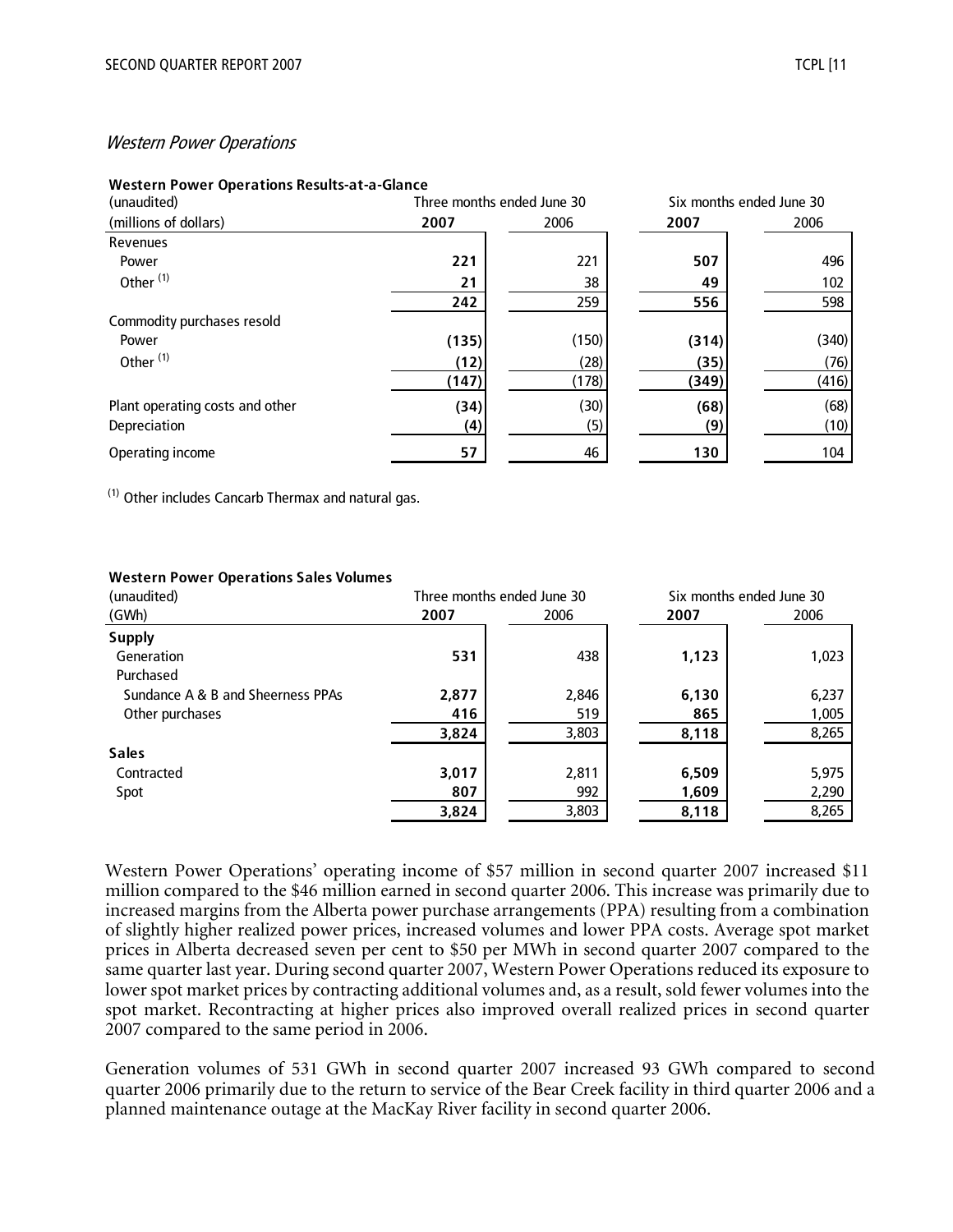#### Western Power Operations

#### **Western Power Operations Results-at-a-Glance**

| (unaudited)                     | Three months ended June 30 |       |       | Six months ended June 30 |
|---------------------------------|----------------------------|-------|-------|--------------------------|
| (millions of dollars)           | 2007                       | 2006  | 2007  | 2006                     |
| Revenues                        |                            |       |       |                          |
| Power                           | 221                        | 221   | 507   | 496                      |
| Other <sup>(1)</sup>            | 21                         | 38    | 49    | 102                      |
|                                 | 242                        | 259   | 556   | 598                      |
| Commodity purchases resold      |                            |       |       |                          |
| Power                           | (135)                      | (150) | (314) | (340)                    |
| Other <sup>(1)</sup>            | (12)                       | (28)  | (35)  | (76)                     |
|                                 | (147)                      | (178) | (349) | (416)                    |
| Plant operating costs and other | (34)                       | (30)  | (68)  | (68)                     |
| Depreciation                    | (4)                        | (5)   | (9)   | (10)                     |
| Operating income                | 57                         | 46    | 130   | 104                      |

(1) Other includes Cancarb Thermax and natural gas.

#### **Western Power Operations Sales Volumes**

| (unaudited)                       | Three months ended June 30 |       |       | Six months ended June 30 |
|-----------------------------------|----------------------------|-------|-------|--------------------------|
| (GWh)                             | 2007                       | 2006  | 2007  | 2006                     |
| <b>Supply</b>                     |                            |       |       |                          |
| Generation                        | 531                        | 438   | 1,123 | 1,023                    |
| Purchased                         |                            |       |       |                          |
| Sundance A & B and Sheerness PPAs | 2,877                      | 2,846 | 6,130 | 6,237                    |
| Other purchases                   | 416                        | 519   | 865   | 1,005                    |
|                                   | 3,824                      | 3,803 | 8,118 | 8,265                    |
| <b>Sales</b>                      |                            |       |       |                          |
| Contracted                        | 3,017                      | 2,811 | 6,509 | 5,975                    |
| Spot                              | 807                        | 992   | 1,609 | 2,290                    |
|                                   | 3,824                      | 3,803 | 8,118 | 8,265                    |

Western Power Operations' operating income of \$57 million in second quarter 2007 increased \$11 million compared to the \$46 million earned in second quarter 2006. This increase was primarily due to increased margins from the Alberta power purchase arrangements (PPA) resulting from a combination of slightly higher realized power prices, increased volumes and lower PPA costs. Average spot market prices in Alberta decreased seven per cent to \$50 per MWh in second quarter 2007 compared to the same quarter last year. During second quarter 2007, Western Power Operations reduced its exposure to lower spot market prices by contracting additional volumes and, as a result, sold fewer volumes into the spot market. Recontracting at higher prices also improved overall realized prices in second quarter 2007 compared to the same period in 2006.

Generation volumes of 531 GWh in second quarter 2007 increased 93 GWh compared to second quarter 2006 primarily due to the return to service of the Bear Creek facility in third quarter 2006 and a planned maintenance outage at the MacKay River facility in second quarter 2006.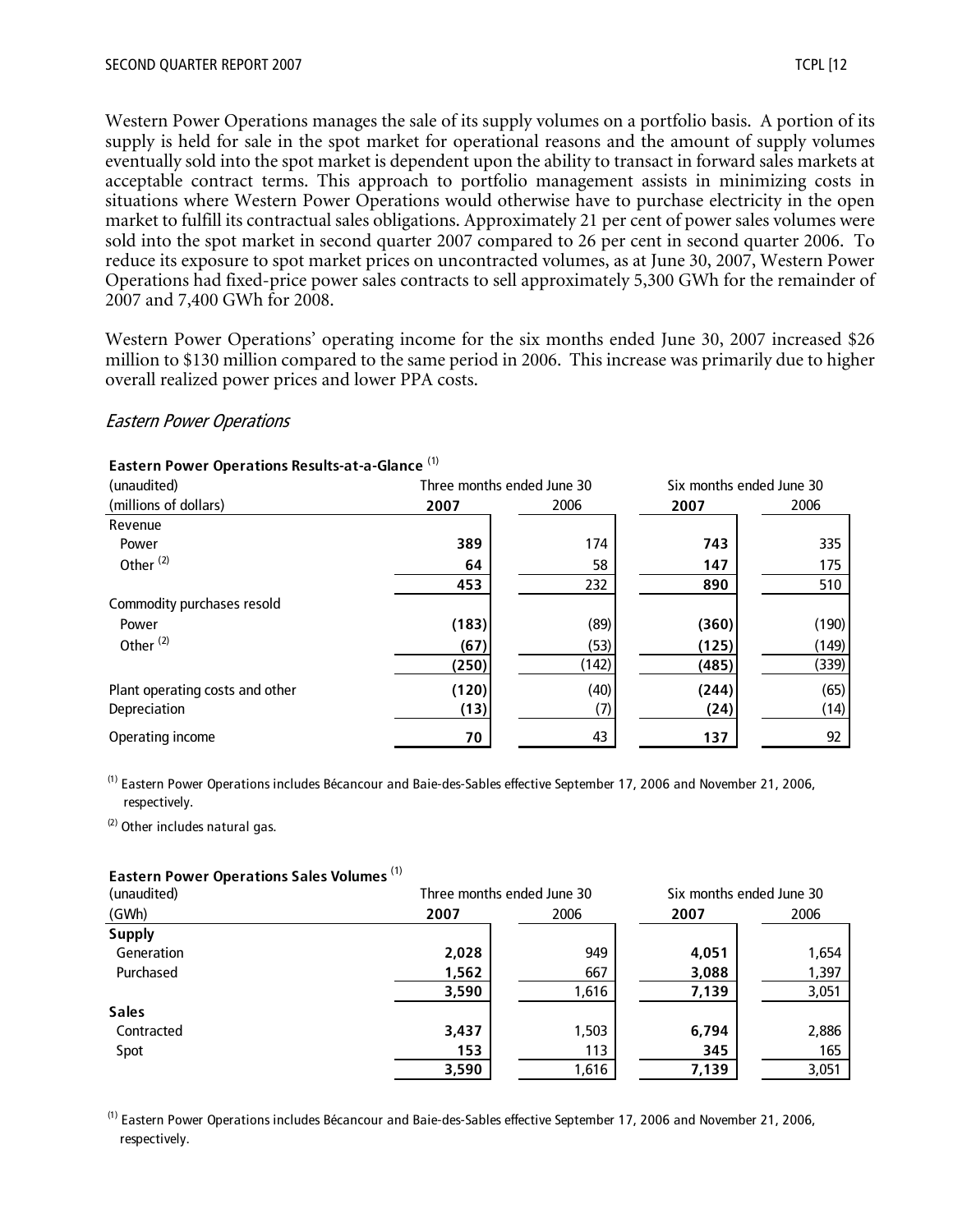Western Power Operations manages the sale of its supply volumes on a portfolio basis. A portion of its supply is held for sale in the spot market for operational reasons and the amount of supply volumes eventually sold into the spot market is dependent upon the ability to transact in forward sales markets at acceptable contract terms. This approach to portfolio management assists in minimizing costs in situations where Western Power Operations would otherwise have to purchase electricity in the open market to fulfill its contractual sales obligations. Approximately 21 per cent of power sales volumes were sold into the spot market in second quarter 2007 compared to 26 per cent in second quarter 2006. To reduce its exposure to spot market prices on uncontracted volumes, as at June 30, 2007, Western Power Operations had fixed-price power sales contracts to sell approximately 5,300 GWh for the remainder of 2007 and 7,400 GWh for 2008.

Western Power Operations' operating income for the six months ended June 30, 2007 increased \$26 million to \$130 million compared to the same period in 2006. This increase was primarily due to higher overall realized power prices and lower PPA costs.

#### Eastern Power Operations

| Eastern Power Operations Results-at-a-Glance <sup>(1)</sup> |
|-------------------------------------------------------------|
|-------------------------------------------------------------|

|       |       |                            | Six months ended June 30 |
|-------|-------|----------------------------|--------------------------|
| 2007  | 2006  | 2007                       | 2006                     |
|       |       |                            |                          |
| 389   | 174   | 743                        | 335                      |
| 64    | 58    | 147                        | 175                      |
| 453   | 232   | 890                        | 510                      |
|       |       |                            |                          |
| (183) | (89)  | (360)                      | (190)                    |
| (67)  | (53)  | (125)                      | (149)                    |
| (250) | (142) | (485)                      | (339)                    |
|       | (40)  | (244)                      | (65)                     |
| (13)  | (7)   | (24)                       | (14)                     |
| 70    | 43    | 137                        | 92                       |
|       | (120) | Three months ended June 30 |                          |

(1) Eastern Power Operations includes Bécancour and Baie-des-Sables effective September 17, 2006 and November 21, 2006, respectively.

 $(2)$  Other includes natural gas.

#### **Eastern Power Operations Sales Volumes** (1)

| (unaudited)   |       | Three months ended June 30 |       | Six months ended June 30 |
|---------------|-------|----------------------------|-------|--------------------------|
| (GWh)         | 2007  | 2006                       | 2007  | 2006                     |
| <b>Supply</b> |       |                            |       |                          |
| Generation    | 2,028 | 949                        | 4,051 | 1,654                    |
| Purchased     | 1,562 | 667                        | 3,088 | 1,397                    |
|               | 3,590 | 1,616                      | 7,139 | 3,051                    |
| <b>Sales</b>  |       |                            |       |                          |
| Contracted    | 3,437 | 1,503                      | 6,794 | 2,886                    |
| Spot          | 153   | 113                        | 345   | 165                      |
|               | 3,590 | 1,616                      | 7,139 | 3,051                    |

(1) Eastern Power Operations includes Bécancour and Baie-des-Sables effective September 17, 2006 and November 21, 2006, respectively.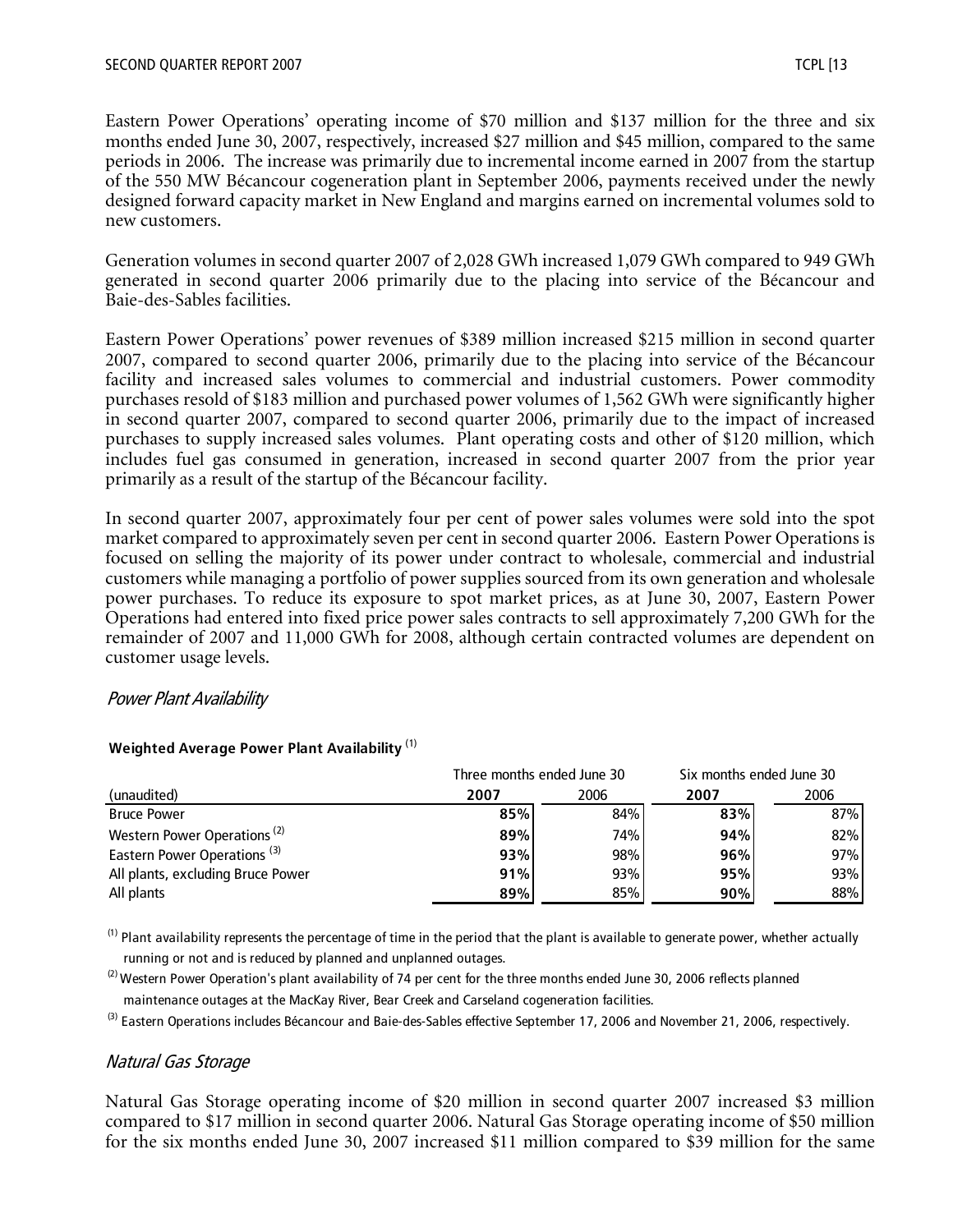Eastern Power Operations' operating income of \$70 million and \$137 million for the three and six months ended June 30, 2007, respectively, increased \$27 million and \$45 million, compared to the same periods in 2006. The increase was primarily due to incremental income earned in 2007 from the startup of the 550 MW Bécancour cogeneration plant in September 2006, payments received under the newly designed forward capacity market in New England and margins earned on incremental volumes sold to new customers.

Generation volumes in second quarter 2007 of 2,028 GWh increased 1,079 GWh compared to 949 GWh generated in second quarter 2006 primarily due to the placing into service of the Bécancour and Baie-des-Sables facilities.

Eastern Power Operations' power revenues of \$389 million increased \$215 million in second quarter 2007, compared to second quarter 2006, primarily due to the placing into service of the Bécancour facility and increased sales volumes to commercial and industrial customers. Power commodity purchases resold of \$183 million and purchased power volumes of 1,562 GWh were significantly higher in second quarter 2007, compared to second quarter 2006, primarily due to the impact of increased purchases to supply increased sales volumes. Plant operating costs and other of \$120 million, which includes fuel gas consumed in generation, increased in second quarter 2007 from the prior year primarily as a result of the startup of the Bécancour facility.

In second quarter 2007, approximately four per cent of power sales volumes were sold into the spot market compared to approximately seven per cent in second quarter 2006. Eastern Power Operations is focused on selling the majority of its power under contract to wholesale, commercial and industrial customers while managing a portfolio of power supplies sourced from its own generation and wholesale power purchases. To reduce its exposure to spot market prices, as at June 30, 2007, Eastern Power Operations had entered into fixed price power sales contracts to sell approximately 7,200 GWh for the remainder of 2007 and 11,000 GWh for 2008, although certain contracted volumes are dependent on customer usage levels.

#### Power Plant Availability

|                                         | Three months ended June 30 |      | Six months ended June 30 |      |
|-----------------------------------------|----------------------------|------|--------------------------|------|
| (unaudited)                             | 2007                       | 2006 | 2007                     | 2006 |
| <b>Bruce Power</b>                      | 85%                        | 84%  | 83%                      | 87%  |
| Western Power Operations <sup>(2)</sup> | 89%                        | 74%  | 94%                      | 82%  |
| Eastern Power Operations <sup>(3)</sup> | 93%                        | 98%  | 96%                      | 97%  |
| All plants, excluding Bruce Power       | 91%                        | 93%  | 95%                      | 93%  |
| All plants                              | 89%                        | 85%  | 90%                      | 88%  |

#### **Weighted Average Power Plant Availability** (1)

 $^{(1)}$  Plant availability represents the percentage of time in the period that the plant is available to generate power, whether actually running or not and is reduced by planned and unplanned outages.

 $^{(2)}$  Western Power Operation's plant availability of 74 per cent for the three months ended June 30, 2006 reflects planned maintenance outages at the MacKay River, Bear Creek and Carseland cogeneration facilities.

<sup>(3)</sup> Eastern Operations includes Bécancour and Baie-des-Sables effective September 17, 2006 and November 21, 2006, respectively.

#### Natural Gas Storage

Natural Gas Storage operating income of \$20 million in second quarter 2007 increased \$3 million compared to \$17 million in second quarter 2006. Natural Gas Storage operating income of \$50 million for the six months ended June 30, 2007 increased \$11 million compared to \$39 million for the same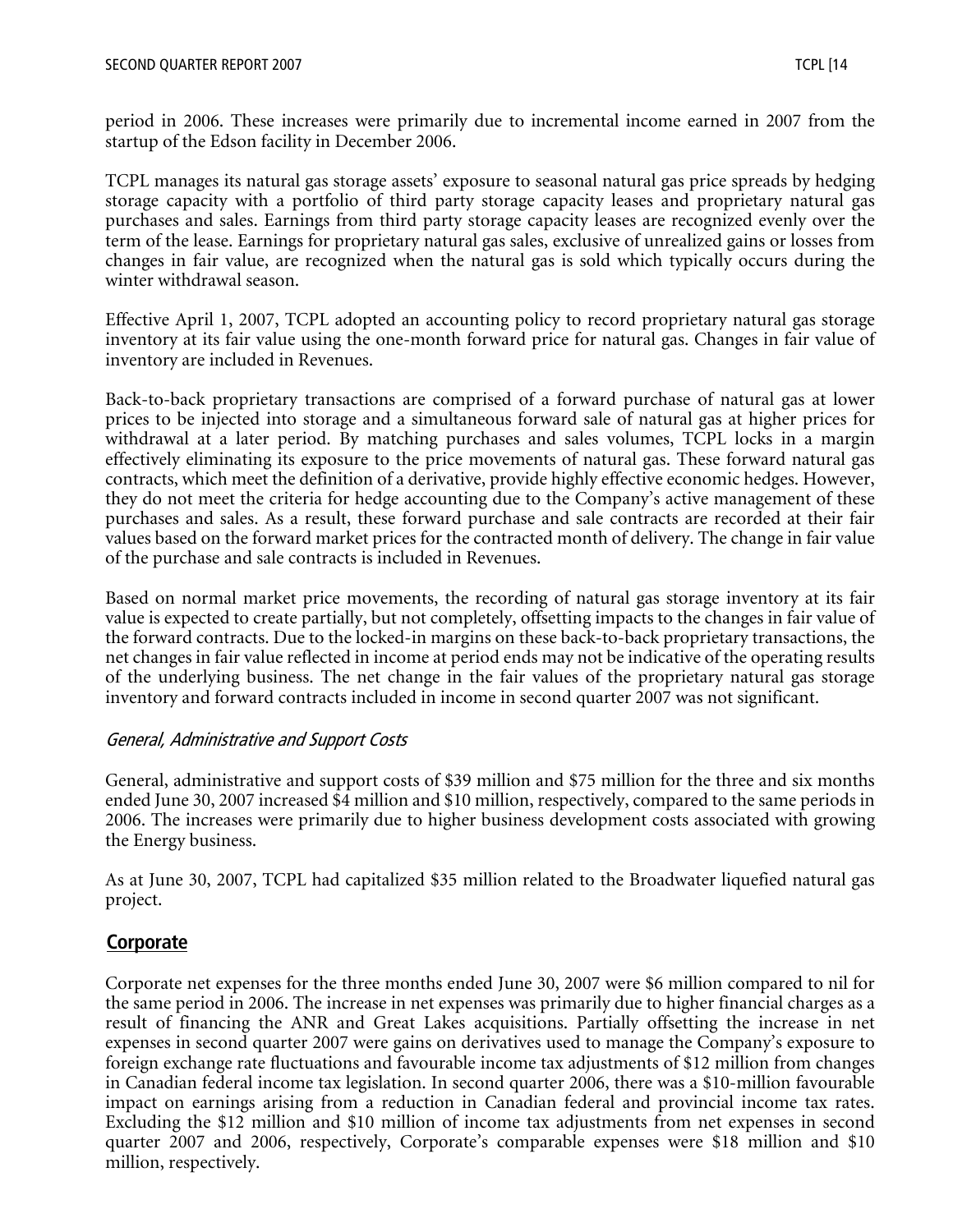period in 2006. These increases were primarily due to incremental income earned in 2007 from the startup of the Edson facility in December 2006.

TCPL manages its natural gas storage assets' exposure to seasonal natural gas price spreads by hedging storage capacity with a portfolio of third party storage capacity leases and proprietary natural gas purchases and sales. Earnings from third party storage capacity leases are recognized evenly over the term of the lease. Earnings for proprietary natural gas sales, exclusive of unrealized gains or losses from changes in fair value, are recognized when the natural gas is sold which typically occurs during the winter withdrawal season.

Effective April 1, 2007, TCPL adopted an accounting policy to record proprietary natural gas storage inventory at its fair value using the one-month forward price for natural gas. Changes in fair value of inventory are included in Revenues.

Back-to-back proprietary transactions are comprised of a forward purchase of natural gas at lower prices to be injected into storage and a simultaneous forward sale of natural gas at higher prices for withdrawal at a later period. By matching purchases and sales volumes, TCPL locks in a margin effectively eliminating its exposure to the price movements of natural gas. These forward natural gas contracts, which meet the definition of a derivative, provide highly effective economic hedges. However, they do not meet the criteria for hedge accounting due to the Company's active management of these purchases and sales. As a result, these forward purchase and sale contracts are recorded at their fair values based on the forward market prices for the contracted month of delivery. The change in fair value of the purchase and sale contracts is included in Revenues.

Based on normal market price movements, the recording of natural gas storage inventory at its fair value is expected to create partially, but not completely, offsetting impacts to the changes in fair value of the forward contracts. Due to the locked-in margins on these back-to-back proprietary transactions, the net changes in fair value reflected in income at period ends may not be indicative of the operating results of the underlying business. The net change in the fair values of the proprietary natural gas storage inventory and forward contracts included in income in second quarter 2007 was not significant.

#### General, Administrative and Support Costs

General, administrative and support costs of \$39 million and \$75 million for the three and six months ended June 30, 2007 increased \$4 million and \$10 million, respectively, compared to the same periods in 2006. The increases were primarily due to higher business development costs associated with growing the Energy business.

As at June 30, 2007, TCPL had capitalized \$35 million related to the Broadwater liquefied natural gas project.

## **Corporate**

Corporate net expenses for the three months ended June 30, 2007 were \$6 million compared to nil for the same period in 2006. The increase in net expenses was primarily due to higher financial charges as a result of financing the ANR and Great Lakes acquisitions. Partially offsetting the increase in net expenses in second quarter 2007 were gains on derivatives used to manage the Company's exposure to foreign exchange rate fluctuations and favourable income tax adjustments of \$12 million from changes in Canadian federal income tax legislation. In second quarter 2006, there was a \$10-million favourable impact on earnings arising from a reduction in Canadian federal and provincial income tax rates. Excluding the \$12 million and \$10 million of income tax adjustments from net expenses in second quarter 2007 and 2006, respectively, Corporate's comparable expenses were \$18 million and \$10 million, respectively.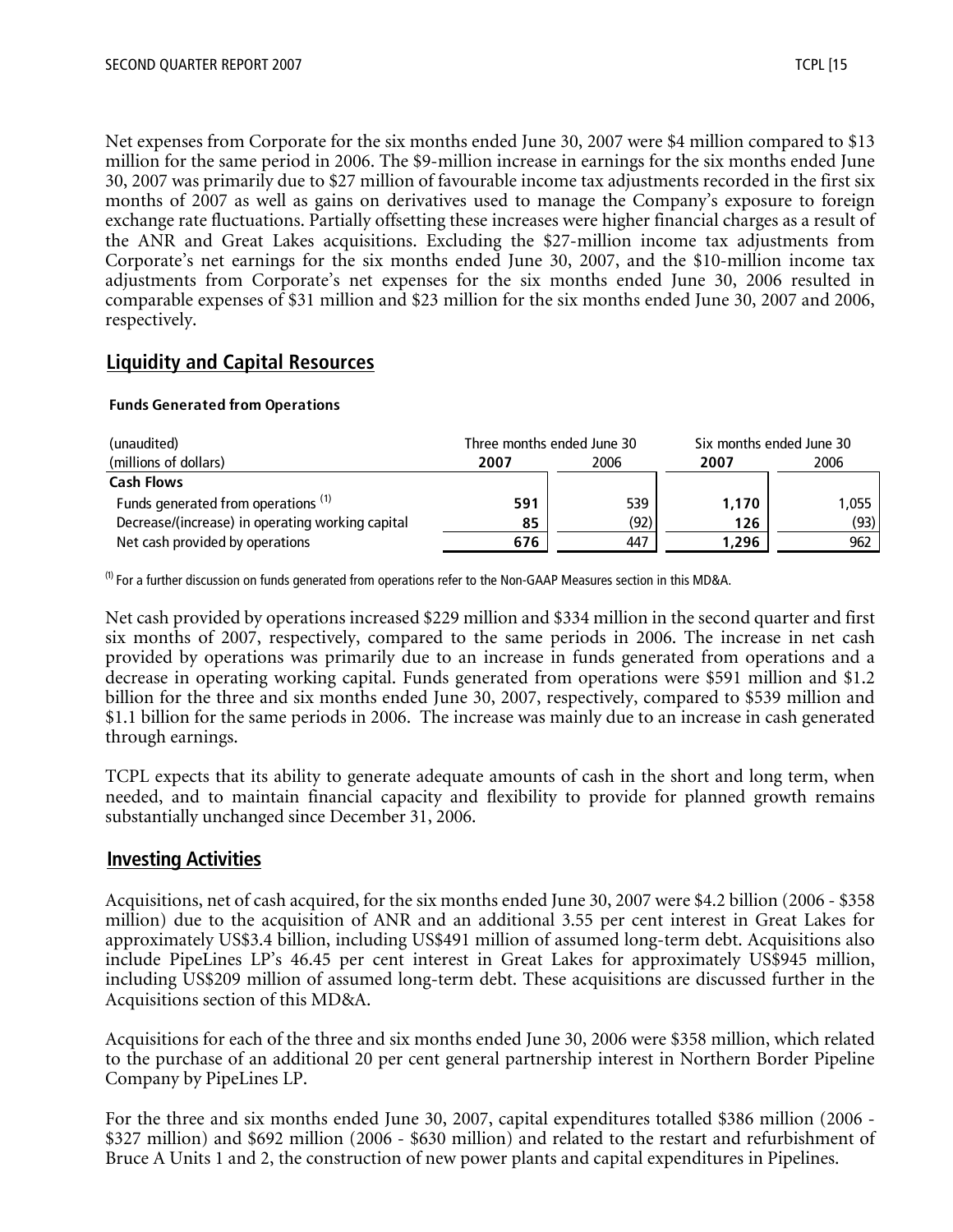Net expenses from Corporate for the six months ended June 30, 2007 were \$4 million compared to \$13 million for the same period in 2006. The \$9-million increase in earnings for the six months ended June 30, 2007 was primarily due to \$27 million of favourable income tax adjustments recorded in the first six months of 2007 as well as gains on derivatives used to manage the Company's exposure to foreign exchange rate fluctuations. Partially offsetting these increases were higher financial charges as a result of the ANR and Great Lakes acquisitions. Excluding the \$27-million income tax adjustments from Corporate's net earnings for the six months ended June 30, 2007, and the \$10-million income tax adjustments from Corporate's net expenses for the six months ended June 30, 2006 resulted in comparable expenses of \$31 million and \$23 million for the six months ended June 30, 2007 and 2006, respectively.

## **Liquidity and Capital Resources**

#### **Funds Generated from Operations**

| (unaudited)                                      |              | Three months ended June 30 | Six months ended June 30 |       |  |
|--------------------------------------------------|--------------|----------------------------|--------------------------|-------|--|
| (millions of dollars)                            | 2006<br>2007 |                            | 2007                     | 2006  |  |
| <b>Cash Flows</b>                                |              |                            |                          |       |  |
| Funds generated from operations <sup>(1)</sup>   | 591          | 539                        | 1.170                    | 1.055 |  |
| Decrease/(increase) in operating working capital | 85           | (92)                       | 126                      | (93)  |  |
| Net cash provided by operations                  | 676          | 447                        | 1.296                    | 962   |  |

 $^{(1)}$  For a further discussion on funds generated from operations refer to the Non-GAAP Measures section in this MD&A.

Net cash provided by operations increased \$229 million and \$334 million in the second quarter and first six months of 2007, respectively, compared to the same periods in 2006. The increase in net cash provided by operations was primarily due to an increase in funds generated from operations and a decrease in operating working capital. Funds generated from operations were \$591 million and \$1.2 billion for the three and six months ended June 30, 2007, respectively, compared to \$539 million and \$1.1 billion for the same periods in 2006. The increase was mainly due to an increase in cash generated through earnings.

TCPL expects that its ability to generate adequate amounts of cash in the short and long term, when needed, and to maintain financial capacity and flexibility to provide for planned growth remains substantially unchanged since December 31, 2006.

#### **Investing Activities**

Acquisitions, net of cash acquired, for the six months ended June 30, 2007 were \$4.2 billion (2006 - \$358 million) due to the acquisition of ANR and an additional 3.55 per cent interest in Great Lakes for approximately US\$3.4 billion, including US\$491 million of assumed long-term debt. Acquisitions also include PipeLines LP's 46.45 per cent interest in Great Lakes for approximately US\$945 million, including US\$209 million of assumed long-term debt. These acquisitions are discussed further in the Acquisitions section of this MD&A.

Acquisitions for each of the three and six months ended June 30, 2006 were \$358 million, which related to the purchase of an additional 20 per cent general partnership interest in Northern Border Pipeline Company by PipeLines LP.

For the three and six months ended June 30, 2007, capital expenditures totalled \$386 million (2006 - \$327 million) and \$692 million (2006 - \$630 million) and related to the restart and refurbishment of Bruce A Units 1 and 2, the construction of new power plants and capital expenditures in Pipelines.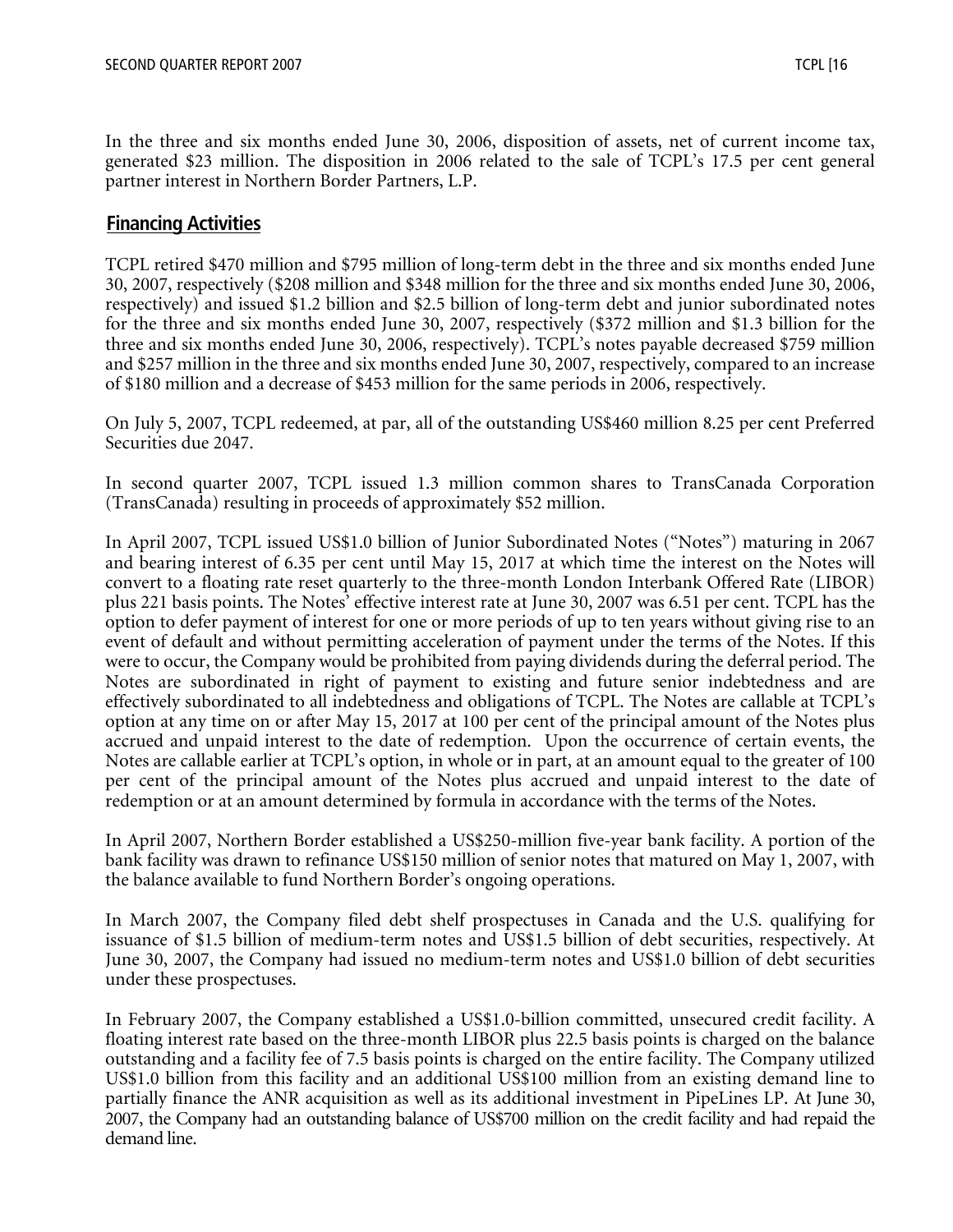In the three and six months ended June 30, 2006, disposition of assets, net of current income tax, generated \$23 million. The disposition in 2006 related to the sale of TCPL's 17.5 per cent general partner interest in Northern Border Partners, L.P.

## **Financing Activities**

TCPL retired \$470 million and \$795 million of long-term debt in the three and six months ended June 30, 2007, respectively (\$208 million and \$348 million for the three and six months ended June 30, 2006, respectively) and issued \$1.2 billion and \$2.5 billion of long-term debt and junior subordinated notes for the three and six months ended June 30, 2007, respectively (\$372 million and \$1.3 billion for the three and six months ended June 30, 2006, respectively). TCPL's notes payable decreased \$759 million and \$257 million in the three and six months ended June 30, 2007, respectively, compared to an increase of \$180 million and a decrease of \$453 million for the same periods in 2006, respectively.

On July 5, 2007, TCPL redeemed, at par, all of the outstanding US\$460 million 8.25 per cent Preferred Securities due 2047.

In second quarter 2007, TCPL issued 1.3 million common shares to TransCanada Corporation (TransCanada) resulting in proceeds of approximately \$52 million.

In April 2007, TCPL issued US\$1.0 billion of Junior Subordinated Notes ("Notes") maturing in 2067 and bearing interest of 6.35 per cent until May 15, 2017 at which time the interest on the Notes will convert to a floating rate reset quarterly to the three-month London Interbank Offered Rate (LIBOR) plus 221 basis points. The Notes' effective interest rate at June 30, 2007 was 6.51 per cent. TCPL has the option to defer payment of interest for one or more periods of up to ten years without giving rise to an event of default and without permitting acceleration of payment under the terms of the Notes. If this were to occur, the Company would be prohibited from paying dividends during the deferral period. The Notes are subordinated in right of payment to existing and future senior indebtedness and are effectively subordinated to all indebtedness and obligations of TCPL. The Notes are callable at TCPL's option at any time on or after May 15, 2017 at 100 per cent of the principal amount of the Notes plus accrued and unpaid interest to the date of redemption. Upon the occurrence of certain events, the Notes are callable earlier at TCPL's option, in whole or in part, at an amount equal to the greater of 100 per cent of the principal amount of the Notes plus accrued and unpaid interest to the date of redemption or at an amount determined by formula in accordance with the terms of the Notes.

In April 2007, Northern Border established a US\$250-million five-year bank facility. A portion of the bank facility was drawn to refinance US\$150 million of senior notes that matured on May 1, 2007, with the balance available to fund Northern Border's ongoing operations.

In March 2007, the Company filed debt shelf prospectuses in Canada and the U.S. qualifying for issuance of \$1.5 billion of medium-term notes and US\$1.5 billion of debt securities, respectively. At June 30, 2007, the Company had issued no medium-term notes and US\$1.0 billion of debt securities under these prospectuses.

In February 2007, the Company established a US\$1.0-billion committed, unsecured credit facility. A floating interest rate based on the three-month LIBOR plus 22.5 basis points is charged on the balance outstanding and a facility fee of 7.5 basis points is charged on the entire facility. The Company utilized US\$1.0 billion from this facility and an additional US\$100 million from an existing demand line to partially finance the ANR acquisition as well as its additional investment in PipeLines LP. At June 30, 2007, the Company had an outstanding balance of US\$700 million on the credit facility and had repaid the demand line.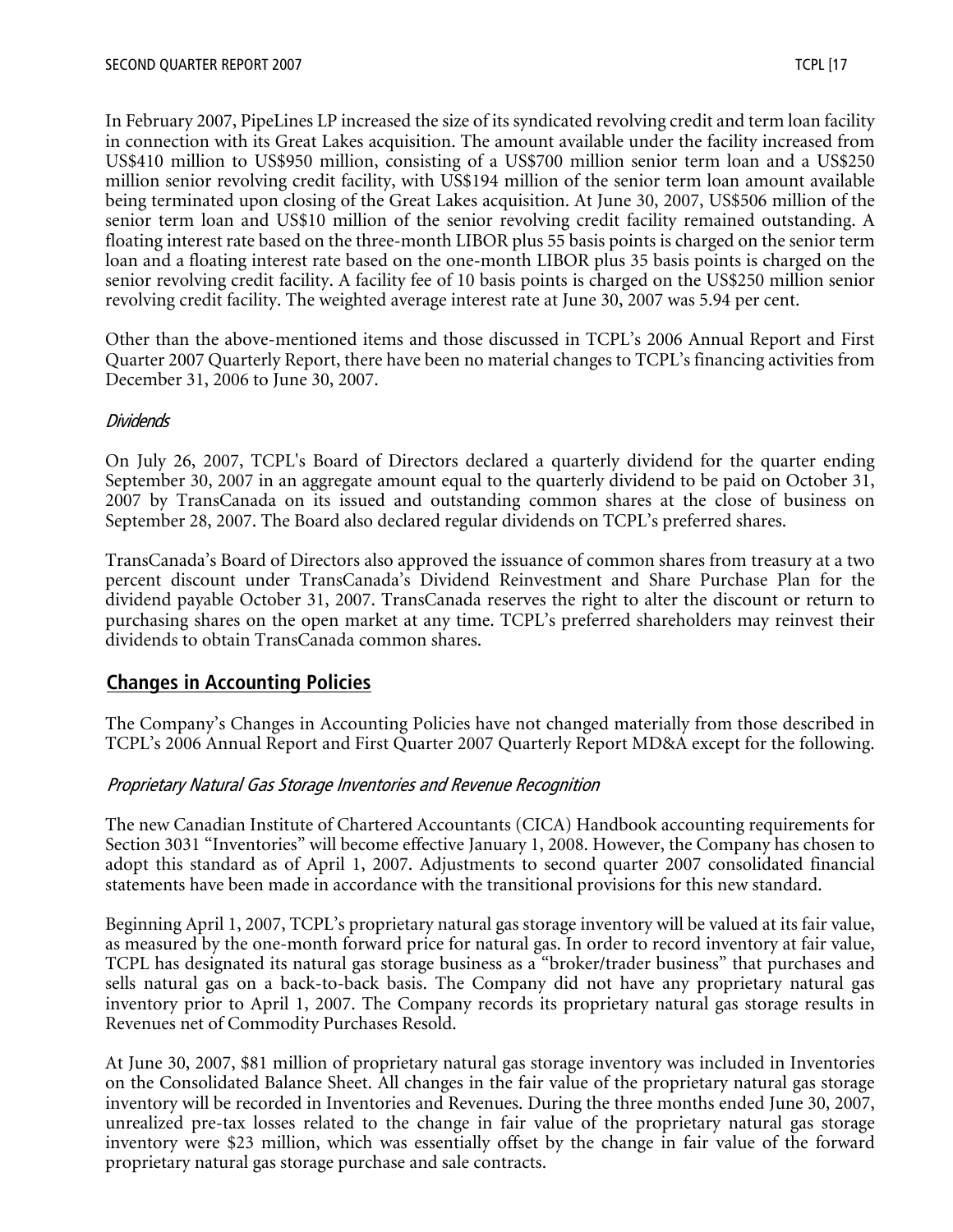In February 2007, PipeLines LP increased the size of its syndicated revolving credit and term loan facility in connection with its Great Lakes acquisition. The amount available under the facility increased from US\$410 million to US\$950 million, consisting of a US\$700 million senior term loan and a US\$250 million senior revolving credit facility, with US\$194 million of the senior term loan amount available being terminated upon closing of the Great Lakes acquisition. At June 30, 2007, US\$506 million of the senior term loan and US\$10 million of the senior revolving credit facility remained outstanding. A floating interest rate based on the three-month LIBOR plus 55 basis points is charged on the senior term loan and a floating interest rate based on the one-month LIBOR plus 35 basis points is charged on the senior revolving credit facility. A facility fee of 10 basis points is charged on the US\$250 million senior revolving credit facility. The weighted average interest rate at June 30, 2007 was 5.94 per cent.

Other than the above-mentioned items and those discussed in TCPL's 2006 Annual Report and First Quarter 2007 Quarterly Report, there have been no material changes to TCPL's financing activities from December 31, 2006 to June 30, 2007.

#### **Dividends**

On July 26, 2007, TCPL's Board of Directors declared a quarterly dividend for the quarter ending September 30, 2007 in an aggregate amount equal to the quarterly dividend to be paid on October 31, 2007 by TransCanada on its issued and outstanding common shares at the close of business on September 28, 2007. The Board also declared regular dividends on TCPL's preferred shares.

TransCanada's Board of Directors also approved the issuance of common shares from treasury at a two percent discount under TransCanada's Dividend Reinvestment and Share Purchase Plan for the dividend payable October 31, 2007. TransCanada reserves the right to alter the discount or return to purchasing shares on the open market at any time. TCPL's preferred shareholders may reinvest their dividends to obtain TransCanada common shares.

## **Changes in Accounting Policies**

The Company's Changes in Accounting Policies have not changed materially from those described in TCPL's 2006 Annual Report and First Quarter 2007 Quarterly Report MD&A except for the following.

#### Proprietary Natural Gas Storage Inventories and Revenue Recognition

The new Canadian Institute of Chartered Accountants (CICA) Handbook accounting requirements for Section 3031 "Inventories" will become effective January 1, 2008. However, the Company has chosen to adopt this standard as of April 1, 2007. Adjustments to second quarter 2007 consolidated financial statements have been made in accordance with the transitional provisions for this new standard.

Beginning April 1, 2007, TCPL's proprietary natural gas storage inventory will be valued at its fair value, as measured by the one-month forward price for natural gas. In order to record inventory at fair value, TCPL has designated its natural gas storage business as a "broker/trader business" that purchases and sells natural gas on a back-to-back basis. The Company did not have any proprietary natural gas inventory prior to April 1, 2007. The Company records its proprietary natural gas storage results in Revenues net of Commodity Purchases Resold.

At June 30, 2007, \$81 million of proprietary natural gas storage inventory was included in Inventories on the Consolidated Balance Sheet. All changes in the fair value of the proprietary natural gas storage inventory will be recorded in Inventories and Revenues. During the three months ended June 30, 2007, unrealized pre-tax losses related to the change in fair value of the proprietary natural gas storage inventory were \$23 million, which was essentially offset by the change in fair value of the forward proprietary natural gas storage purchase and sale contracts.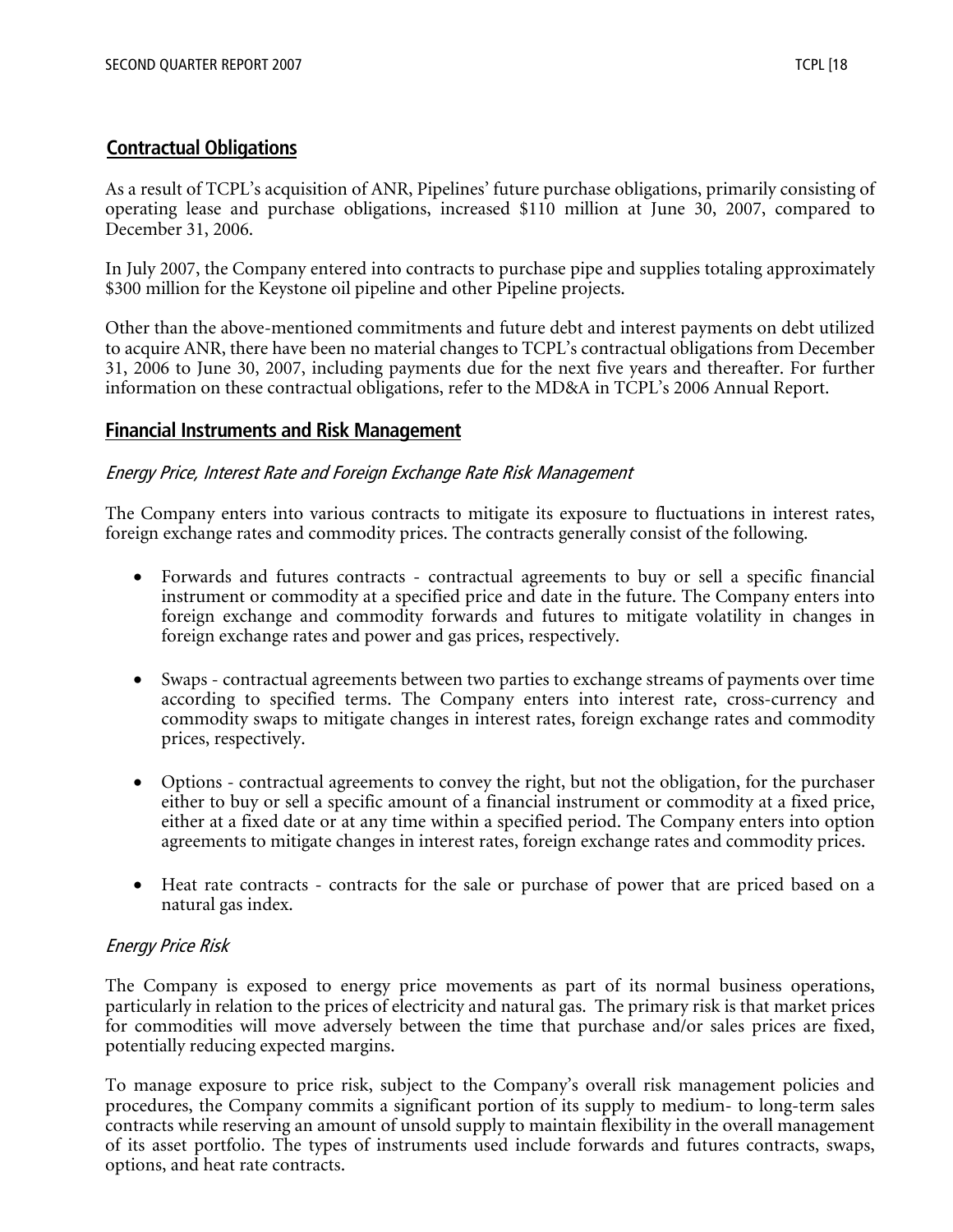## **Contractual Obligations**

As a result of TCPL's acquisition of ANR, Pipelines' future purchase obligations, primarily consisting of operating lease and purchase obligations, increased \$110 million at June 30, 2007, compared to December 31, 2006.

In July 2007, the Company entered into contracts to purchase pipe and supplies totaling approximately \$300 million for the Keystone oil pipeline and other Pipeline projects.

Other than the above-mentioned commitments and future debt and interest payments on debt utilized to acquire ANR, there have been no material changes to TCPL's contractual obligations from December 31, 2006 to June 30, 2007, including payments due for the next five years and thereafter. For further information on these contractual obligations, refer to the MD&A in TCPL's 2006 Annual Report.

## **Financial Instruments and Risk Management**

#### Energy Price, Interest Rate and Foreign Exchange Rate Risk Management

The Company enters into various contracts to mitigate its exposure to fluctuations in interest rates, foreign exchange rates and commodity prices. The contracts generally consist of the following.

- Forwards and futures contracts contractual agreements to buy or sell a specific financial instrument or commodity at a specified price and date in the future. The Company enters into foreign exchange and commodity forwards and futures to mitigate volatility in changes in foreign exchange rates and power and gas prices, respectively.
- Swaps contractual agreements between two parties to exchange streams of payments over time according to specified terms. The Company enters into interest rate, cross-currency and commodity swaps to mitigate changes in interest rates, foreign exchange rates and commodity prices, respectively.
- Options contractual agreements to convey the right, but not the obligation, for the purchaser either to buy or sell a specific amount of a financial instrument or commodity at a fixed price, either at a fixed date or at any time within a specified period. The Company enters into option agreements to mitigate changes in interest rates, foreign exchange rates and commodity prices.
- Heat rate contracts contracts for the sale or purchase of power that are priced based on a natural gas index.

#### Energy Price Risk

The Company is exposed to energy price movements as part of its normal business operations, particularly in relation to the prices of electricity and natural gas. The primary risk is that market prices for commodities will move adversely between the time that purchase and/or sales prices are fixed, potentially reducing expected margins.

To manage exposure to price risk, subject to the Company's overall risk management policies and procedures, the Company commits a significant portion of its supply to medium- to long-term sales contracts while reserving an amount of unsold supply to maintain flexibility in the overall management of its asset portfolio. The types of instruments used include forwards and futures contracts, swaps, options, and heat rate contracts.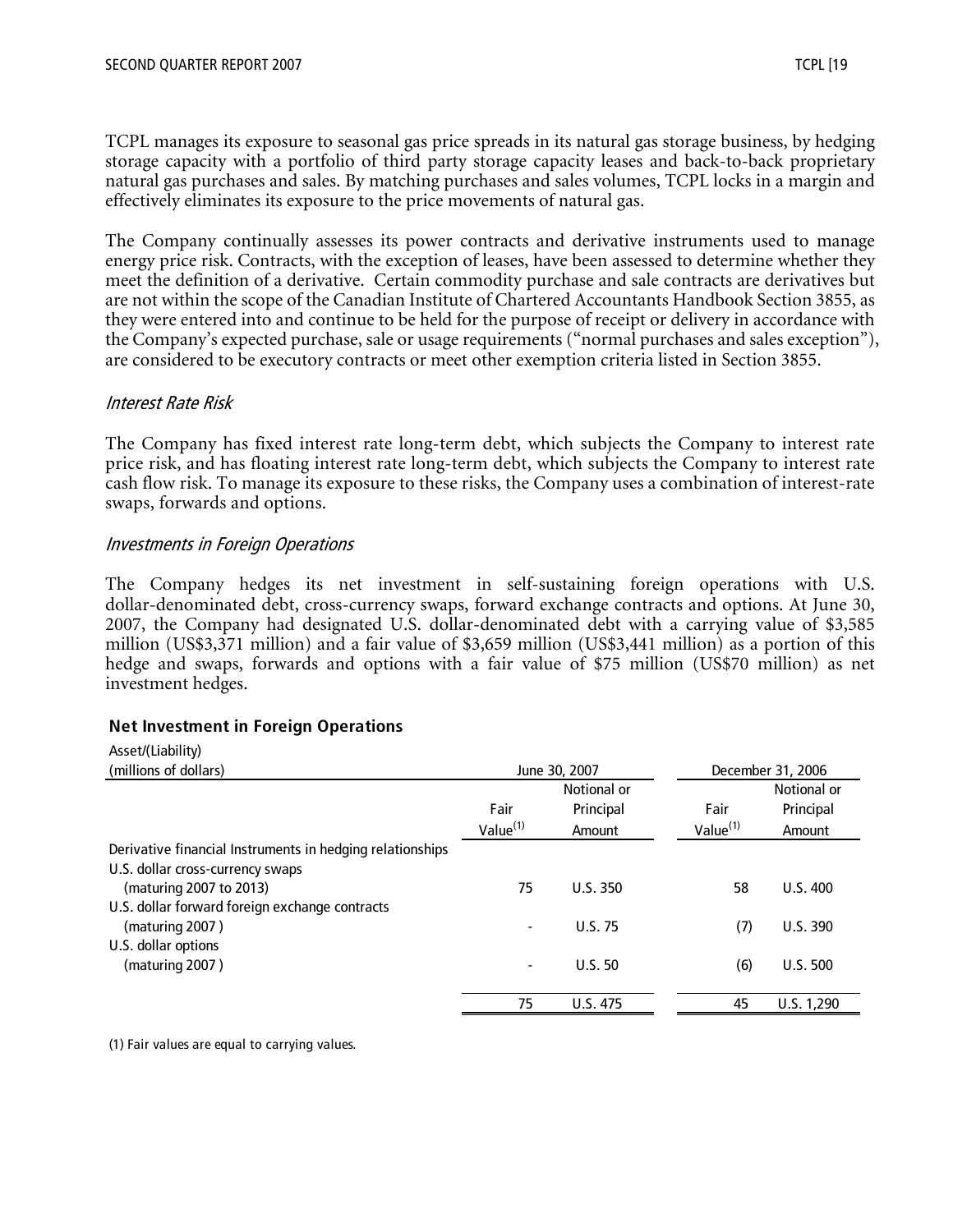TCPL manages its exposure to seasonal gas price spreads in its natural gas storage business, by hedging storage capacity with a portfolio of third party storage capacity leases and back-to-back proprietary natural gas purchases and sales. By matching purchases and sales volumes, TCPL locks in a margin and effectively eliminates its exposure to the price movements of natural gas.

The Company continually assesses its power contracts and derivative instruments used to manage energy price risk. Contracts, with the exception of leases, have been assessed to determine whether they meet the definition of a derivative. Certain commodity purchase and sale contracts are derivatives but are not within the scope of the Canadian Institute of Chartered Accountants Handbook Section 3855, as they were entered into and continue to be held for the purpose of receipt or delivery in accordance with the Company's expected purchase, sale or usage requirements ("normal purchases and sales exception"), are considered to be executory contracts or meet other exemption criteria listed in Section 3855.

#### Interest Rate Risk

The Company has fixed interest rate long-term debt, which subjects the Company to interest rate price risk, and has floating interest rate long-term debt, which subjects the Company to interest rate cash flow risk. To manage its exposure to these risks, the Company uses a combination of interest-rate swaps, forwards and options.

#### Investments in Foreign Operations

The Company hedges its net investment in self-sustaining foreign operations with U.S. dollar-denominated debt, cross-currency swaps, forward exchange contracts and options. At June 30, 2007, the Company had designated U.S. dollar-denominated debt with a carrying value of \$3,585 million (US\$3,371 million) and a fair value of \$3,659 million (US\$3,441 million) as a portion of this hedge and swaps, forwards and options with a fair value of \$75 million (US\$70 million) as net investment hedges.

#### **Net Investment in Foreign Operations**

| Asset/(Liability)                                         |                                    |                |                      |             |  |  |
|-----------------------------------------------------------|------------------------------------|----------------|----------------------|-------------|--|--|
| (millions of dollars)                                     | December 31, 2006<br>June 30, 2007 |                |                      |             |  |  |
|                                                           |                                    | Notional or    |                      | Notional or |  |  |
|                                                           | Fair                               | Principal      | Fair                 | Principal   |  |  |
|                                                           | Value <sup>(1)</sup>               | Amount         | Value <sup>(1)</sup> | Amount      |  |  |
| Derivative financial Instruments in hedging relationships |                                    |                |                      |             |  |  |
| U.S. dollar cross-currency swaps                          |                                    |                |                      |             |  |  |
| (maturing 2007 to 2013)                                   | 75                                 | U.S.350        | 58                   | U.S.400     |  |  |
| U.S. dollar forward foreign exchange contracts            |                                    |                |                      |             |  |  |
| (maturing 2007)                                           |                                    | <b>U.S. 75</b> | (7)                  | U.S. 390    |  |  |
| U.S. dollar options                                       |                                    |                |                      |             |  |  |
| (maturing 2007)                                           |                                    | U.S.50         | (6)                  | U.S. 500    |  |  |
|                                                           |                                    |                |                      |             |  |  |
|                                                           | 75                                 | U.S. 475       | 45                   | U.S. 1,290  |  |  |

(1) Fair values are equal to carrying values.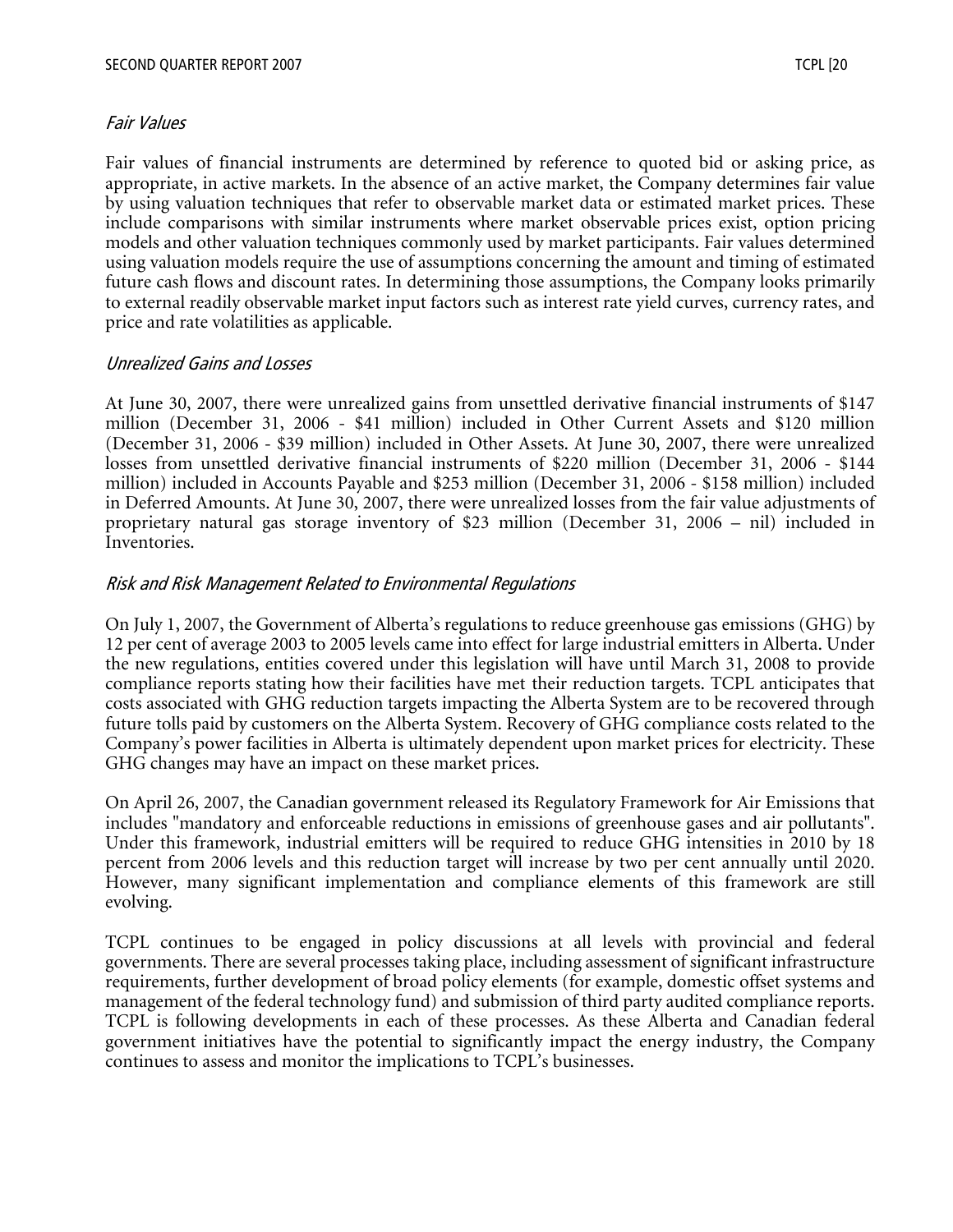#### Fair Values

Fair values of financial instruments are determined by reference to quoted bid or asking price, as appropriate, in active markets. In the absence of an active market, the Company determines fair value by using valuation techniques that refer to observable market data or estimated market prices. These include comparisons with similar instruments where market observable prices exist, option pricing models and other valuation techniques commonly used by market participants. Fair values determined using valuation models require the use of assumptions concerning the amount and timing of estimated future cash flows and discount rates. In determining those assumptions, the Company looks primarily to external readily observable market input factors such as interest rate yield curves, currency rates, and price and rate volatilities as applicable.

#### Unrealized Gains and Losses

At June 30, 2007, there were unrealized gains from unsettled derivative financial instruments of \$147 million (December 31, 2006 - \$41 million) included in Other Current Assets and \$120 million (December 31, 2006 - \$39 million) included in Other Assets. At June 30, 2007, there were unrealized losses from unsettled derivative financial instruments of \$220 million (December 31, 2006 - \$144 million) included in Accounts Payable and \$253 million (December 31, 2006 - \$158 million) included in Deferred Amounts. At June 30, 2007, there were unrealized losses from the fair value adjustments of proprietary natural gas storage inventory of \$23 million (December 31, 2006 – nil) included in Inventories.

#### Risk and Risk Management Related to Environmental Regulations

On July 1, 2007, the Government of Alberta's regulations to reduce greenhouse gas emissions (GHG) by 12 per cent of average 2003 to 2005 levels came into effect for large industrial emitters in Alberta. Under the new regulations, entities covered under this legislation will have until March 31, 2008 to provide compliance reports stating how their facilities have met their reduction targets. TCPL anticipates that costs associated with GHG reduction targets impacting the Alberta System are to be recovered through future tolls paid by customers on the Alberta System. Recovery of GHG compliance costs related to the Company's power facilities in Alberta is ultimately dependent upon market prices for electricity. These GHG changes may have an impact on these market prices.

On April 26, 2007, the Canadian government released its Regulatory Framework for Air Emissions that includes "mandatory and enforceable reductions in emissions of greenhouse gases and air pollutants". Under this framework, industrial emitters will be required to reduce GHG intensities in 2010 by 18 percent from 2006 levels and this reduction target will increase by two per cent annually until 2020. However, many significant implementation and compliance elements of this framework are still evolving.

TCPL continues to be engaged in policy discussions at all levels with provincial and federal governments. There are several processes taking place, including assessment of significant infrastructure requirements, further development of broad policy elements (for example, domestic offset systems and management of the federal technology fund) and submission of third party audited compliance reports. TCPL is following developments in each of these processes. As these Alberta and Canadian federal government initiatives have the potential to significantly impact the energy industry, the Company continues to assess and monitor the implications to TCPL's businesses.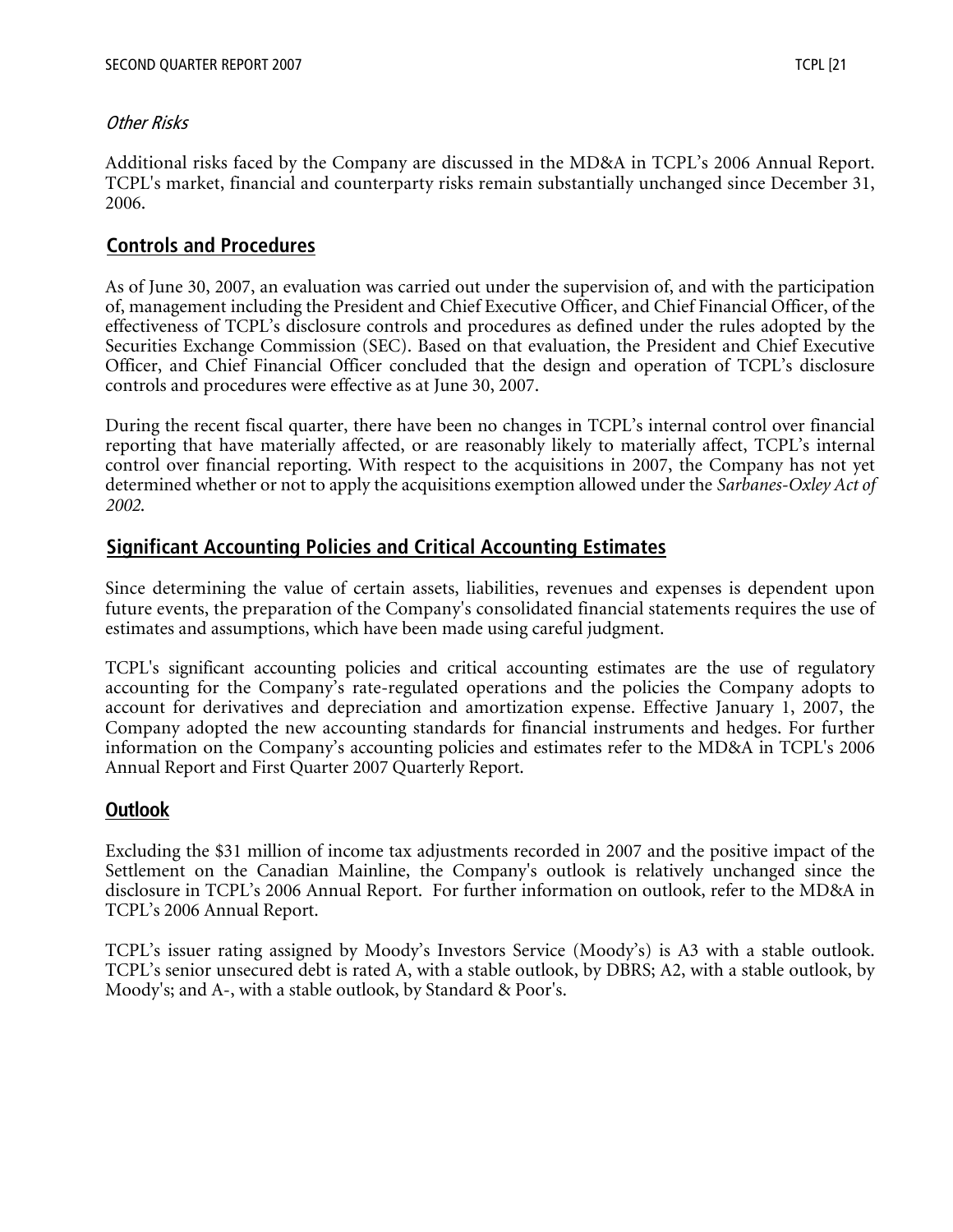#### Other Risks

Additional risks faced by the Company are discussed in the MD&A in TCPL's 2006 Annual Report. TCPL's market, financial and counterparty risks remain substantially unchanged since December 31, 2006.

## **Controls and Procedures**

As of June 30, 2007, an evaluation was carried out under the supervision of, and with the participation of, management including the President and Chief Executive Officer, and Chief Financial Officer, of the effectiveness of TCPL's disclosure controls and procedures as defined under the rules adopted by the Securities Exchange Commission (SEC). Based on that evaluation, the President and Chief Executive Officer, and Chief Financial Officer concluded that the design and operation of TCPL's disclosure controls and procedures were effective as at June 30, 2007.

During the recent fiscal quarter, there have been no changes in TCPL's internal control over financial reporting that have materially affected, or are reasonably likely to materially affect, TCPL's internal control over financial reporting. With respect to the acquisitions in 2007, the Company has not yet determined whether or not to apply the acquisitions exemption allowed under the *Sarbanes-Oxley Act of 2002*.

## **Significant Accounting Policies and Critical Accounting Estimates**

Since determining the value of certain assets, liabilities, revenues and expenses is dependent upon future events, the preparation of the Company's consolidated financial statements requires the use of estimates and assumptions, which have been made using careful judgment.

TCPL's significant accounting policies and critical accounting estimates are the use of regulatory accounting for the Company's rate-regulated operations and the policies the Company adopts to account for derivatives and depreciation and amortization expense. Effective January 1, 2007, the Company adopted the new accounting standards for financial instruments and hedges. For further information on the Company's accounting policies and estimates refer to the MD&A in TCPL's 2006 Annual Report and First Quarter 2007 Quarterly Report.

## **Outlook**

Excluding the \$31 million of income tax adjustments recorded in 2007 and the positive impact of the Settlement on the Canadian Mainline, the Company's outlook is relatively unchanged since the disclosure in TCPL's 2006 Annual Report. For further information on outlook, refer to the MD&A in TCPL's 2006 Annual Report.

TCPL's issuer rating assigned by Moody's Investors Service (Moody's) is A3 with a stable outlook. TCPL's senior unsecured debt is rated A, with a stable outlook, by DBRS; A2, with a stable outlook, by Moody's; and A-, with a stable outlook, by Standard & Poor's.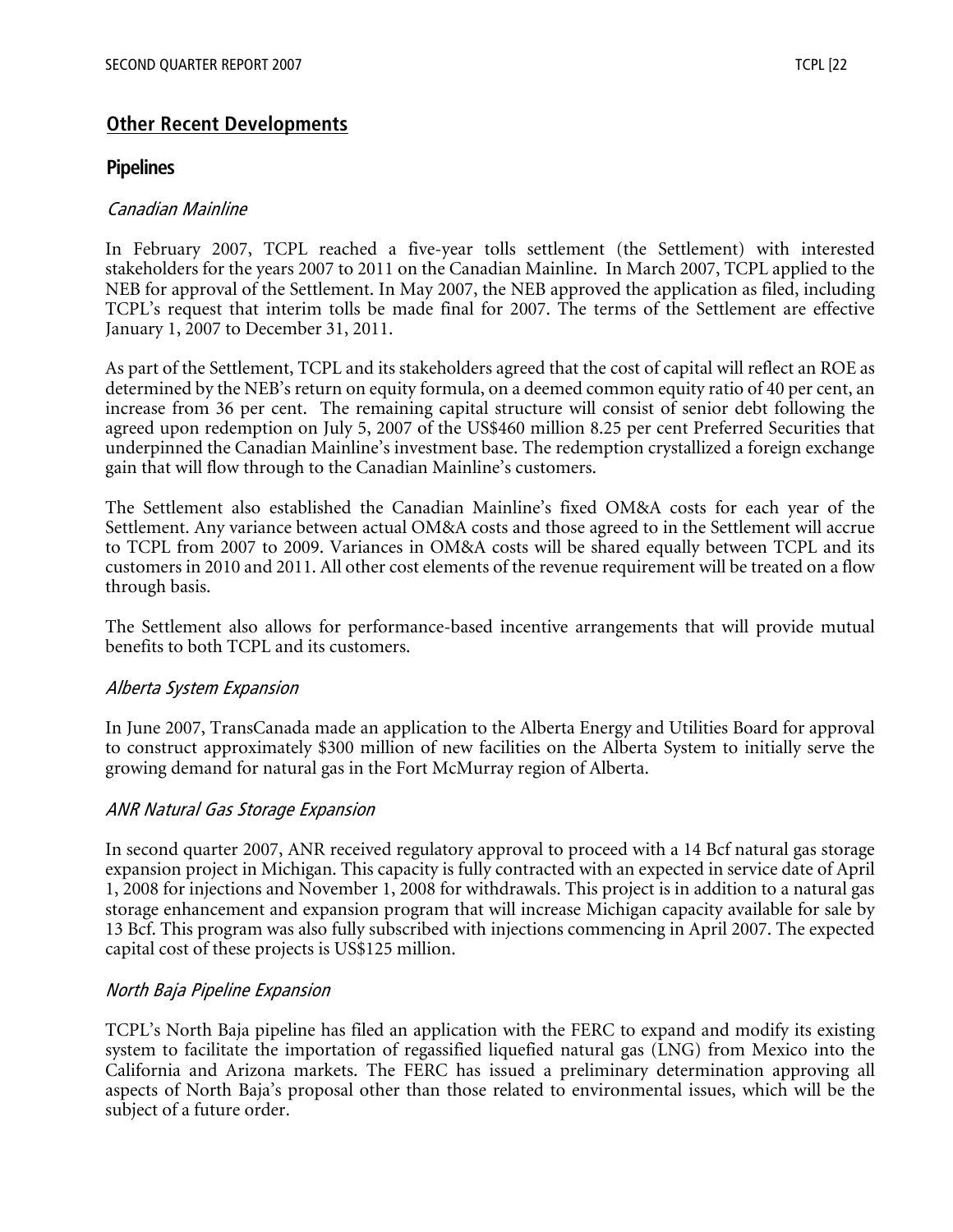## **Other Recent Developments**

#### **Pipelines**

#### Canadian Mainline

In February 2007, TCPL reached a five-year tolls settlement (the Settlement) with interested stakeholders for the years 2007 to 2011 on the Canadian Mainline. In March 2007, TCPL applied to the NEB for approval of the Settlement. In May 2007, the NEB approved the application as filed, including TCPL's request that interim tolls be made final for 2007. The terms of the Settlement are effective January 1, 2007 to December 31, 2011.

As part of the Settlement, TCPL and its stakeholders agreed that the cost of capital will reflect an ROE as determined by the NEB's return on equity formula, on a deemed common equity ratio of 40 per cent, an increase from 36 per cent. The remaining capital structure will consist of senior debt following the agreed upon redemption on July 5, 2007 of the US\$460 million 8.25 per cent Preferred Securities that underpinned the Canadian Mainline's investment base. The redemption crystallized a foreign exchange gain that will flow through to the Canadian Mainline's customers.

The Settlement also established the Canadian Mainline's fixed OM&A costs for each year of the Settlement. Any variance between actual OM&A costs and those agreed to in the Settlement will accrue to TCPL from 2007 to 2009. Variances in OM&A costs will be shared equally between TCPL and its customers in 2010 and 2011. All other cost elements of the revenue requirement will be treated on a flow through basis.

The Settlement also allows for performance-based incentive arrangements that will provide mutual benefits to both TCPL and its customers.

#### Alberta System Expansion

In June 2007, TransCanada made an application to the Alberta Energy and Utilities Board for approval to construct approximately \$300 million of new facilities on the Alberta System to initially serve the growing demand for natural gas in the Fort McMurray region of Alberta.

#### ANR Natural Gas Storage Expansion

In second quarter 2007, ANR received regulatory approval to proceed with a 14 Bcf natural gas storage expansion project in Michigan. This capacity is fully contracted with an expected in service date of April 1, 2008 for injections and November 1, 2008 for withdrawals. This project is in addition to a natural gas storage enhancement and expansion program that will increase Michigan capacity available for sale by 13 Bcf. This program was also fully subscribed with injections commencing in April 2007. The expected capital cost of these projects is US\$125 million.

#### North Baja Pipeline Expansion

TCPL's North Baja pipeline has filed an application with the FERC to expand and modify its existing system to facilitate the importation of regassified liquefied natural gas (LNG) from Mexico into the California and Arizona markets. The FERC has issued a preliminary determination approving all aspects of North Baja's proposal other than those related to environmental issues, which will be the subject of a future order.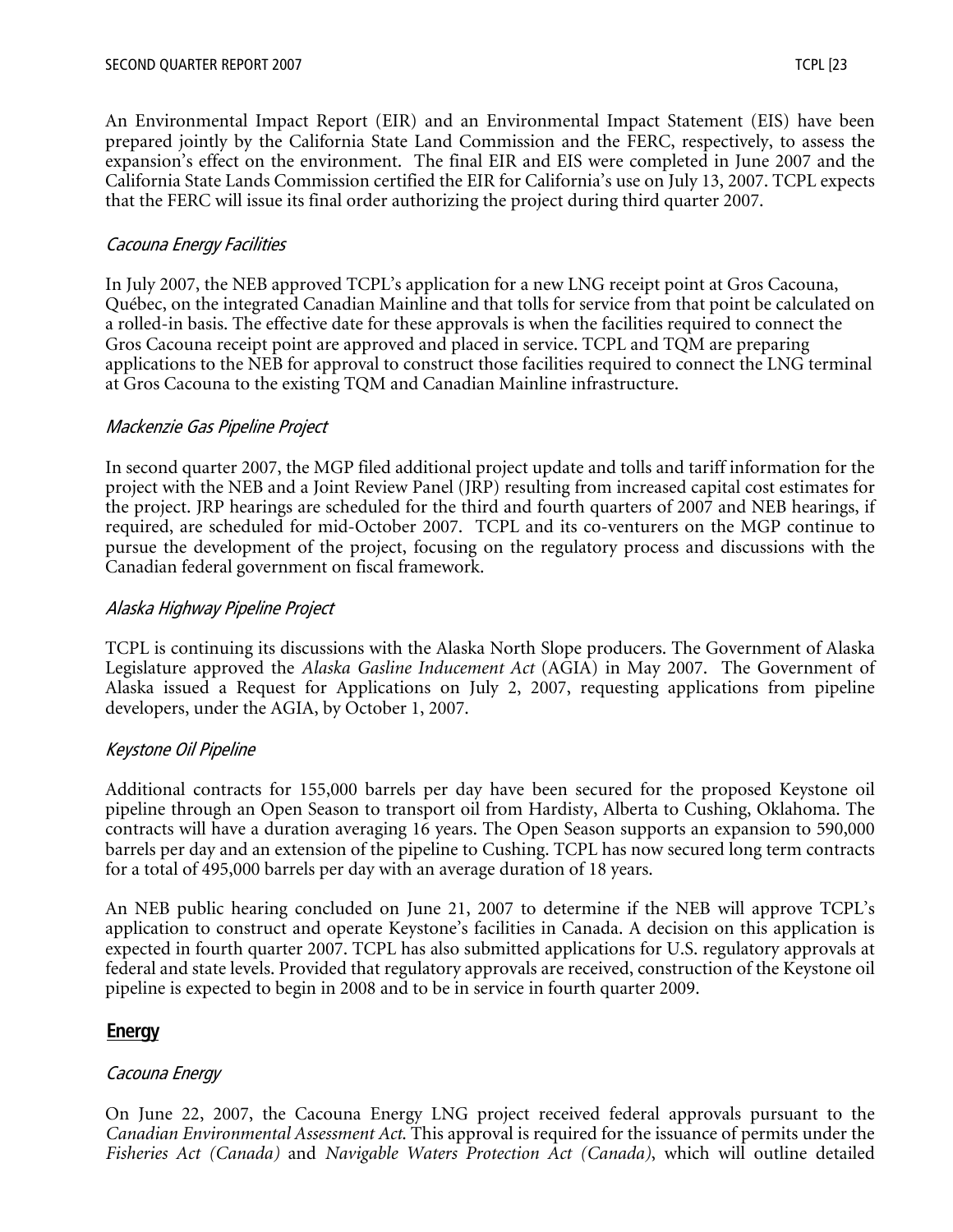An Environmental Impact Report (EIR) and an Environmental Impact Statement (EIS) have been prepared jointly by the California State Land Commission and the FERC, respectively, to assess the expansion's effect on the environment. The final EIR and EIS were completed in June 2007 and the California State Lands Commission certified the EIR for California's use on July 13, 2007. TCPL expects that the FERC will issue its final order authorizing the project during third quarter 2007.

#### Cacouna Energy Facilities

In July 2007, the NEB approved TCPL's application for a new LNG receipt point at Gros Cacouna, Québec, on the integrated Canadian Mainline and that tolls for service from that point be calculated on a rolled-in basis. The effective date for these approvals is when the facilities required to connect the Gros Cacouna receipt point are approved and placed in service. TCPL and TQM are preparing applications to the NEB for approval to construct those facilities required to connect the LNG terminal at Gros Cacouna to the existing TQM and Canadian Mainline infrastructure.

#### Mackenzie Gas Pipeline Project

In second quarter 2007, the MGP filed additional project update and tolls and tariff information for the project with the NEB and a Joint Review Panel (JRP) resulting from increased capital cost estimates for the project. JRP hearings are scheduled for the third and fourth quarters of 2007 and NEB hearings, if required, are scheduled for mid-October 2007. TCPL and its co-venturers on the MGP continue to pursue the development of the project, focusing on the regulatory process and discussions with the Canadian federal government on fiscal framework.

#### Alaska Highway Pipeline Project

TCPL is continuing its discussions with the Alaska North Slope producers. The Government of Alaska Legislature approved the *Alaska Gasline Inducement Act* (AGIA) in May 2007. The Government of Alaska issued a Request for Applications on July 2, 2007, requesting applications from pipeline developers, under the AGIA, by October 1, 2007.

#### Keystone Oil Pipeline

Additional contracts for 155,000 barrels per day have been secured for the proposed Keystone oil pipeline through an Open Season to transport oil from Hardisty, Alberta to Cushing, Oklahoma. The contracts will have a duration averaging 16 years. The Open Season supports an expansion to 590,000 barrels per day and an extension of the pipeline to Cushing. TCPL has now secured long term contracts for a total of 495,000 barrels per day with an average duration of 18 years.

An NEB public hearing concluded on June 21, 2007 to determine if the NEB will approve TCPL's application to construct and operate Keystone's facilities in Canada. A decision on this application is expected in fourth quarter 2007. TCPL has also submitted applications for U.S. regulatory approvals at federal and state levels. Provided that regulatory approvals are received, construction of the Keystone oil pipeline is expected to begin in 2008 and to be in service in fourth quarter 2009.

#### **Energy**

#### Cacouna Energy

On June 22, 2007, the Cacouna Energy LNG project received federal approvals pursuant to the *Canadian Environmental Assessment Act*. This approval is required for the issuance of permits under the *Fisheries Act (Canada)* and *Navigable Waters Protection Act (Canada)*, which will outline detailed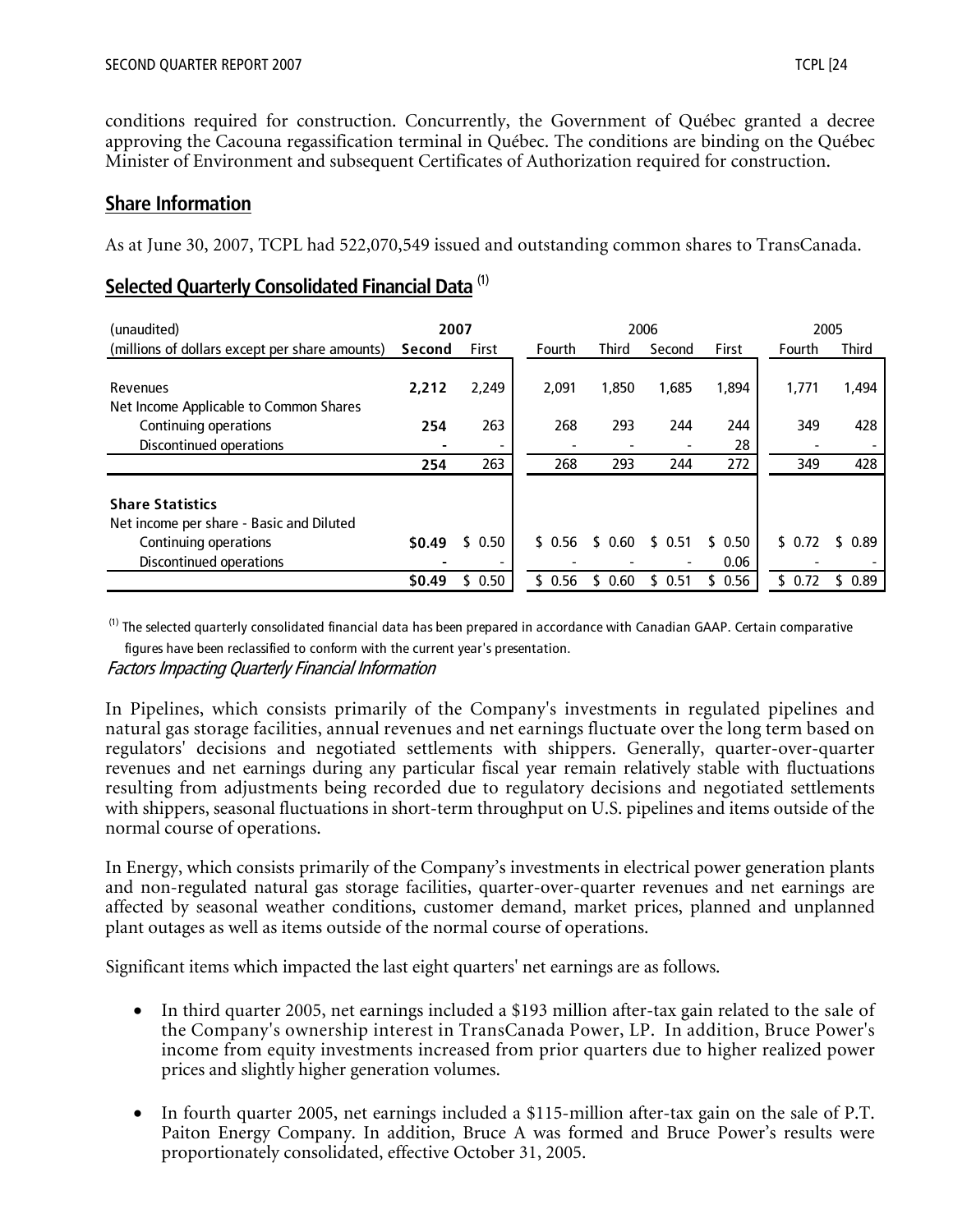conditions required for construction. Concurrently, the Government of Québec granted a decree approving the Cacouna regassification terminal in Québec. The conditions are binding on the Québec Minister of Environment and subsequent Certificates of Authorization required for construction.

## **Share Information**

As at June 30, 2007, TCPL had 522,070,549 issued and outstanding common shares to TransCanada.

## **Selected Quarterly Consolidated Financial Data** (1)

| (unaudited)                                    | 2007   |        |        | 2006         |        |            | 2005   |              |  |
|------------------------------------------------|--------|--------|--------|--------------|--------|------------|--------|--------------|--|
| (millions of dollars except per share amounts) | Second | First  | Fourth | <b>Third</b> | Second | First      | Fourth | <b>Third</b> |  |
|                                                |        |        |        |              |        |            |        |              |  |
| Revenues                                       | 2.212  | 2,249  | 2.091  | 1,850        | 1,685  | 1,894      | 1,771  | 1,494        |  |
| Net Income Applicable to Common Shares         |        |        |        |              |        |            |        |              |  |
| Continuing operations                          | 254    | 263    | 268    | 293          | 244    | 244        | 349    | 428          |  |
| Discontinued operations                        |        |        |        |              |        | 28         |        |              |  |
|                                                | 254    | 263    | 268    | 293          | 244    | 272        | 349    | 428          |  |
| <b>Share Statistics</b>                        |        |        |        |              |        |            |        |              |  |
| Net income per share - Basic and Diluted       |        |        |        |              |        |            |        |              |  |
| Continuing operations                          | \$0.49 | \$0.50 | \$0.56 | \$<br>0.60   | \$0.51 | 0.50<br>S. | \$0.72 | 0.89         |  |
| Discontinued operations                        |        |        |        |              |        | 0.06       |        |              |  |
|                                                | \$0.49 | 0.50   | 0.56   | 0.60         | 0.51   | 0.56       | \$0.72 | 0.89         |  |

 $<sup>(1)</sup>$  The selected quarterly consolidated financial data has been prepared in accordance with Canadian GAAP. Certain comparative</sup>

 figures have been reclassified to conform with the current year's presentation. Factors Impacting Quarterly Financial Information

In Pipelines, which consists primarily of the Company's investments in regulated pipelines and natural gas storage facilities, annual revenues and net earnings fluctuate over the long term based on regulators' decisions and negotiated settlements with shippers. Generally, quarter-over-quarter revenues and net earnings during any particular fiscal year remain relatively stable with fluctuations resulting from adjustments being recorded due to regulatory decisions and negotiated settlements with shippers, seasonal fluctuations in short-term throughput on U.S. pipelines and items outside of the normal course of operations.

In Energy, which consists primarily of the Company's investments in electrical power generation plants and non-regulated natural gas storage facilities, quarter-over-quarter revenues and net earnings are affected by seasonal weather conditions, customer demand, market prices, planned and unplanned plant outages as well as items outside of the normal course of operations.

Significant items which impacted the last eight quarters' net earnings are as follows.

- In third quarter 2005, net earnings included a \$193 million after-tax gain related to the sale of the Company's ownership interest in TransCanada Power, LP. In addition, Bruce Power's income from equity investments increased from prior quarters due to higher realized power prices and slightly higher generation volumes.
- In fourth quarter 2005, net earnings included a \$115-million after-tax gain on the sale of P.T. Paiton Energy Company. In addition, Bruce A was formed and Bruce Power's results were proportionately consolidated, effective October 31, 2005.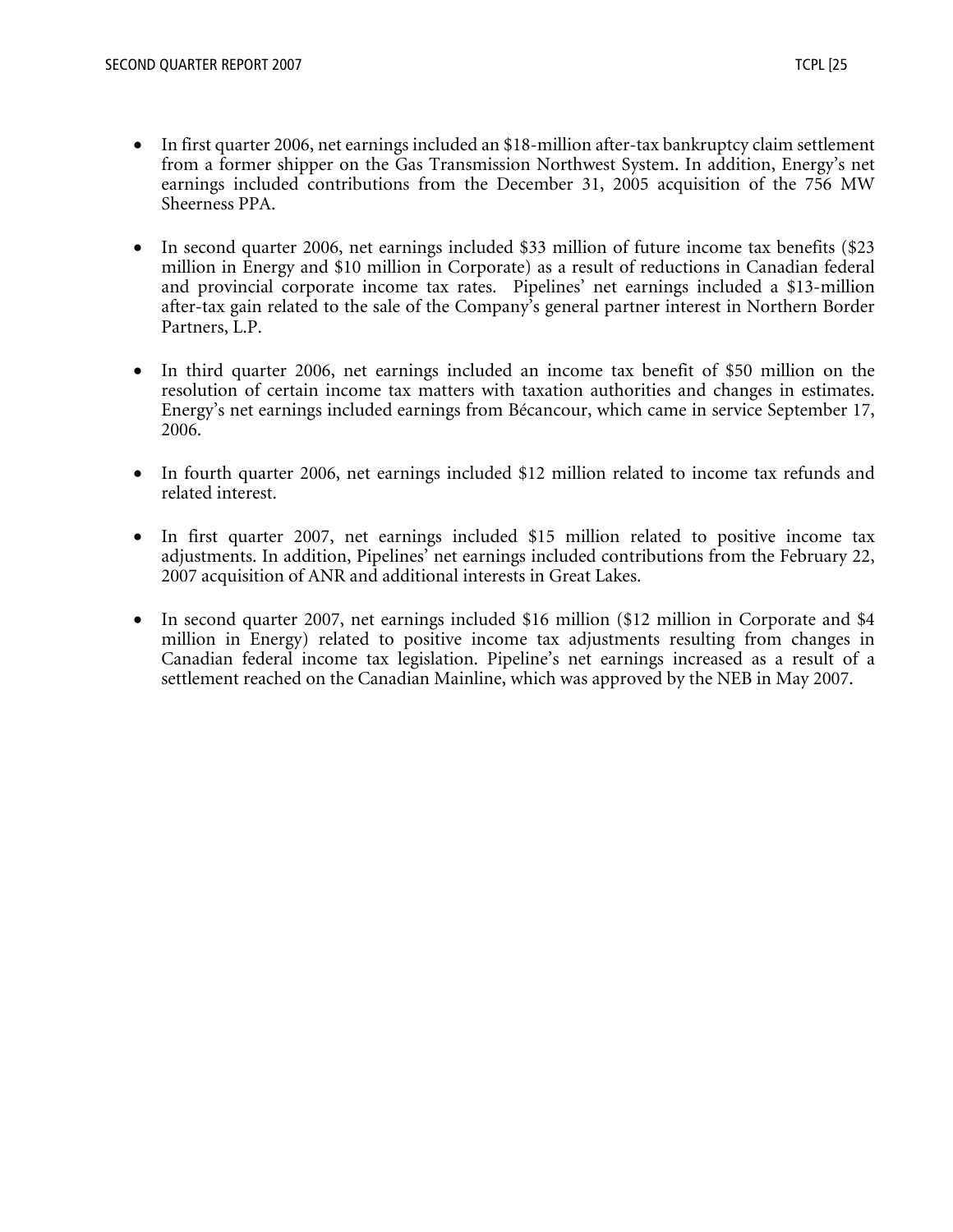- In first quarter 2006, net earnings included an \$18-million after-tax bankruptcy claim settlement from a former shipper on the Gas Transmission Northwest System. In addition, Energy's net earnings included contributions from the December 31, 2005 acquisition of the 756 MW Sheerness PPA.
- In second quarter 2006, net earnings included \$33 million of future income tax benefits (\$23 million in Energy and \$10 million in Corporate) as a result of reductions in Canadian federal and provincial corporate income tax rates. Pipelines' net earnings included a \$13-million after-tax gain related to the sale of the Company's general partner interest in Northern Border Partners, L.P.
- In third quarter 2006, net earnings included an income tax benefit of \$50 million on the resolution of certain income tax matters with taxation authorities and changes in estimates. Energy's net earnings included earnings from Bécancour, which came in service September 17, 2006.
- In fourth quarter 2006, net earnings included \$12 million related to income tax refunds and related interest.
- In first quarter 2007, net earnings included \$15 million related to positive income tax adjustments. In addition, Pipelines' net earnings included contributions from the February 22, 2007 acquisition of ANR and additional interests in Great Lakes.
- In second quarter 2007, net earnings included \$16 million (\$12 million in Corporate and \$4 million in Energy) related to positive income tax adjustments resulting from changes in Canadian federal income tax legislation. Pipeline's net earnings increased as a result of a settlement reached on the Canadian Mainline, which was approved by the NEB in May 2007.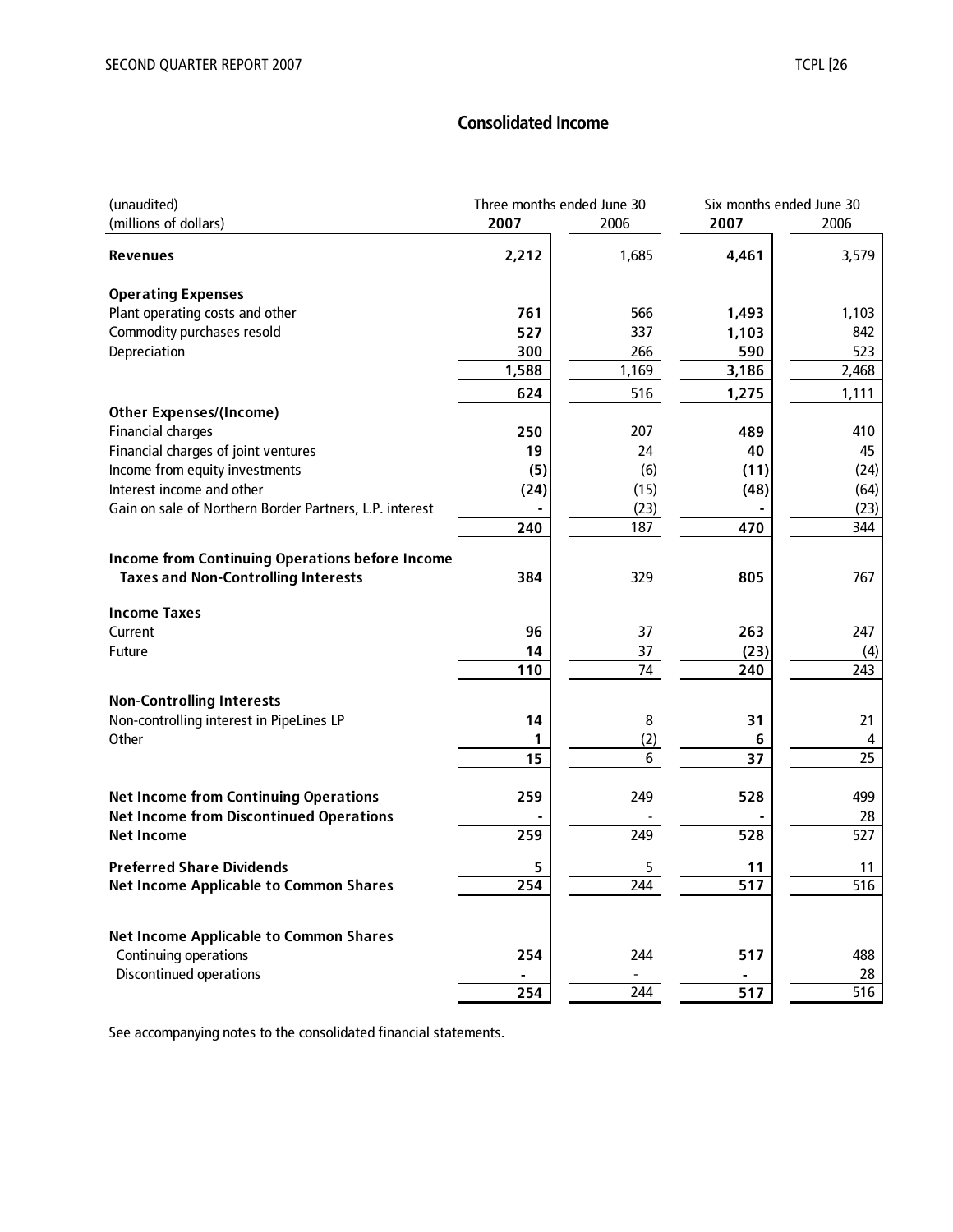## **Consolidated Income**

| (unaudited)                                                                                          | Three months ended June 30 |       | Six months ended June 30 |       |
|------------------------------------------------------------------------------------------------------|----------------------------|-------|--------------------------|-------|
| (millions of dollars)                                                                                | 2007                       | 2006  | 2007                     | 2006  |
| Revenues                                                                                             | 2,212                      | 1,685 | 4,461                    | 3,579 |
| <b>Operating Expenses</b>                                                                            |                            |       |                          |       |
| Plant operating costs and other                                                                      | 761                        | 566   | 1,493                    | 1,103 |
| Commodity purchases resold                                                                           | 527                        | 337   | 1,103                    | 842   |
| Depreciation                                                                                         | 300                        | 266   | 590                      | 523   |
|                                                                                                      | 1,588                      | 1,169 | 3,186                    | 2,468 |
|                                                                                                      | 624                        | 516   | 1,275                    | 1,111 |
| <b>Other Expenses/(Income)</b>                                                                       |                            |       |                          |       |
| <b>Financial charges</b>                                                                             | 250                        | 207   | 489                      | 410   |
| Financial charges of joint ventures                                                                  | 19                         | 24    | 40                       | 45    |
| Income from equity investments                                                                       | (5)                        | (6)   | (11)                     | (24)  |
| Interest income and other                                                                            | (24)                       | (15)  | (48)                     | (64)  |
| Gain on sale of Northern Border Partners, L.P. interest                                              |                            | (23)  |                          | (23)  |
|                                                                                                      | 240                        | 187   | 470                      | 344   |
|                                                                                                      |                            |       |                          |       |
| <b>Income from Continuing Operations before Income</b><br><b>Taxes and Non-Controlling Interests</b> | 384                        | 329   | 805                      | 767   |
|                                                                                                      |                            |       |                          |       |
| <b>Income Taxes</b>                                                                                  |                            |       |                          |       |
| Current                                                                                              | 96                         | 37    | 263                      | 247   |
| Future                                                                                               | 14                         | 37    | (23)                     | (4)   |
|                                                                                                      | 110                        | 74    | 240                      | 243   |
| <b>Non-Controlling Interests</b>                                                                     |                            |       |                          |       |
| Non-controlling interest in PipeLines LP                                                             | 14                         | 8     | 31                       | 21    |
| Other                                                                                                | 1                          | (2)   | 6                        | 4     |
|                                                                                                      | 15                         | 6     | 37                       | 25    |
| <b>Net Income from Continuing Operations</b>                                                         | 259                        | 249   | 528                      | 499   |
| <b>Net Income from Discontinued Operations</b>                                                       |                            |       |                          | 28    |
| <b>Net Income</b>                                                                                    | 259                        | 249   | 528                      | 527   |
| <b>Preferred Share Dividends</b>                                                                     | 5                          | 5     | 11                       | 11    |
| <b>Net Income Applicable to Common Shares</b>                                                        | 254                        | 244   | 517                      | 516   |
|                                                                                                      |                            |       |                          |       |
| <b>Net Income Applicable to Common Shares</b>                                                        |                            |       |                          |       |
| Continuing operations                                                                                | 254                        | 244   | 517                      | 488   |
| <b>Discontinued operations</b>                                                                       | 254                        |       |                          | 28    |
|                                                                                                      |                            | 244   | 517                      | 516   |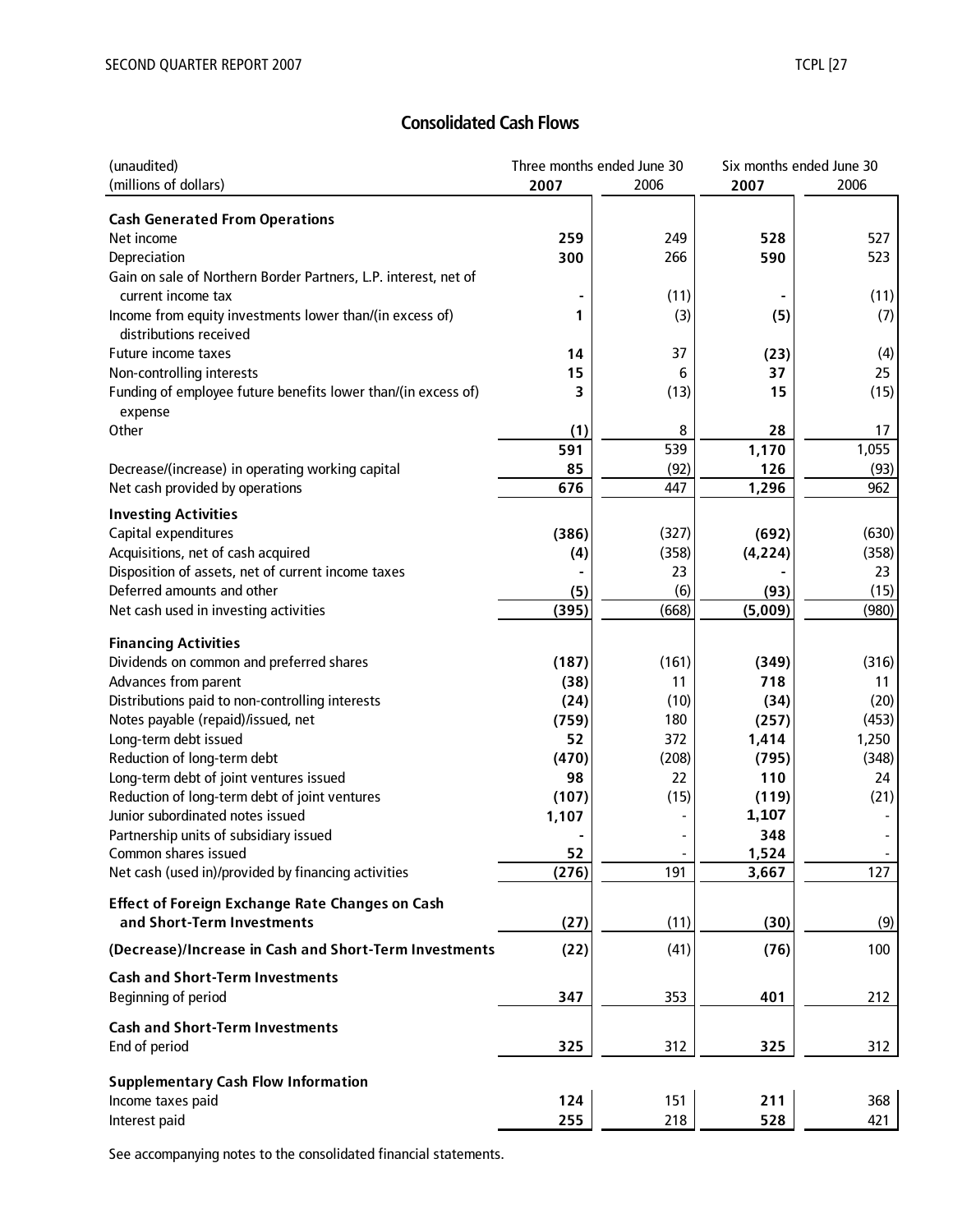## **Consolidated Cash Flows**

| (unaudited)                                                                           | Three months ended June 30 |       |            | Six months ended June 30 |  |
|---------------------------------------------------------------------------------------|----------------------------|-------|------------|--------------------------|--|
| (millions of dollars)                                                                 | 2007                       | 2006  | 2007       | 2006                     |  |
|                                                                                       |                            |       |            |                          |  |
| <b>Cash Generated From Operations</b>                                                 |                            | 249   |            | 527                      |  |
| Net income<br>Depreciation                                                            | 259<br>300                 | 266   | 528<br>590 | 523                      |  |
|                                                                                       |                            |       |            |                          |  |
| Gain on sale of Northern Border Partners, L.P. interest, net of<br>current income tax |                            | (11)  |            |                          |  |
|                                                                                       | 1                          | (3)   |            | (11)                     |  |
| Income from equity investments lower than/(in excess of)<br>distributions received    |                            |       | (5)        | (7)                      |  |
| Future income taxes                                                                   | 14                         | 37    |            |                          |  |
| Non-controlling interests                                                             | 15                         | 6     | (23)<br>37 | (4)<br>25                |  |
| Funding of employee future benefits lower than/(in excess of)                         | 3                          | (13)  | 15         | (15)                     |  |
|                                                                                       |                            |       |            |                          |  |
| expense<br>Other                                                                      | (1)                        | 8     | 28         | 17                       |  |
|                                                                                       | 591                        | 539   | 1,170      | 1,055                    |  |
| Decrease/(increase) in operating working capital                                      | 85                         | (92)  | 126        | (93)                     |  |
| Net cash provided by operations                                                       | 676                        | 447   | 1,296      | 962                      |  |
|                                                                                       |                            |       |            |                          |  |
| <b>Investing Activities</b>                                                           |                            |       |            |                          |  |
| Capital expenditures                                                                  | (386)                      | (327) | (692)      | (630)                    |  |
| Acquisitions, net of cash acquired                                                    | (4)                        | (358) | (4, 224)   | (358)                    |  |
| Disposition of assets, net of current income taxes                                    |                            | 23    |            | 23                       |  |
| Deferred amounts and other                                                            | (5)                        | (6)   | (93)       | (15)                     |  |
| Net cash used in investing activities                                                 | (395)                      | (668) | (5,009)    | (980)                    |  |
| <b>Financing Activities</b>                                                           |                            |       |            |                          |  |
| Dividends on common and preferred shares                                              | (187)                      | (161) | (349)      | (316)                    |  |
| Advances from parent                                                                  | (38)                       | 11    | 718        | 11                       |  |
| Distributions paid to non-controlling interests                                       | (24)                       | (10)  | (34)       | (20)                     |  |
| Notes payable (repaid)/issued, net                                                    | (759)                      | 180   | (257)      | (453)                    |  |
| Long-term debt issued                                                                 | 52                         | 372   | 1,414      | 1,250                    |  |
| Reduction of long-term debt                                                           | (470)                      | (208) | (795)      | (348)                    |  |
| Long-term debt of joint ventures issued                                               | 98                         | 22    | 110        | 24                       |  |
| Reduction of long-term debt of joint ventures                                         | (107)                      | (15)  | (119)      | (21)                     |  |
| Junior subordinated notes issued                                                      | 1,107                      |       | 1,107      |                          |  |
| Partnership units of subsidiary issued                                                |                            |       | 348        |                          |  |
| Common shares issued                                                                  | 52                         |       | 1,524      |                          |  |
| Net cash (used in)/provided by financing activities                                   | (276)                      | 191   | 3,667      | 127                      |  |
|                                                                                       |                            |       |            |                          |  |
| <b>Effect of Foreign Exchange Rate Changes on Cash</b>                                |                            |       |            |                          |  |
| and Short-Term Investments                                                            | (27)                       | (11)  | (30)       | (9)                      |  |
| (Decrease)/Increase in Cash and Short-Term Investments                                | (22)                       | (41)  | (76)       | 100                      |  |
| <b>Cash and Short-Term Investments</b>                                                |                            |       |            |                          |  |
| Beginning of period                                                                   | 347                        | 353   | 401        | 212                      |  |
| <b>Cash and Short-Term Investments</b>                                                |                            |       |            |                          |  |
| End of period                                                                         | 325                        | 312   | 325        | 312                      |  |
|                                                                                       |                            |       |            |                          |  |
| <b>Supplementary Cash Flow Information</b><br>Income taxes paid                       | 124                        | 151   | 211        | 368                      |  |
| Interest paid                                                                         | 255                        | 218   | 528        | 421                      |  |
|                                                                                       |                            |       |            |                          |  |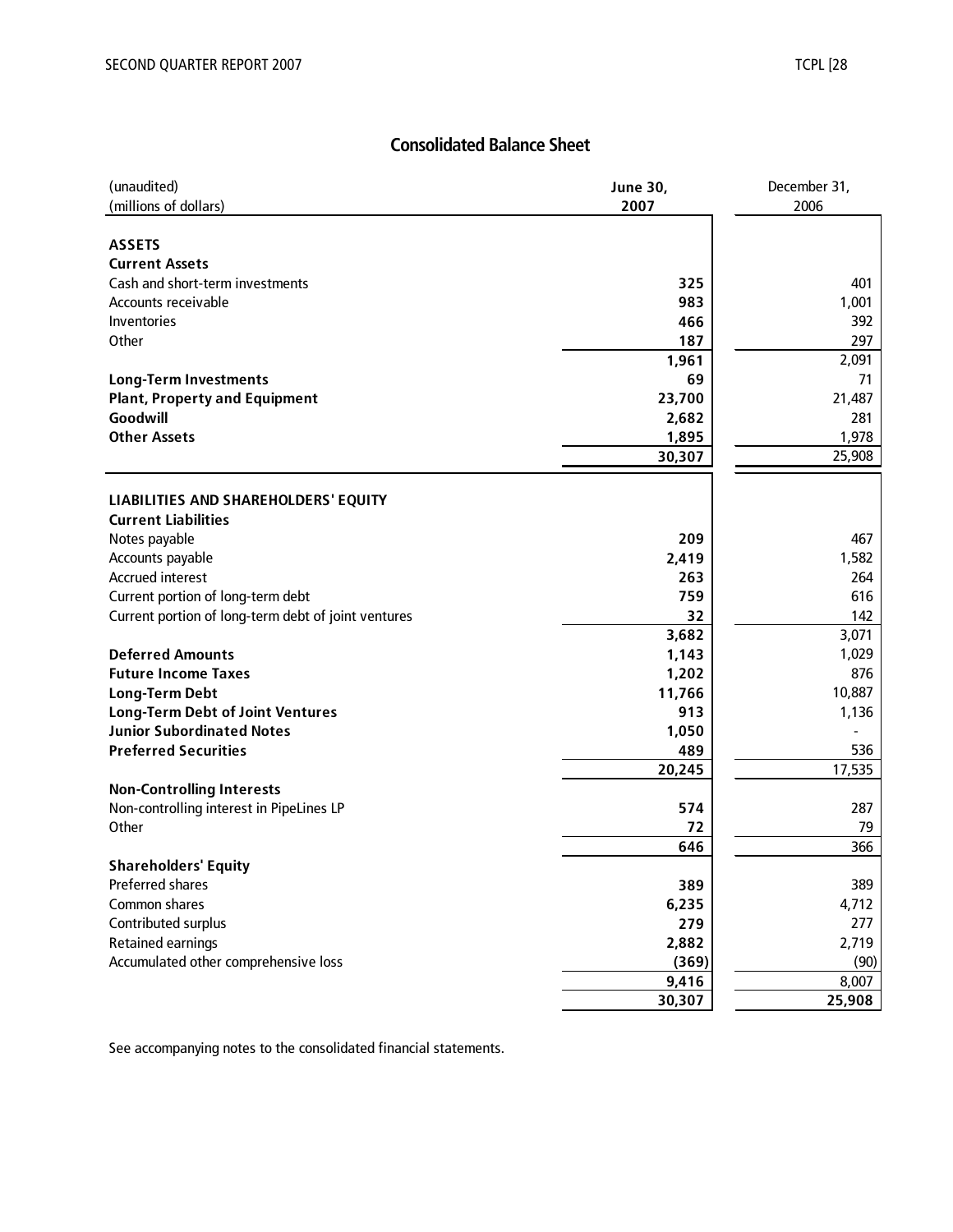## **Consolidated Balance Sheet**

| (unaudited)                                         | <b>June 30,</b> | December 31, |  |  |
|-----------------------------------------------------|-----------------|--------------|--|--|
| (millions of dollars)                               | 2007            | 2006         |  |  |
|                                                     |                 |              |  |  |
| <b>ASSETS</b>                                       |                 |              |  |  |
| <b>Current Assets</b>                               |                 |              |  |  |
| Cash and short-term investments                     | 325             | 401          |  |  |
| Accounts receivable                                 | 983             | 1,001        |  |  |
| Inventories                                         | 466             | 392          |  |  |
| Other                                               | 187             | 297          |  |  |
|                                                     | 1,961           | 2,091        |  |  |
| <b>Long-Term Investments</b>                        | 69              | 71           |  |  |
| <b>Plant, Property and Equipment</b>                | 23,700          | 21,487       |  |  |
| Goodwill                                            | 2,682           | 281          |  |  |
| <b>Other Assets</b>                                 | 1,895           | 1,978        |  |  |
|                                                     | 30,307          | 25,908       |  |  |
|                                                     |                 |              |  |  |
| LIABILITIES AND SHAREHOLDERS' EQUITY                |                 |              |  |  |
| <b>Current Liabilities</b>                          |                 |              |  |  |
| Notes payable                                       | 209             | 467          |  |  |
| Accounts payable                                    | 2,419           | 1,582        |  |  |
| <b>Accrued interest</b>                             | 263             | 264          |  |  |
| Current portion of long-term debt                   | 759             | 616          |  |  |
| Current portion of long-term debt of joint ventures | 32              | 142          |  |  |
|                                                     | 3,682           | 3,071        |  |  |
| <b>Deferred Amounts</b>                             | 1,143           | 1,029        |  |  |
| <b>Future Income Taxes</b>                          | 1,202           | 876          |  |  |
| <b>Long-Term Debt</b>                               | 11,766          | 10,887       |  |  |
| <b>Long-Term Debt of Joint Ventures</b>             | 913             | 1,136        |  |  |
| <b>Junior Subordinated Notes</b>                    | 1,050           |              |  |  |
| <b>Preferred Securities</b>                         | 489             | 536          |  |  |
|                                                     | 20,245          | 17,535       |  |  |
| <b>Non-Controlling Interests</b>                    |                 |              |  |  |
| Non-controlling interest in PipeLines LP            | 574             | 287          |  |  |
| Other                                               | 72              | 79           |  |  |
|                                                     | 646             | 366          |  |  |
| <b>Shareholders' Equity</b>                         |                 |              |  |  |
| Preferred shares                                    | 389             | 389          |  |  |
| Common shares                                       | 6,235           | 4,712        |  |  |
| Contributed surplus                                 | 279             | 277          |  |  |
| <b>Retained earnings</b>                            | 2,882           | 2,719        |  |  |
| Accumulated other comprehensive loss                | (369)           | (90)         |  |  |
|                                                     | 9,416           | 8,007        |  |  |
|                                                     | 30,307          | 25,908       |  |  |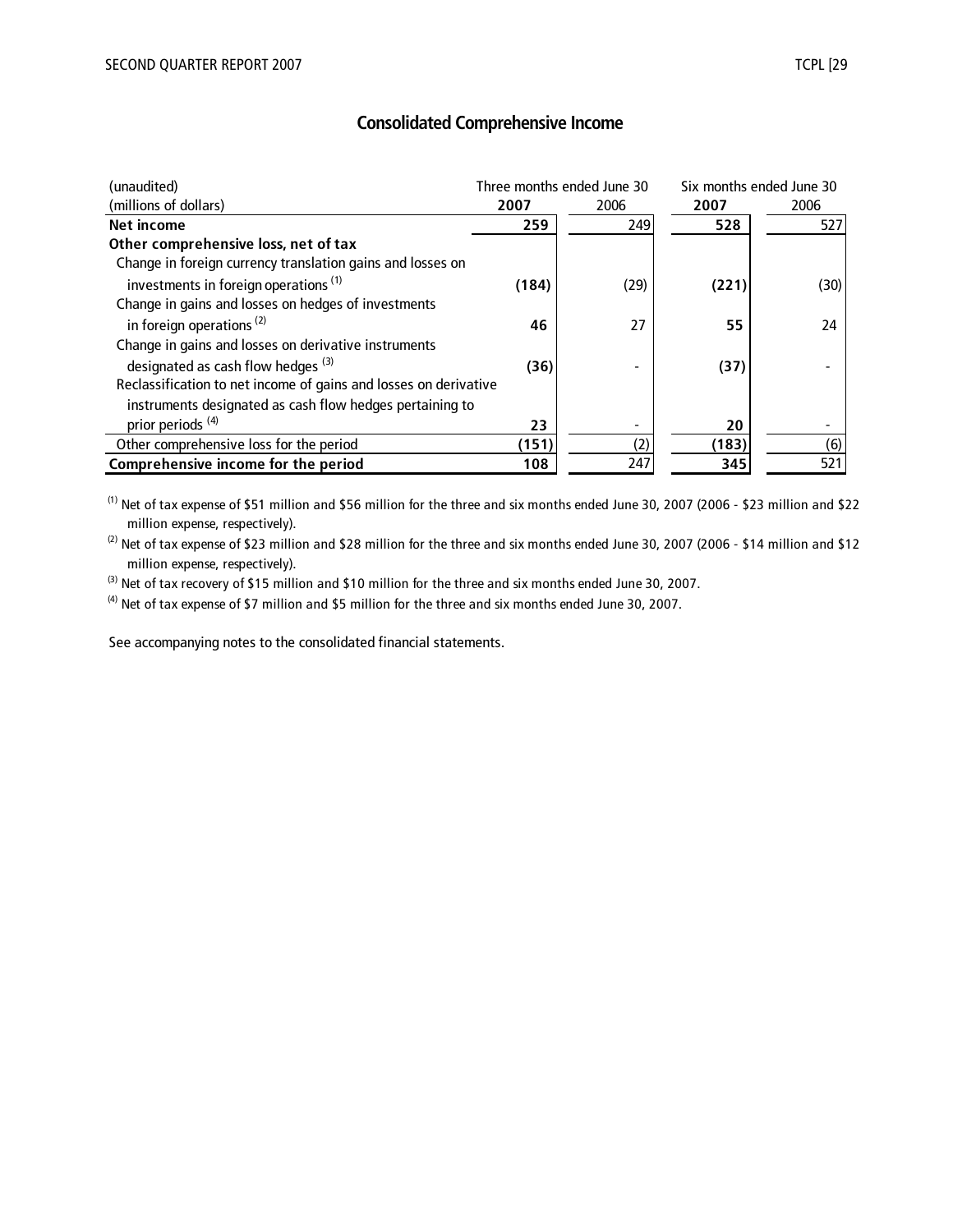| (unaudited)                                                      |       | Three months ended June 30 | Six months ended June 30 |      |  |
|------------------------------------------------------------------|-------|----------------------------|--------------------------|------|--|
| (millions of dollars)                                            | 2007  | 2006                       | 2007                     | 2006 |  |
| Net income                                                       | 259   | 249                        | 528                      | 527  |  |
| Other comprehensive loss, net of tax                             |       |                            |                          |      |  |
| Change in foreign currency translation gains and losses on       |       |                            |                          |      |  |
| investments in foreign operations <sup>(1)</sup>                 | (184) | (29)                       | (221)                    | (30) |  |
| Change in gains and losses on hedges of investments              |       |                            |                          |      |  |
| in foreign operations <sup>(2)</sup>                             | 46    | 27                         | 55                       | 24   |  |
| Change in gains and losses on derivative instruments             |       |                            |                          |      |  |
| designated as cash flow hedges <sup>(3)</sup>                    | (36)  |                            | (37)                     |      |  |
| Reclassification to net income of gains and losses on derivative |       |                            |                          |      |  |
| instruments designated as cash flow hedges pertaining to         |       |                            |                          |      |  |
| prior periods <sup>(4)</sup>                                     | 23    |                            | 20                       |      |  |
| Other comprehensive loss for the period                          | (151) | (2)                        | (183)                    | (6)  |  |
| Comprehensive income for the period                              | 108   | 247                        | 345                      | 521  |  |

(1) Net of tax expense of \$51 million and \$56 million for the three and six months ended June 30, 2007 (2006 - \$23 million and \$22 million expense, respectively).

 $^{(2)}$  Net of tax expense of \$23 million and \$28 million for the three and six months ended June 30, 2007 (2006 - \$14 million and \$12 million expense, respectively).

<sup>(3)</sup> Net of tax recovery of \$15 million and \$10 million for the three and six months ended June 30, 2007.

 $^{(4)}$  Net of tax expense of \$7 million and \$5 million for the three and six months ended June 30, 2007.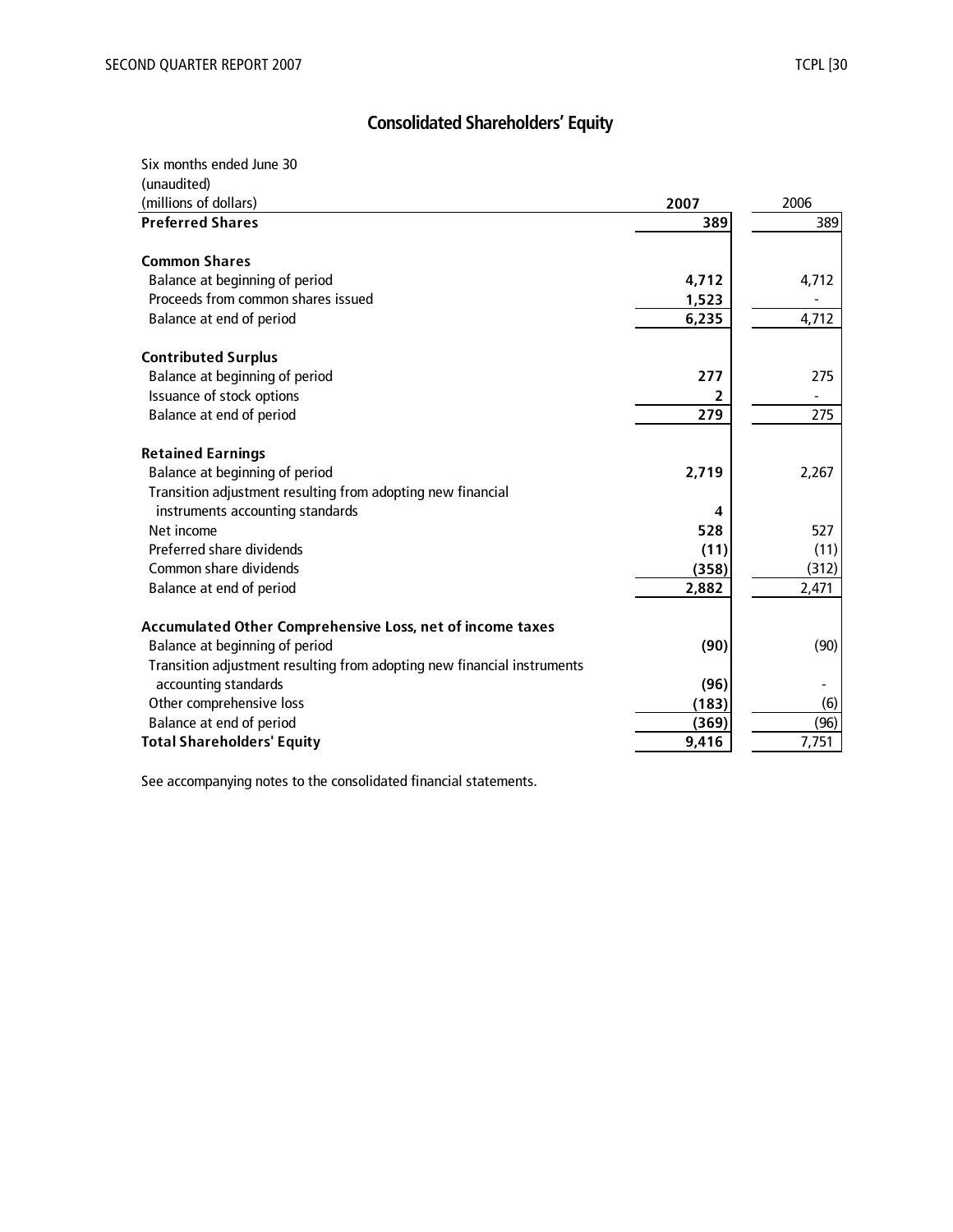# **Consolidated Shareholders' Equity**

Six months ended June 30

| (unaudited)                                                                                                               |       |       |
|---------------------------------------------------------------------------------------------------------------------------|-------|-------|
| (millions of dollars)                                                                                                     | 2007  | 2006  |
| <b>Preferred Shares</b>                                                                                                   | 389   | 389   |
|                                                                                                                           |       |       |
| <b>Common Shares</b>                                                                                                      |       |       |
| Balance at beginning of period                                                                                            | 4,712 | 4,712 |
| Proceeds from common shares issued                                                                                        | 1,523 |       |
| Balance at end of period                                                                                                  | 6,235 | 4,712 |
| <b>Contributed Surplus</b>                                                                                                |       |       |
| Balance at beginning of period                                                                                            | 277   | 275   |
| Issuance of stock options                                                                                                 |       |       |
| Balance at end of period                                                                                                  | 279   | 275   |
| <b>Retained Earnings</b><br>Balance at beginning of period<br>Transition adjustment resulting from adopting new financial | 2,719 | 2,267 |
| instruments accounting standards                                                                                          | 4     |       |
| Net income                                                                                                                | 528   | 527   |
| Preferred share dividends                                                                                                 | (11)  | (11)  |
| Common share dividends                                                                                                    | (358) | (312) |
| Balance at end of period                                                                                                  | 2,882 | 2,471 |
| Accumulated Other Comprehensive Loss, net of income taxes                                                                 |       |       |
| Balance at beginning of period                                                                                            | (90)  | (90)  |
| Transition adjustment resulting from adopting new financial instruments                                                   |       |       |
| accounting standards                                                                                                      | (96)  |       |
| Other comprehensive loss                                                                                                  | (183) | (6)   |
| Balance at end of period                                                                                                  | (369) | (96)  |
| <b>Total Shareholders' Equity</b>                                                                                         | 9,416 | 7,751 |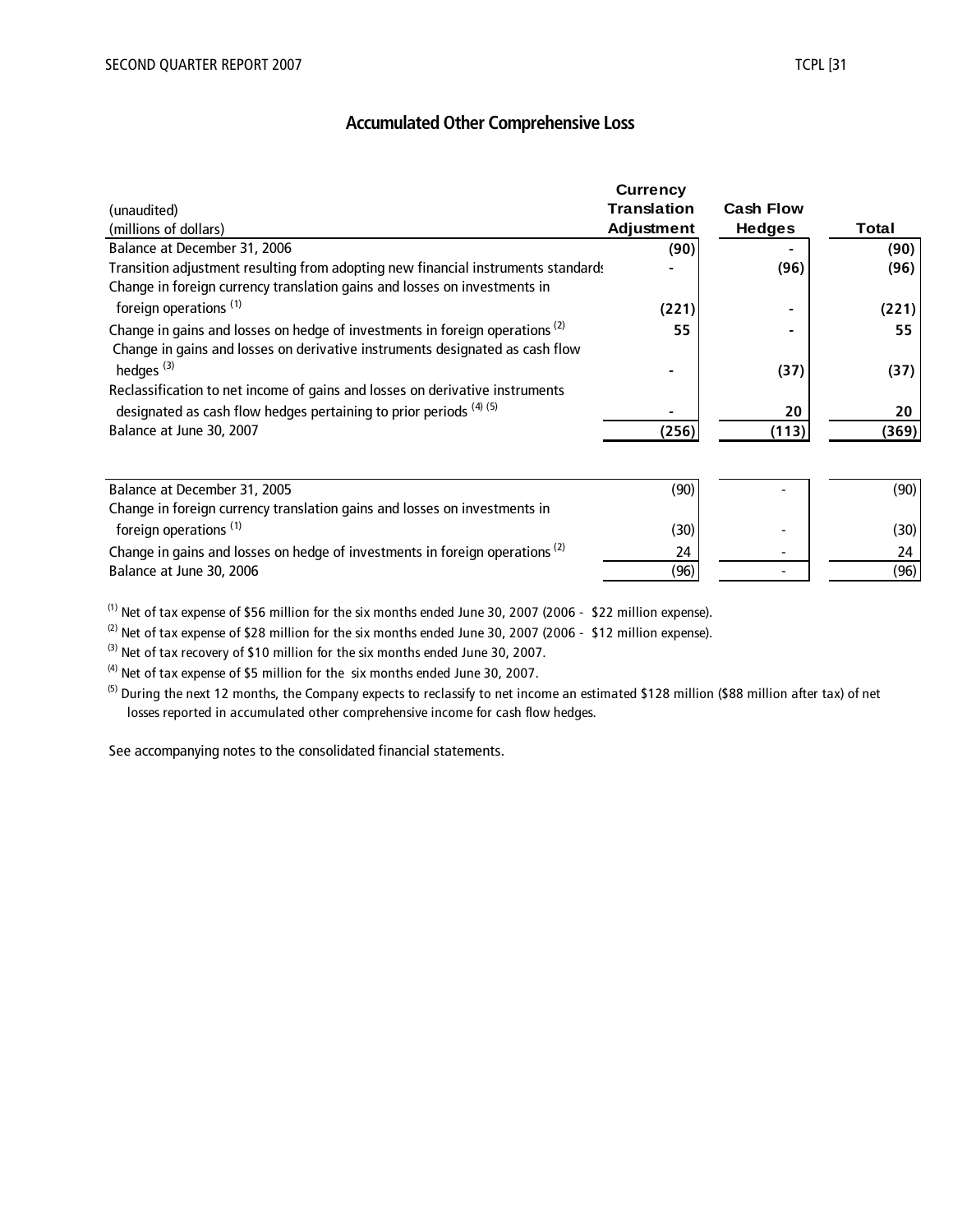## **Accumulated Other Comprehensive Loss**

|                                                                                         | <b>Currency</b>    |                  |       |
|-----------------------------------------------------------------------------------------|--------------------|------------------|-------|
| (unaudited)                                                                             | <b>Translation</b> | <b>Cash Flow</b> |       |
| (millions of dollars)                                                                   | Adjustment         | <b>Hedges</b>    | Total |
| Balance at December 31, 2006                                                            | (90)               |                  | (90)  |
| Transition adjustment resulting from adopting new financial instruments standards       |                    | (96)             | (96)  |
| Change in foreign currency translation gains and losses on investments in               |                    |                  |       |
| foreign operations <sup>(1)</sup>                                                       | (221)              |                  | (221) |
| Change in gains and losses on hedge of investments in foreign operations <sup>(2)</sup> | 55                 |                  | 55    |
| Change in gains and losses on derivative instruments designated as cash flow            |                    |                  |       |
| hedges <sup>(3)</sup>                                                                   |                    | (37)             | (37)  |
| Reclassification to net income of gains and losses on derivative instruments            |                    |                  |       |
| designated as cash flow hedges pertaining to prior periods (4) (5)                      |                    | 20               | 20    |
| Balance at June 30, 2007                                                                | (256)              | (113)            | (369) |
|                                                                                         |                    |                  |       |
| Balance at December 31, 2005                                                            | (90)               |                  | (90)  |
| Change in foreign currency translation gains and losses on investments in               |                    |                  |       |
| foreign operations <sup>(1)</sup>                                                       | (30)               |                  | (30)  |
| Change in gains and losses on hedge of investments in foreign operations <sup>(2)</sup> | 24                 |                  | 24    |
| Balance at June 30, 2006                                                                | (96)               |                  | (96)  |

 $^{(1)}$  Net of tax expense of \$56 million for the six months ended June 30, 2007 (2006 - \$22 million expense).

(2) Net of tax expense of \$28 million for the six months ended June 30, 2007 (2006 - \$12 million expense).

(3) Net of tax recovery of \$10 million for the six months ended June 30, 2007.

 $^{(4)}$  Net of tax expense of \$5 million for the six months ended June 30, 2007.

<sup>(5)</sup> During the next 12 months, the Company expects to reclassify to net income an estimated \$128 million (\$88 million after tax) of net losses reported in accumulated other comprehensive income for cash flow hedges.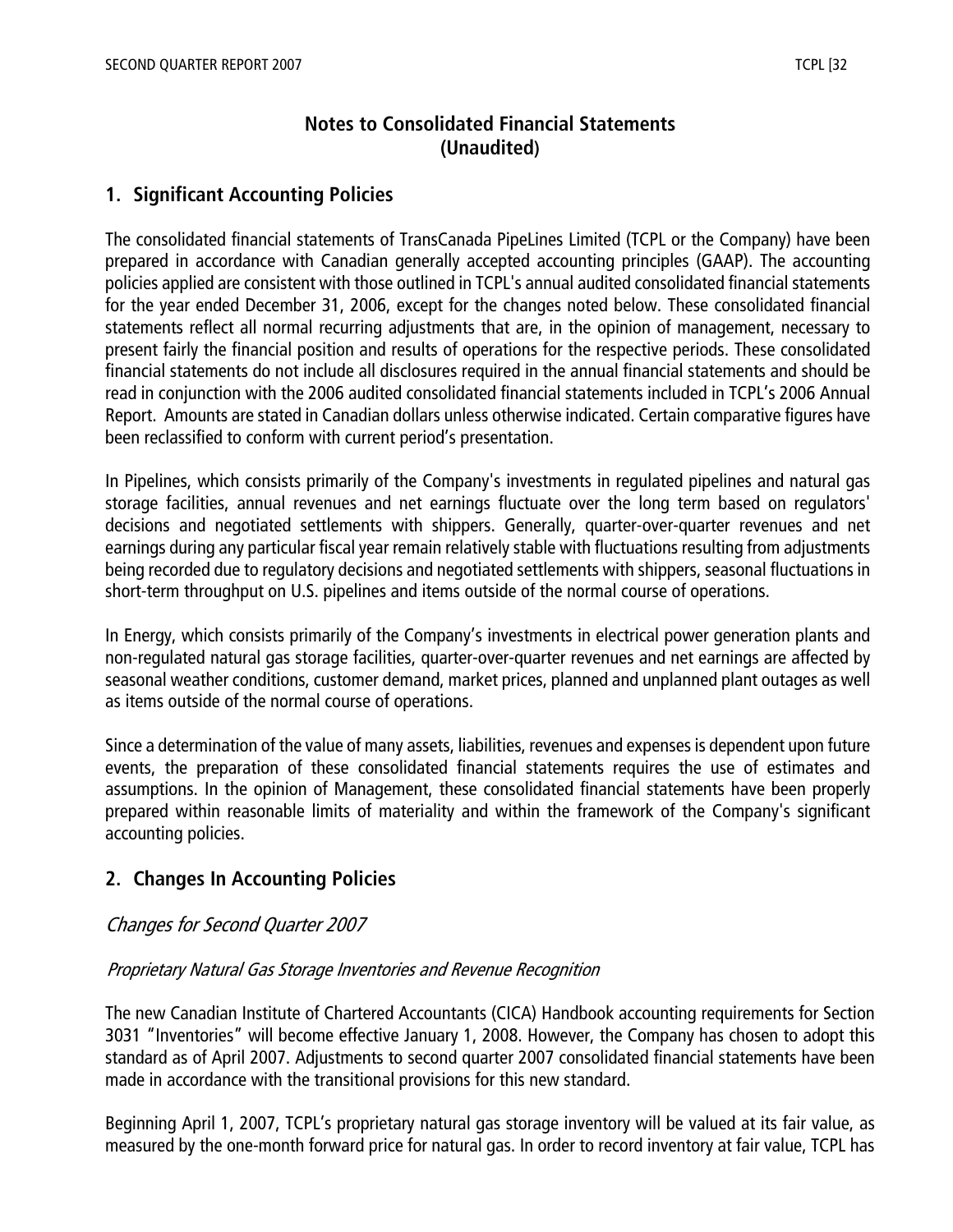## **Notes to Consolidated Financial Statements (Unaudited)**

## **1. Significant Accounting Policies**

The consolidated financial statements of TransCanada PipeLines Limited (TCPL or the Company) have been prepared in accordance with Canadian generally accepted accounting principles (GAAP). The accounting policies applied are consistent with those outlined in TCPL's annual audited consolidated financial statements for the year ended December 31, 2006, except for the changes noted below. These consolidated financial statements reflect all normal recurring adjustments that are, in the opinion of management, necessary to present fairly the financial position and results of operations for the respective periods. These consolidated financial statements do not include all disclosures required in the annual financial statements and should be read in conjunction with the 2006 audited consolidated financial statements included in TCPL's 2006 Annual Report. Amounts are stated in Canadian dollars unless otherwise indicated. Certain comparative figures have been reclassified to conform with current period's presentation.

In Pipelines, which consists primarily of the Company's investments in regulated pipelines and natural gas storage facilities, annual revenues and net earnings fluctuate over the long term based on regulators' decisions and negotiated settlements with shippers. Generally, quarter-over-quarter revenues and net earnings during any particular fiscal year remain relatively stable with fluctuations resulting from adjustments being recorded due to regulatory decisions and negotiated settlements with shippers, seasonal fluctuations in short-term throughput on U.S. pipelines and items outside of the normal course of operations.

In Energy, which consists primarily of the Company's investments in electrical power generation plants and non-regulated natural gas storage facilities, quarter-over-quarter revenues and net earnings are affected by seasonal weather conditions, customer demand, market prices, planned and unplanned plant outages as well as items outside of the normal course of operations.

Since a determination of the value of many assets, liabilities, revenues and expenses is dependent upon future events, the preparation of these consolidated financial statements requires the use of estimates and assumptions. In the opinion of Management, these consolidated financial statements have been properly prepared within reasonable limits of materiality and within the framework of the Company's significant accounting policies.

## **2. Changes In Accounting Policies**

#### Changes for Second Quarter 2007

#### Proprietary Natural Gas Storage Inventories and Revenue Recognition

The new Canadian Institute of Chartered Accountants (CICA) Handbook accounting requirements for Section 3031 "Inventories" will become effective January 1, 2008. However, the Company has chosen to adopt this standard as of April 2007. Adjustments to second quarter 2007 consolidated financial statements have been made in accordance with the transitional provisions for this new standard.

Beginning April 1, 2007, TCPL's proprietary natural gas storage inventory will be valued at its fair value, as measured by the one-month forward price for natural gas. In order to record inventory at fair value, TCPL has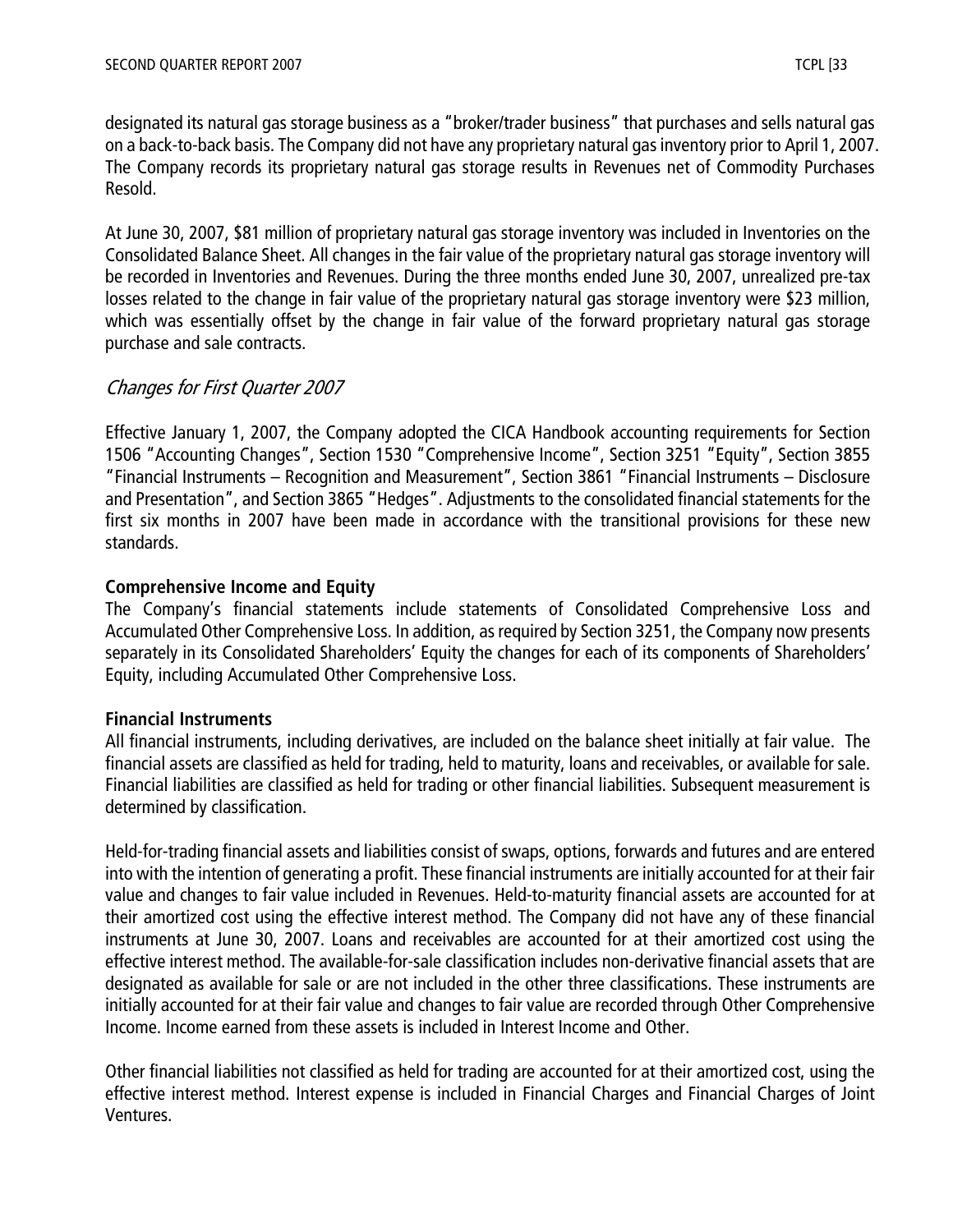designated its natural gas storage business as a "broker/trader business" that purchases and sells natural gas on a back-to-back basis. The Company did not have any proprietary natural gas inventory prior to April 1, 2007. The Company records its proprietary natural gas storage results in Revenues net of Commodity Purchases Resold.

At June 30, 2007, \$81 million of proprietary natural gas storage inventory was included in Inventories on the Consolidated Balance Sheet. All changes in the fair value of the proprietary natural gas storage inventory will be recorded in Inventories and Revenues. During the three months ended June 30, 2007, unrealized pre-tax losses related to the change in fair value of the proprietary natural gas storage inventory were \$23 million, which was essentially offset by the change in fair value of the forward proprietary natural gas storage purchase and sale contracts.

## Changes for First Quarter 2007

Effective January 1, 2007, the Company adopted the CICA Handbook accounting requirements for Section 1506 "Accounting Changes", Section 1530 "Comprehensive Income", Section 3251 "Equity", Section 3855 "Financial Instruments – Recognition and Measurement", Section 3861 "Financial Instruments – Disclosure and Presentation", and Section 3865 "Hedges". Adjustments to the consolidated financial statements for the first six months in 2007 have been made in accordance with the transitional provisions for these new standards.

## **Comprehensive Income and Equity**

The Company's financial statements include statements of Consolidated Comprehensive Loss and Accumulated Other Comprehensive Loss. In addition, as required by Section 3251, the Company now presents separately in its Consolidated Shareholders' Equity the changes for each of its components of Shareholders' Equity, including Accumulated Other Comprehensive Loss.

#### **Financial Instruments**

All financial instruments, including derivatives, are included on the balance sheet initially at fair value. The financial assets are classified as held for trading, held to maturity, loans and receivables, or available for sale. Financial liabilities are classified as held for trading or other financial liabilities. Subsequent measurement is determined by classification.

Held-for-trading financial assets and liabilities consist of swaps, options, forwards and futures and are entered into with the intention of generating a profit. These financial instruments are initially accounted for at their fair value and changes to fair value included in Revenues. Held-to-maturity financial assets are accounted for at their amortized cost using the effective interest method. The Company did not have any of these financial instruments at June 30, 2007. Loans and receivables are accounted for at their amortized cost using the effective interest method. The available-for-sale classification includes non-derivative financial assets that are designated as available for sale or are not included in the other three classifications. These instruments are initially accounted for at their fair value and changes to fair value are recorded through Other Comprehensive Income. Income earned from these assets is included in Interest Income and Other.

Other financial liabilities not classified as held for trading are accounted for at their amortized cost, using the effective interest method. Interest expense is included in Financial Charges and Financial Charges of Joint Ventures.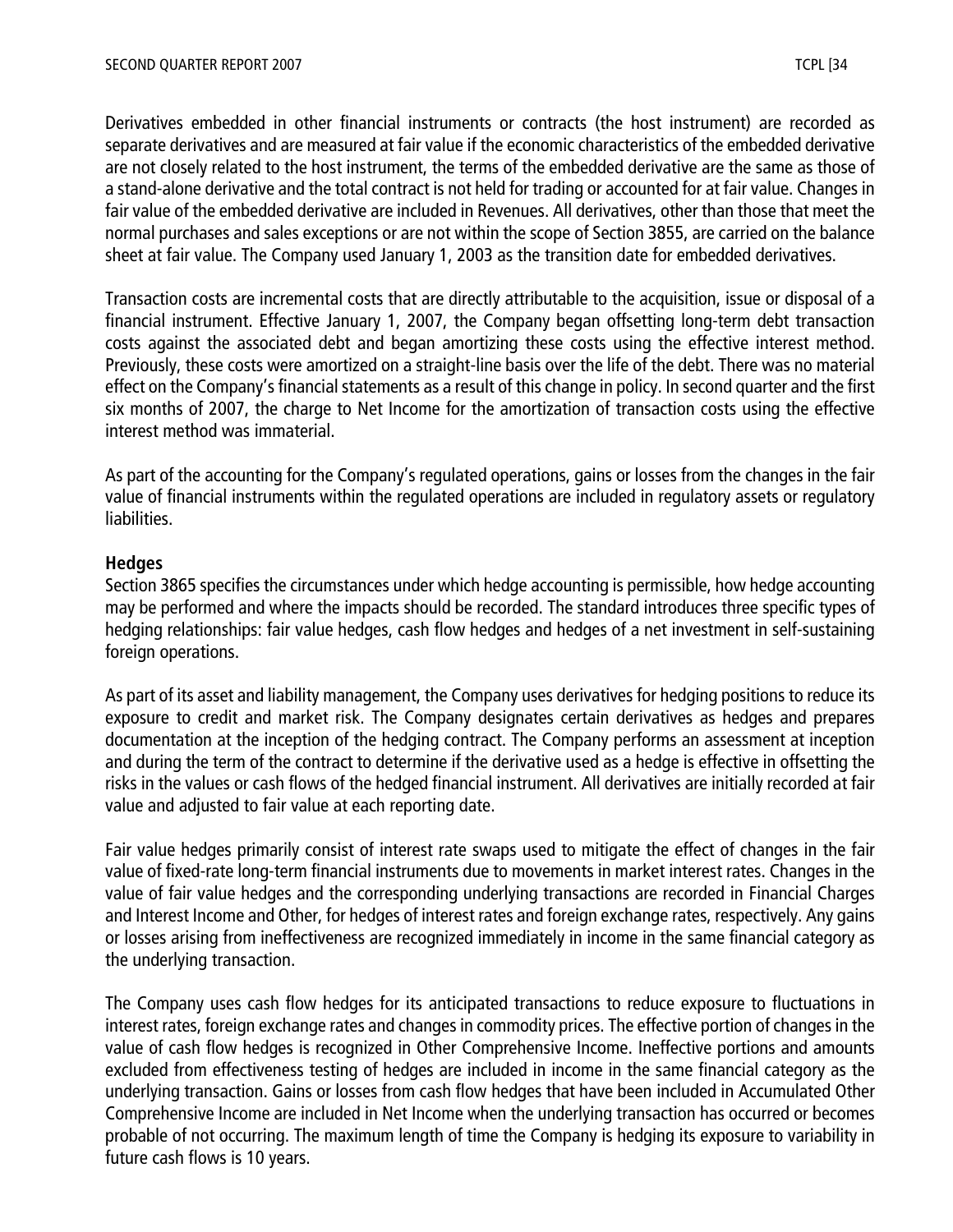Derivatives embedded in other financial instruments or contracts (the host instrument) are recorded as separate derivatives and are measured at fair value if the economic characteristics of the embedded derivative are not closely related to the host instrument, the terms of the embedded derivative are the same as those of a stand-alone derivative and the total contract is not held for trading or accounted for at fair value. Changes in fair value of the embedded derivative are included in Revenues. All derivatives, other than those that meet the normal purchases and sales exceptions or are not within the scope of Section 3855, are carried on the balance sheet at fair value. The Company used January 1, 2003 as the transition date for embedded derivatives.

Transaction costs are incremental costs that are directly attributable to the acquisition, issue or disposal of a financial instrument. Effective January 1, 2007, the Company began offsetting long-term debt transaction costs against the associated debt and began amortizing these costs using the effective interest method. Previously, these costs were amortized on a straight-line basis over the life of the debt. There was no material effect on the Company's financial statements as a result of this change in policy. In second quarter and the first six months of 2007, the charge to Net Income for the amortization of transaction costs using the effective interest method was immaterial.

As part of the accounting for the Company's regulated operations, gains or losses from the changes in the fair value of financial instruments within the regulated operations are included in regulatory assets or regulatory liabilities.

#### **Hedges**

Section 3865 specifies the circumstances under which hedge accounting is permissible, how hedge accounting may be performed and where the impacts should be recorded. The standard introduces three specific types of hedging relationships: fair value hedges, cash flow hedges and hedges of a net investment in self-sustaining foreign operations.

As part of its asset and liability management, the Company uses derivatives for hedging positions to reduce its exposure to credit and market risk. The Company designates certain derivatives as hedges and prepares documentation at the inception of the hedging contract. The Company performs an assessment at inception and during the term of the contract to determine if the derivative used as a hedge is effective in offsetting the risks in the values or cash flows of the hedged financial instrument. All derivatives are initially recorded at fair value and adjusted to fair value at each reporting date.

Fair value hedges primarily consist of interest rate swaps used to mitigate the effect of changes in the fair value of fixed-rate long-term financial instruments due to movements in market interest rates. Changes in the value of fair value hedges and the corresponding underlying transactions are recorded in Financial Charges and Interest Income and Other, for hedges of interest rates and foreign exchange rates, respectively. Any gains or losses arising from ineffectiveness are recognized immediately in income in the same financial category as the underlying transaction.

The Company uses cash flow hedges for its anticipated transactions to reduce exposure to fluctuations in interest rates, foreign exchange rates and changes in commodity prices. The effective portion of changes in the value of cash flow hedges is recognized in Other Comprehensive Income. Ineffective portions and amounts excluded from effectiveness testing of hedges are included in income in the same financial category as the underlying transaction. Gains or losses from cash flow hedges that have been included in Accumulated Other Comprehensive Income are included in Net Income when the underlying transaction has occurred or becomes probable of not occurring. The maximum length of time the Company is hedging its exposure to variability in future cash flows is 10 years.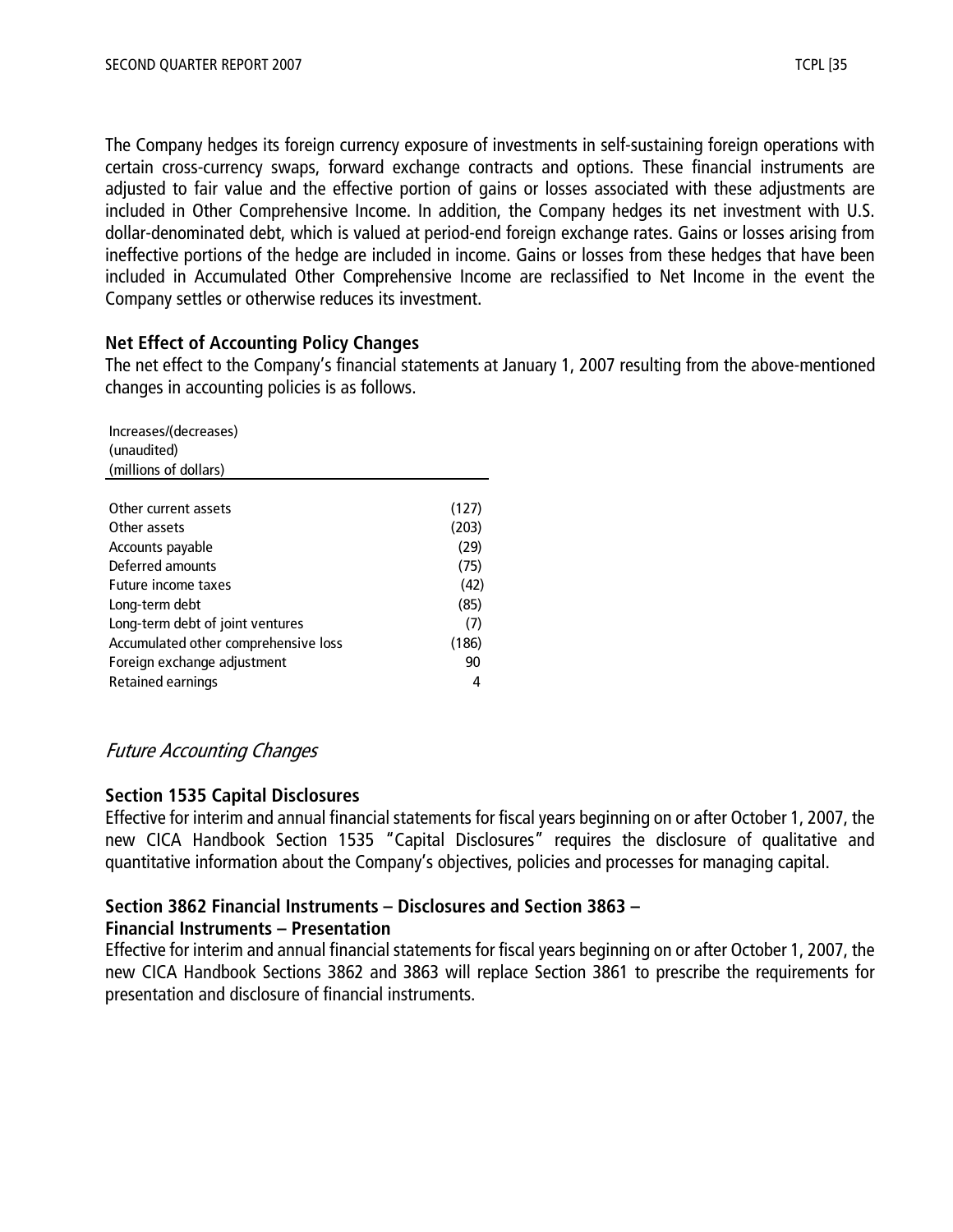The Company hedges its foreign currency exposure of investments in self-sustaining foreign operations with certain cross-currency swaps, forward exchange contracts and options. These financial instruments are adjusted to fair value and the effective portion of gains or losses associated with these adjustments are included in Other Comprehensive Income. In addition, the Company hedges its net investment with U.S. dollar-denominated debt, which is valued at period-end foreign exchange rates. Gains or losses arising from ineffective portions of the hedge are included in income. Gains or losses from these hedges that have been included in Accumulated Other Comprehensive Income are reclassified to Net Income in the event the Company settles or otherwise reduces its investment.

## **Net Effect of Accounting Policy Changes**

The net effect to the Company's financial statements at January 1, 2007 resulting from the above-mentioned changes in accounting policies is as follows.

| Increases/(decreases)<br>(unaudited) |       |
|--------------------------------------|-------|
| (millions of dollars)                |       |
|                                      |       |
| Other current assets                 | (127) |
| Other assets                         | (203) |
| Accounts payable                     | (29)  |
| Deferred amounts                     | (75)  |
| Future income taxes                  | (42)  |
| Long-term debt                       | (85)  |
| Long-term debt of joint ventures     | (7)   |
| Accumulated other comprehensive loss | (186) |
| Foreign exchange adjustment          | 90    |
| Retained earnings                    |       |

## Future Accounting Changes

#### **Section 1535 Capital Disclosures**

Effective for interim and annual financial statements for fiscal years beginning on or after October 1, 2007, the new CICA Handbook Section 1535 "Capital Disclosures" requires the disclosure of qualitative and quantitative information about the Company's objectives, policies and processes for managing capital.

## **Section 3862 Financial Instruments – Disclosures and Section 3863 –**

## **Financial Instruments – Presentation**

Effective for interim and annual financial statements for fiscal years beginning on or after October 1, 2007, the new CICA Handbook Sections 3862 and 3863 will replace Section 3861 to prescribe the requirements for presentation and disclosure of financial instruments.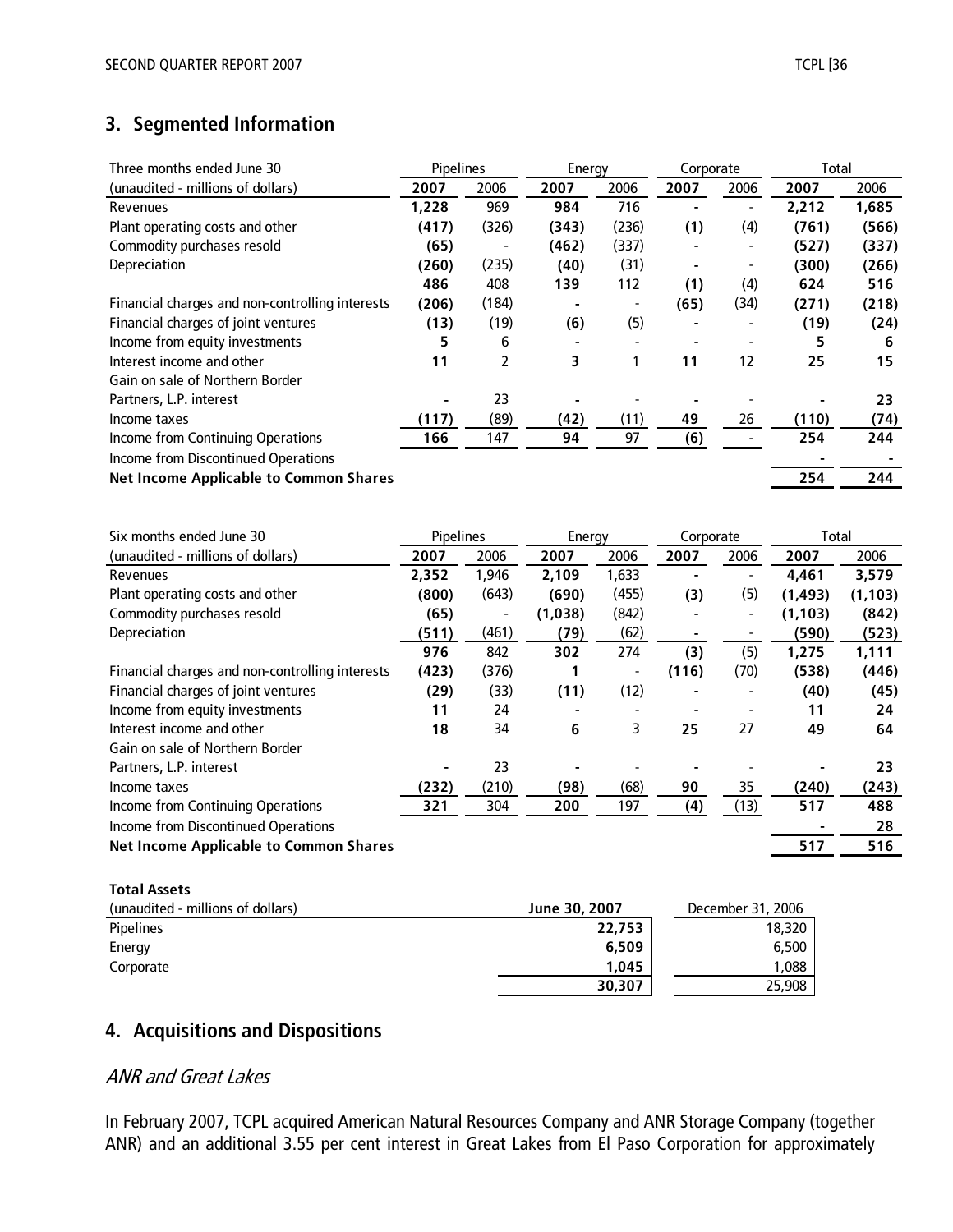# **3. Segmented Information**

| Three months ended June 30                      | <b>Pipelines</b> |       | Energy |       | Corporate |                              | Total |       |
|-------------------------------------------------|------------------|-------|--------|-------|-----------|------------------------------|-------|-------|
| (unaudited - millions of dollars)               | 2007             | 2006  | 2007   | 2006  | 2007      | 2006                         | 2007  | 2006  |
| <b>Revenues</b>                                 | 1.228            | 969   | 984    | 716   |           | $\qquad \qquad \blacksquare$ | 2,212 | 1,685 |
| Plant operating costs and other                 | (417)            | (326) | (343)  | (236) | (1)       | (4)                          | (761) | (566) |
| Commodity purchases resold                      | (65)             | -     | (462)  | (337) |           | ٠                            | (527) | (337) |
| Depreciation                                    | (260)            | (235) | (40)   | (31)  |           |                              | (300) | (266) |
|                                                 | 486              | 408   | 139    | 112   | (1)       | (4)                          | 624   | 516   |
| Financial charges and non-controlling interests | (206)            | (184) |        |       | (65)      | (34)                         | (271) | (218) |
| Financial charges of joint ventures             | (13)             | (19)  | (6)    | (5)   |           |                              | (19)  | (24)  |
| Income from equity investments                  | 5                | 6     |        |       |           |                              | 5     | 6     |
| Interest income and other                       | 11               | 2     | 3      |       | 11        | 12                           | 25    | 15    |
| Gain on sale of Northern Border                 |                  |       |        |       |           |                              |       |       |
| Partners, L.P. interest                         |                  | 23    |        |       |           |                              |       | 23    |
| Income taxes                                    | (117)            | (89)  | (42)   | (11)  | 49        | 26                           | (110) | (74)  |
| Income from Continuing Operations               | 166              | 147   | 94     | 97    | (6)       |                              | 254   | 244   |
| Income from Discontinued Operations             |                  |       |        |       |           |                              |       |       |
| <b>Net Income Applicable to Common Shares</b>   |                  |       |        |       |           |                              | 254   | 244   |

| Six months ended June 30                        | Pipelines |       | Energy  |       | Corporate |                          | Total    |          |
|-------------------------------------------------|-----------|-------|---------|-------|-----------|--------------------------|----------|----------|
| (unaudited - millions of dollars)               | 2007      | 2006  | 2007    | 2006  | 2007      | 2006                     | 2007     | 2006     |
| Revenues                                        | 2.352     | 1,946 | 2,109   | 1,633 |           | $\blacksquare$           | 4,461    | 3,579    |
| Plant operating costs and other                 | (800)     | (643) | (690)   | (455) | (3)       | (5)                      | (1, 493) | (1, 103) |
| Commodity purchases resold                      | (65)      | ٠     | (1,038) | (842) |           | $\overline{\phantom{a}}$ | (1, 103) | (842)    |
| Depreciation                                    | (511)     | (461) | (79)    | (62)  |           |                          | (590)    | (523)    |
|                                                 | 976       | 842   | 302     | 274   | (3)       | (5)                      | 1,275    | 1,111    |
| Financial charges and non-controlling interests | (423)     | (376) |         | ٠     | (116)     | (70)                     | (538)    | (446)    |
| Financial charges of joint ventures             | (29)      | (33)  | (11)    | (12)  |           | $\overline{\phantom{a}}$ | (40)     | (45)     |
| Income from equity investments                  | 11        | 24    |         |       |           |                          | 11       | 24       |
| Interest income and other                       | 18        | 34    | 6       | 3     | 25        | 27                       | 49       | 64       |
| Gain on sale of Northern Border                 |           |       |         |       |           |                          |          |          |
| Partners, L.P. interest                         |           | 23    |         |       |           |                          |          | 23       |
| Income taxes                                    | (232)     | (210) | (98)    | (68)  | 90        | 35                       | (240)    | (243)    |
| Income from Continuing Operations               | 321       | 304   | 200     | 197   | (4)       | (13)                     | 517      | 488      |
| Income from Discontinued Operations             |           |       |         |       |           |                          |          | 28       |
| <b>Net Income Applicable to Common Shares</b>   |           |       |         |       |           |                          | 517      | 516      |
|                                                 |           |       |         |       |           |                          |          |          |

#### **Total Assets**

| (unaudited - millions of dollars) | June 30, 2007 | December 31, 2006 |
|-----------------------------------|---------------|-------------------|
| <b>Pipelines</b>                  | 22,753        | 18,320            |
| Energy                            | 6.509         | 6,500             |
| Corporate                         | 1.045         | 0.088             |
|                                   | 30,307        | 25,908            |

## **4. Acquisitions and Dispositions**

## ANR and Great Lakes

In February 2007, TCPL acquired American Natural Resources Company and ANR Storage Company (together ANR) and an additional 3.55 per cent interest in Great Lakes from El Paso Corporation for approximately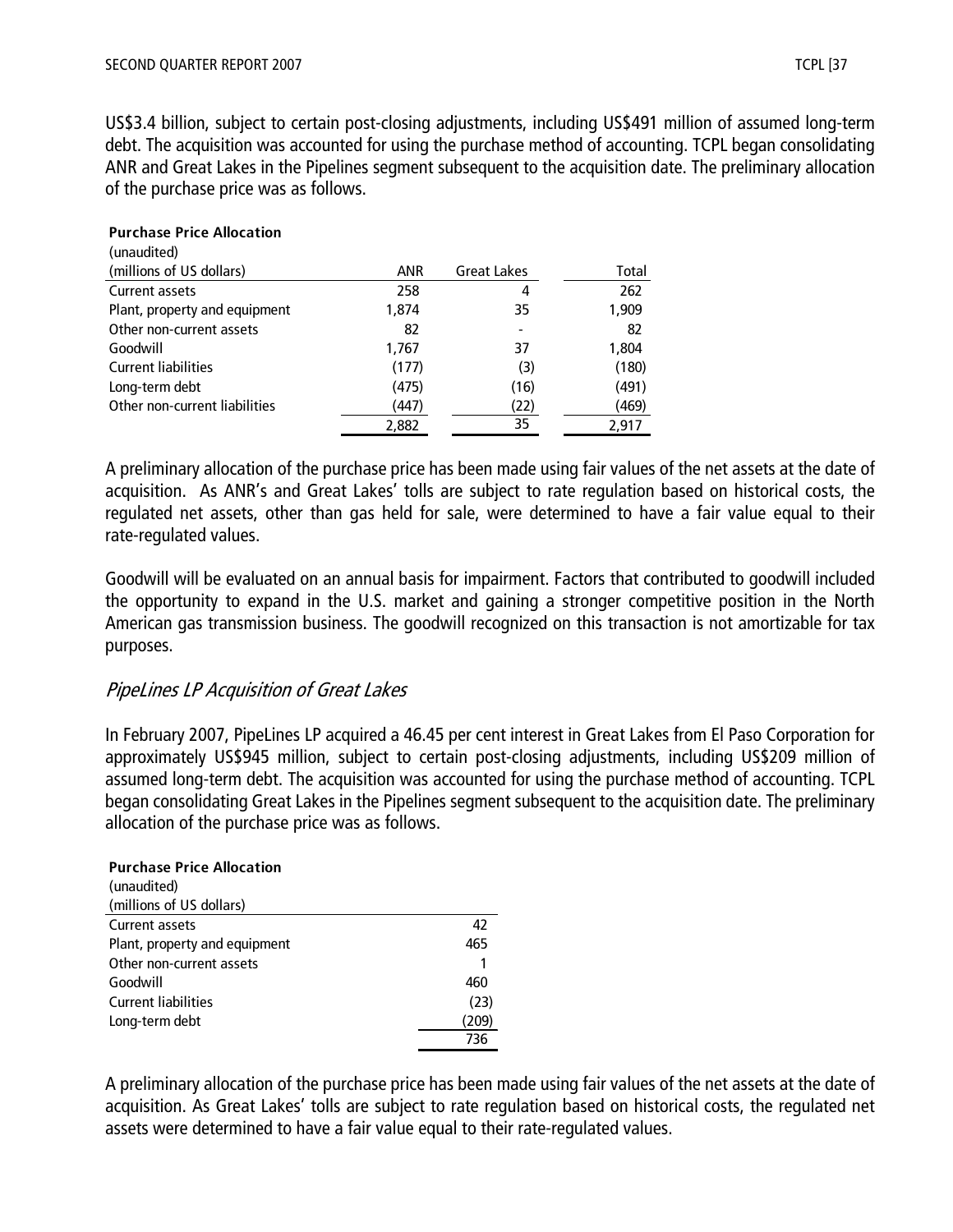US\$3.4 billion, subject to certain post-closing adjustments, including US\$491 million of assumed long-term debt. The acquisition was accounted for using the purchase method of accounting. TCPL began consolidating ANR and Great Lakes in the Pipelines segment subsequent to the acquisition date. The preliminary allocation of the purchase price was as follows.

| <b>Purchase Price Allocation</b><br>(unaudited) |            |                    |       |
|-------------------------------------------------|------------|--------------------|-------|
| (millions of US dollars)                        | <b>ANR</b> | <b>Great Lakes</b> | Total |
| Current assets                                  | 258        | 4                  | 262   |
| Plant, property and equipment                   | 1.874      | 35                 | 1,909 |
| Other non-current assets                        | 82         |                    | 82    |
| Goodwill                                        | 1,767      | 37                 | 1,804 |
| <b>Current liabilities</b>                      | (177)      | (3)                | (180) |
| Long-term debt                                  | (475)      | (16)               | (491) |
| Other non-current liabilities                   | (447)      | (22)               | (469) |
|                                                 | 2,882      | 35                 | 2.917 |

A preliminary allocation of the purchase price has been made using fair values of the net assets at the date of acquisition. As ANR's and Great Lakes' tolls are subject to rate regulation based on historical costs, the regulated net assets, other than gas held for sale, were determined to have a fair value equal to their rate-regulated values.

Goodwill will be evaluated on an annual basis for impairment. Factors that contributed to goodwill included the opportunity to expand in the U.S. market and gaining a stronger competitive position in the North American gas transmission business. The goodwill recognized on this transaction is not amortizable for tax purposes.

## PipeLines LP Acquisition of Great Lakes

In February 2007, PipeLines LP acquired a 46.45 per cent interest in Great Lakes from El Paso Corporation for approximately US\$945 million, subject to certain post-closing adjustments, including US\$209 million of assumed long-term debt. The acquisition was accounted for using the purchase method of accounting. TCPL began consolidating Great Lakes in the Pipelines segment subsequent to the acquisition date. The preliminary allocation of the purchase price was as follows.

| <b>Purchase Price Allocation</b> |       |
|----------------------------------|-------|
| (unaudited)                      |       |
| (millions of US dollars)         |       |
| Current assets                   | 42    |
| Plant, property and equipment    | 465   |
| Other non-current assets         |       |
| Goodwill                         | 460   |
| <b>Current liabilities</b>       | (23)  |
| Long-term debt                   | (209) |
|                                  | 736   |

A preliminary allocation of the purchase price has been made using fair values of the net assets at the date of acquisition. As Great Lakes' tolls are subject to rate regulation based on historical costs, the regulated net assets were determined to have a fair value equal to their rate-regulated values.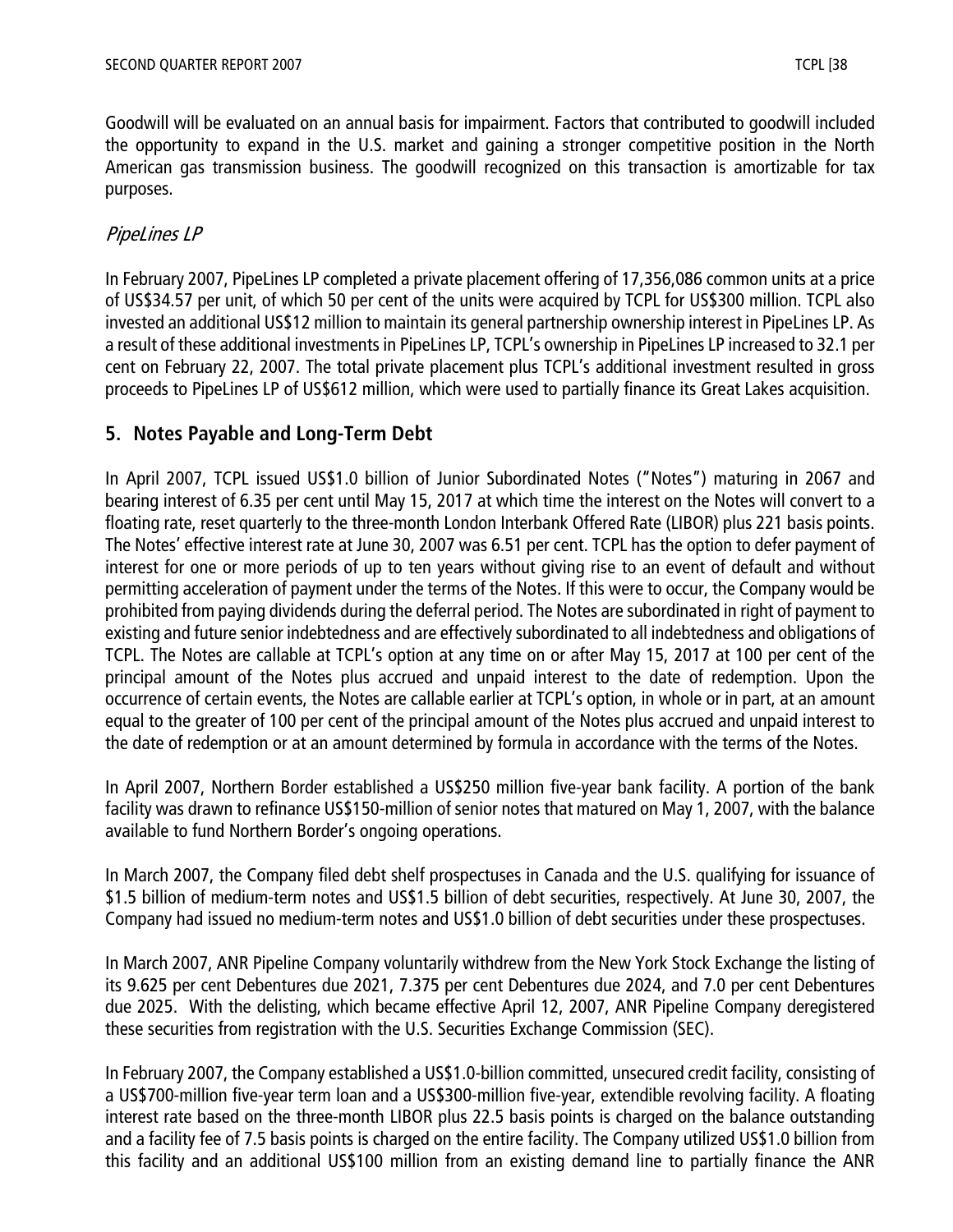Goodwill will be evaluated on an annual basis for impairment. Factors that contributed to goodwill included the opportunity to expand in the U.S. market and gaining a stronger competitive position in the North American gas transmission business. The goodwill recognized on this transaction is amortizable for tax purposes.

## PipeLines LP

In February 2007, PipeLines LP completed a private placement offering of 17,356,086 common units at a price of US\$34.57 per unit, of which 50 per cent of the units were acquired by TCPL for US\$300 million. TCPL also invested an additional US\$12 million to maintain its general partnership ownership interest in PipeLines LP. As a result of these additional investments in PipeLines LP, TCPL's ownership in PipeLines LP increased to 32.1 per cent on February 22, 2007. The total private placement plus TCPL's additional investment resulted in gross proceeds to PipeLines LP of US\$612 million, which were used to partially finance its Great Lakes acquisition.

## **5. Notes Payable and Long-Term Debt**

In April 2007, TCPL issued US\$1.0 billion of Junior Subordinated Notes ("Notes") maturing in 2067 and bearing interest of 6.35 per cent until May 15, 2017 at which time the interest on the Notes will convert to a floating rate, reset quarterly to the three-month London Interbank Offered Rate (LIBOR) plus 221 basis points. The Notes' effective interest rate at June 30, 2007 was 6.51 per cent. TCPL has the option to defer payment of interest for one or more periods of up to ten years without giving rise to an event of default and without permitting acceleration of payment under the terms of the Notes. If this were to occur, the Company would be prohibited from paying dividends during the deferral period. The Notes are subordinated in right of payment to existing and future senior indebtedness and are effectively subordinated to all indebtedness and obligations of TCPL. The Notes are callable at TCPL's option at any time on or after May 15, 2017 at 100 per cent of the principal amount of the Notes plus accrued and unpaid interest to the date of redemption. Upon the occurrence of certain events, the Notes are callable earlier at TCPL's option, in whole or in part, at an amount equal to the greater of 100 per cent of the principal amount of the Notes plus accrued and unpaid interest to the date of redemption or at an amount determined by formula in accordance with the terms of the Notes.

In April 2007, Northern Border established a US\$250 million five-year bank facility. A portion of the bank facility was drawn to refinance US\$150-million of senior notes that matured on May 1, 2007, with the balance available to fund Northern Border's ongoing operations.

In March 2007, the Company filed debt shelf prospectuses in Canada and the U.S. qualifying for issuance of \$1.5 billion of medium-term notes and US\$1.5 billion of debt securities, respectively. At June 30, 2007, the Company had issued no medium-term notes and US\$1.0 billion of debt securities under these prospectuses.

In March 2007, ANR Pipeline Company voluntarily withdrew from the New York Stock Exchange the listing of its 9.625 per cent Debentures due 2021, 7.375 per cent Debentures due 2024, and 7.0 per cent Debentures due 2025. With the delisting, which became effective April 12, 2007, ANR Pipeline Company deregistered these securities from registration with the U.S. Securities Exchange Commission (SEC).

In February 2007, the Company established a US\$1.0-billion committed, unsecured credit facility, consisting of a US\$700-million five-year term loan and a US\$300-million five-year, extendible revolving facility. A floating interest rate based on the three-month LIBOR plus 22.5 basis points is charged on the balance outstanding and a facility fee of 7.5 basis points is charged on the entire facility. The Company utilized US\$1.0 billion from this facility and an additional US\$100 million from an existing demand line to partially finance the ANR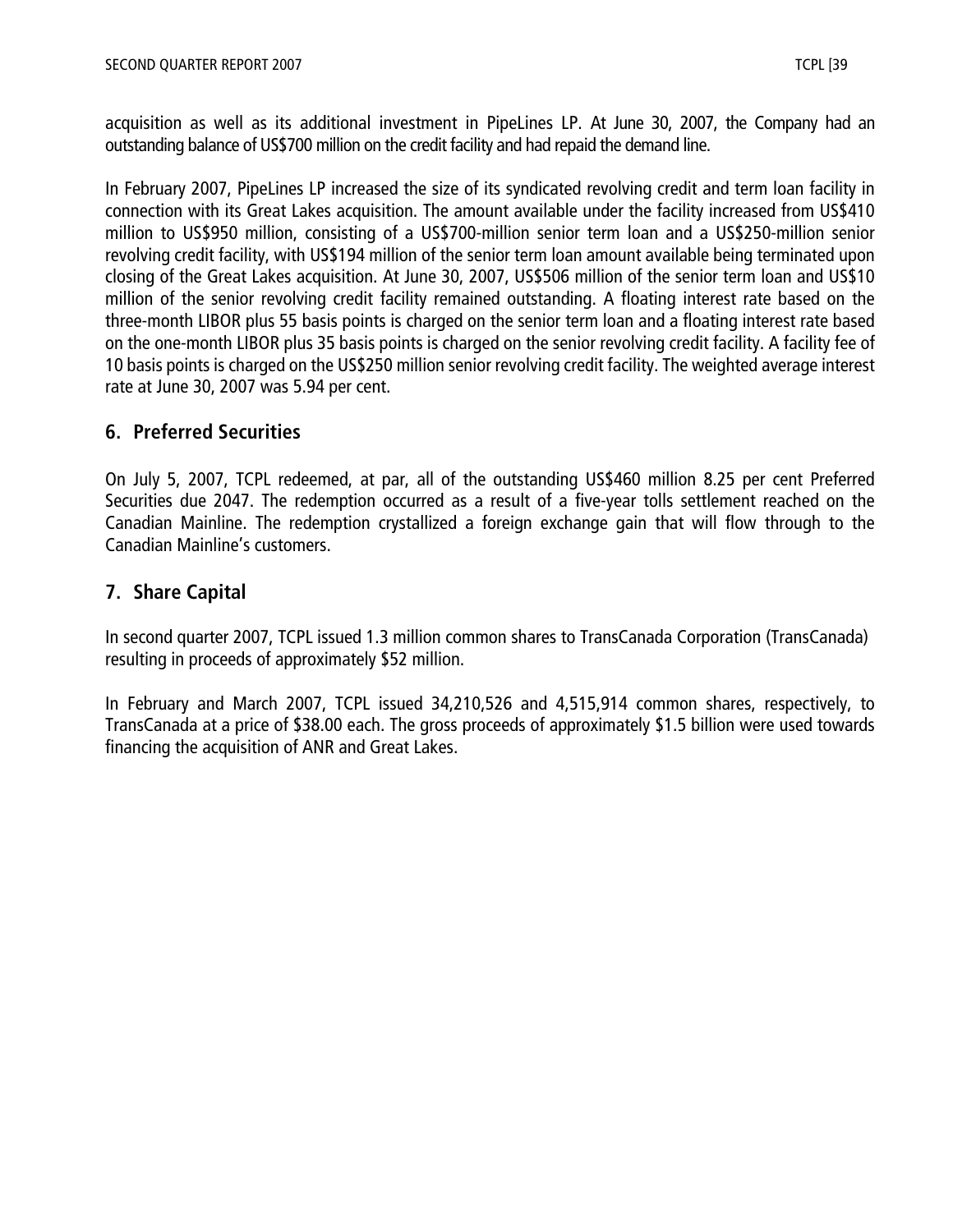acquisition as well as its additional investment in PipeLines LP. At June 30, 2007, the Company had an outstanding balance of US\$700 million on the credit facility and had repaid the demand line.

In February 2007, PipeLines LP increased the size of its syndicated revolving credit and term loan facility in connection with its Great Lakes acquisition. The amount available under the facility increased from US\$410 million to US\$950 million, consisting of a US\$700-million senior term loan and a US\$250-million senior revolving credit facility, with US\$194 million of the senior term loan amount available being terminated upon closing of the Great Lakes acquisition. At June 30, 2007, US\$506 million of the senior term loan and US\$10 million of the senior revolving credit facility remained outstanding. A floating interest rate based on the three-month LIBOR plus 55 basis points is charged on the senior term loan and a floating interest rate based on the one-month LIBOR plus 35 basis points is charged on the senior revolving credit facility. A facility fee of 10 basis points is charged on the US\$250 million senior revolving credit facility. The weighted average interest rate at June 30, 2007 was 5.94 per cent.

## **6. Preferred Securities**

On July 5, 2007, TCPL redeemed, at par, all of the outstanding US\$460 million 8.25 per cent Preferred Securities due 2047. The redemption occurred as a result of a five-year tolls settlement reached on the Canadian Mainline. The redemption crystallized a foreign exchange gain that will flow through to the Canadian Mainline's customers.

## **7. Share Capital**

In second quarter 2007, TCPL issued 1.3 million common shares to TransCanada Corporation (TransCanada) resulting in proceeds of approximately \$52 million.

In February and March 2007, TCPL issued 34,210,526 and 4,515,914 common shares, respectively, to TransCanada at a price of \$38.00 each. The gross proceeds of approximately \$1.5 billion were used towards financing the acquisition of ANR and Great Lakes.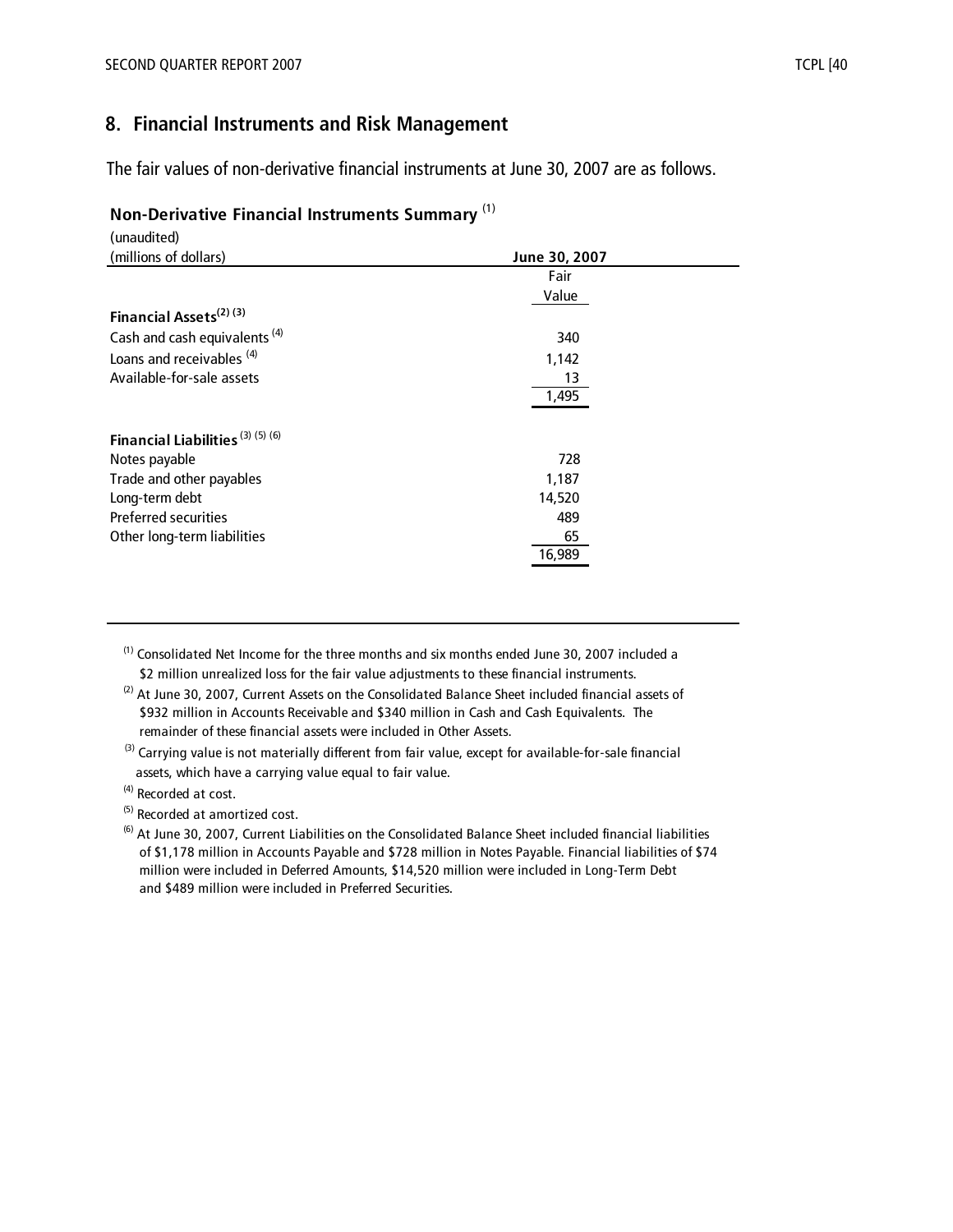## **8. Financial Instruments and Risk Management**

The fair values of non-derivative financial instruments at June 30, 2007 are as follows.

#### **Non-Derivative Financial Instruments Summary** (1)

| (unaudited)                              |               |  |
|------------------------------------------|---------------|--|
| (millions of dollars)                    | June 30, 2007 |  |
|                                          | Fair          |  |
|                                          | Value         |  |
| Financial Assets <sup>(2)(3)</sup>       |               |  |
| Cash and cash equivalents <sup>(4)</sup> | 340           |  |
| Loans and receivables (4)                | 1,142         |  |
| Available-for-sale assets                | 13            |  |
|                                          | 1,495         |  |
|                                          |               |  |
| Financial Liabilities (3) (5) (6)        |               |  |
| Notes payable                            | 728           |  |
| Trade and other payables                 | 1,187         |  |
| Long-term debt                           | 14,520        |  |
| <b>Preferred securities</b>              | 489           |  |
| Other long-term liabilities              | 65            |  |
|                                          | 16,989        |  |
|                                          |               |  |

 $<sup>(1)</sup>$  Consolidated Net Income for the three months and six months ended June 30, 2007 included a</sup> \$2 million unrealized loss for the fair value adjustments to these financial instruments.

 $(2)$  At June 30, 2007, Current Assets on the Consolidated Balance Sheet included financial assets of \$932 million in Accounts Receivable and \$340 million in Cash and Cash Equivalents. The remainder of these financial assets were included in Other Assets.

<sup>(3)</sup> Carrying value is not materially different from fair value, except for available-for-sale financial assets, which have a carrying value equal to fair value.

(4) Recorded at cost.

(5) Recorded at amortized cost.

 $<sup>(6)</sup>$  At June 30, 2007, Current Liabilities on the Consolidated Balance Sheet included financial liabilities</sup> of \$1,178 million in Accounts Payable and \$728 million in Notes Payable. Financial liabilities of \$74 million were included in Deferred Amounts, \$14,520 million were included in Long-Term Debt and \$489 million were included in Preferred Securities.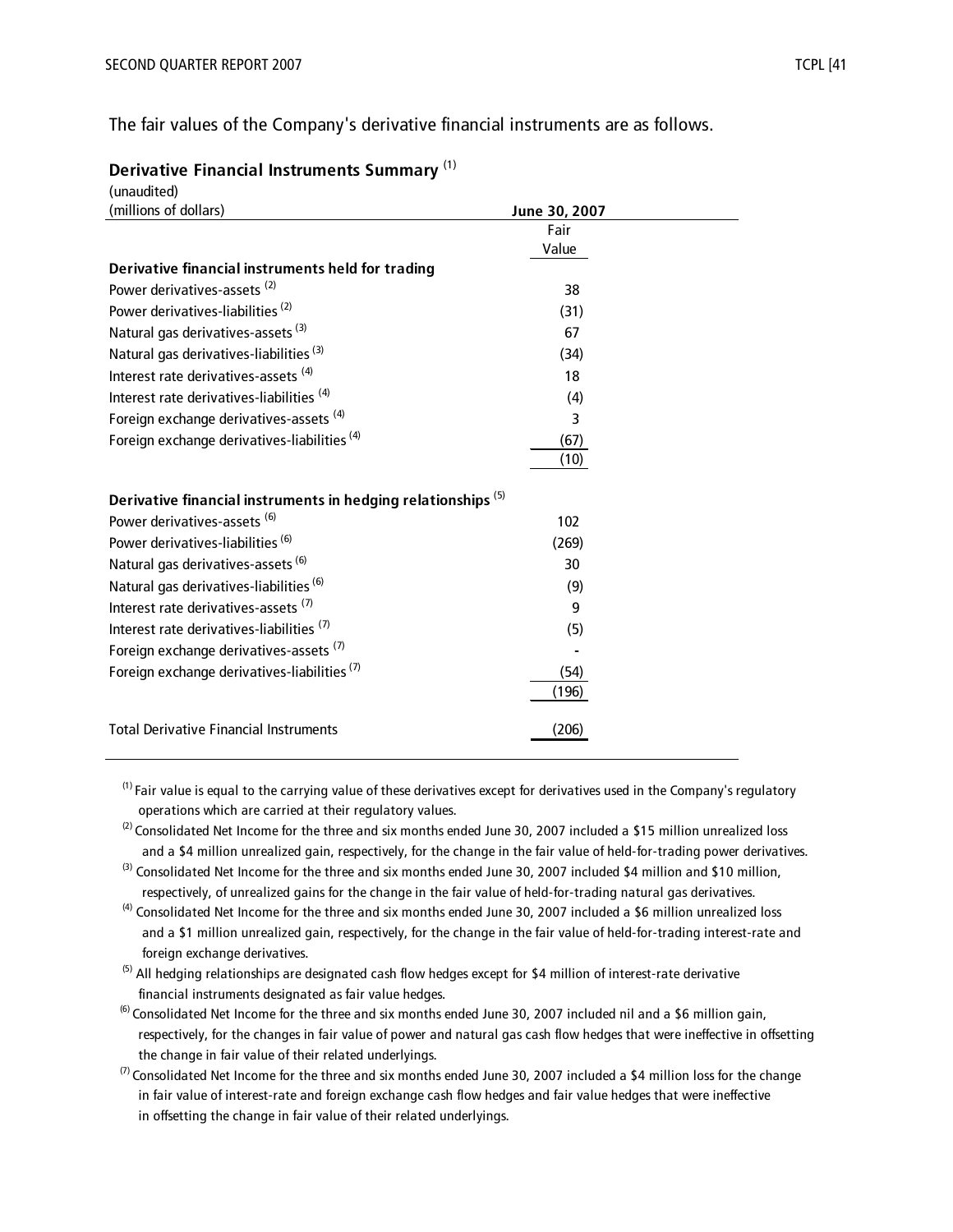The fair values of the Company's derivative financial instruments are as follows.

| Derivative Financial Instruments Summary <sup>(1)</sup> |  |  |  |
|---------------------------------------------------------|--|--|--|
|---------------------------------------------------------|--|--|--|

| (unaudited)                                                              |               |  |
|--------------------------------------------------------------------------|---------------|--|
| (millions of dollars)                                                    | June 30, 2007 |  |
|                                                                          | Fair          |  |
|                                                                          | Value         |  |
| Derivative financial instruments held for trading                        |               |  |
| Power derivatives-assets <sup>(2)</sup>                                  | 38            |  |
| Power derivatives-liabilities <sup>(2)</sup>                             | (31)          |  |
| Natural gas derivatives-assets <sup>(3)</sup>                            | 67            |  |
| Natural gas derivatives-liabilities <sup>(3)</sup>                       | (34)          |  |
| Interest rate derivatives-assets <sup>(4)</sup>                          | 18            |  |
| Interest rate derivatives-liabilities <sup>(4)</sup>                     | (4)           |  |
| Foreign exchange derivatives-assets <sup>(4)</sup>                       | 3             |  |
| Foreign exchange derivatives-liabilities <sup>(4)</sup>                  | (67)          |  |
|                                                                          | (10)          |  |
| Derivative financial instruments in hedging relationships <sup>(5)</sup> |               |  |
| Power derivatives-assets <sup>(6)</sup>                                  | 102           |  |
| Power derivatives-liabilities <sup>(6)</sup>                             | (269)         |  |
| Natural gas derivatives-assets <sup>(6)</sup>                            | 30            |  |
| Natural gas derivatives-liabilities (6)                                  | (9)           |  |
| Interest rate derivatives-assets <sup>(7)</sup>                          | 9             |  |
| Interest rate derivatives-liabilities <sup>(7)</sup>                     | (5)           |  |
| Foreign exchange derivatives-assets <sup>(7)</sup>                       |               |  |
| Foreign exchange derivatives-liabilities <sup>(7)</sup>                  | (54)          |  |
|                                                                          | (196)         |  |
| <b>Total Derivative Financial Instruments</b>                            | (206)         |  |
|                                                                          |               |  |

 $<sup>(1)</sup>$  Fair value is equal to the carrying value of these derivatives except for derivatives used in the Company's regulatory</sup> operations which are carried at their regulatory values.

- $(2)$  Consolidated Net Income for the three and six months ended June 30, 2007 included a \$15 million unrealized loss and a \$4 million unrealized gain, respectively, for the change in the fair value of held-for-trading power derivatives.
- $(3)$  Consolidated Net Income for the three and six months ended June 30, 2007 included \$4 million and \$10 million, respectively, of unrealized gains for the change in the fair value of held-for-trading natural gas derivatives.
- $(4)$  Consolidated Net Income for the three and six months ended June 30, 2007 included a \$6 million unrealized loss and a \$1 million unrealized gain, respectively, for the change in the fair value of held-for-trading interest-rate and foreign exchange derivatives.
- $(5)$  All hedging relationships are designated cash flow hedges except for \$4 million of interest-rate derivative financial instruments designated as fair value hedges.
- $^{(6)}$  Consolidated Net Income for the three and six months ended June 30, 2007 included nil and a \$6 million gain, respectively, for the changes in fair value of power and natural gas cash flow hedges that were ineffective in offsetting the change in fair value of their related underlyings.
- $(7)$  Consolidated Net Income for the three and six months ended June 30, 2007 included a \$4 million loss for the change in fair value of interest-rate and foreign exchange cash flow hedges and fair value hedges that were ineffective in offsetting the change in fair value of their related underlyings.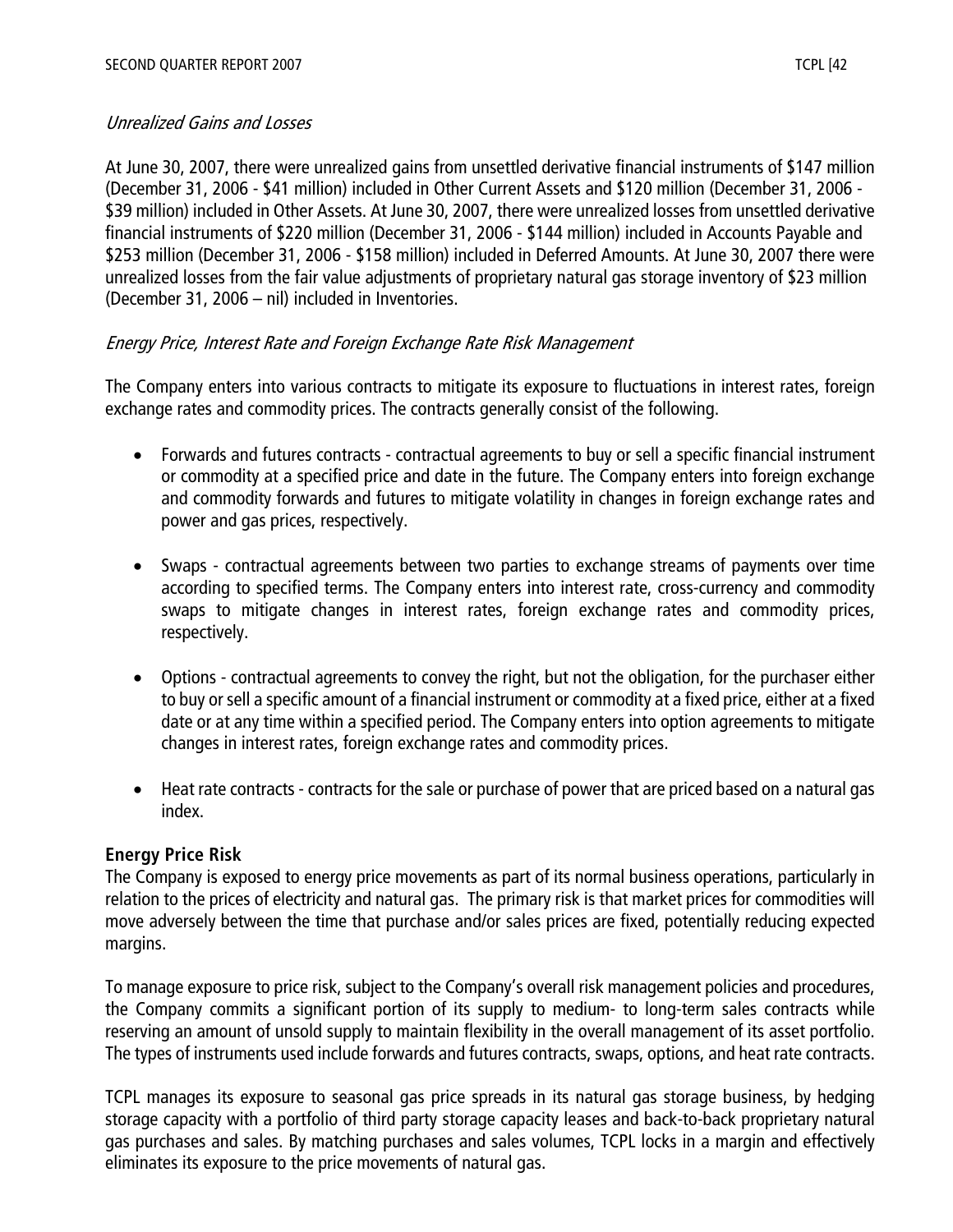## Unrealized Gains and Losses

At June 30, 2007, there were unrealized gains from unsettled derivative financial instruments of \$147 million (December 31, 2006 - \$41 million) included in Other Current Assets and \$120 million (December 31, 2006 - \$39 million) included in Other Assets. At June 30, 2007, there were unrealized losses from unsettled derivative financial instruments of \$220 million (December 31, 2006 - \$144 million) included in Accounts Payable and \$253 million (December 31, 2006 - \$158 million) included in Deferred Amounts. At June 30, 2007 there were unrealized losses from the fair value adjustments of proprietary natural gas storage inventory of \$23 million (December 31, 2006 – nil) included in Inventories.

## Energy Price, Interest Rate and Foreign Exchange Rate Risk Management

The Company enters into various contracts to mitigate its exposure to fluctuations in interest rates, foreign exchange rates and commodity prices. The contracts generally consist of the following.

- Forwards and futures contracts contractual agreements to buy or sell a specific financial instrument or commodity at a specified price and date in the future. The Company enters into foreign exchange and commodity forwards and futures to mitigate volatility in changes in foreign exchange rates and power and gas prices, respectively.
- Swaps contractual agreements between two parties to exchange streams of payments over time according to specified terms. The Company enters into interest rate, cross-currency and commodity swaps to mitigate changes in interest rates, foreign exchange rates and commodity prices, respectively.
- Options contractual agreements to convey the right, but not the obligation, for the purchaser either to buy or sell a specific amount of a financial instrument or commodity at a fixed price, either at a fixed date or at any time within a specified period. The Company enters into option agreements to mitigate changes in interest rates, foreign exchange rates and commodity prices.
- Heat rate contracts contracts for the sale or purchase of power that are priced based on a natural gas index.

#### **Energy Price Risk**

The Company is exposed to energy price movements as part of its normal business operations, particularly in relation to the prices of electricity and natural gas. The primary risk is that market prices for commodities will move adversely between the time that purchase and/or sales prices are fixed, potentially reducing expected margins.

To manage exposure to price risk, subject to the Company's overall risk management policies and procedures, the Company commits a significant portion of its supply to medium- to long-term sales contracts while reserving an amount of unsold supply to maintain flexibility in the overall management of its asset portfolio. The types of instruments used include forwards and futures contracts, swaps, options, and heat rate contracts.

TCPL manages its exposure to seasonal gas price spreads in its natural gas storage business, by hedging storage capacity with a portfolio of third party storage capacity leases and back-to-back proprietary natural gas purchases and sales. By matching purchases and sales volumes, TCPL locks in a margin and effectively eliminates its exposure to the price movements of natural gas.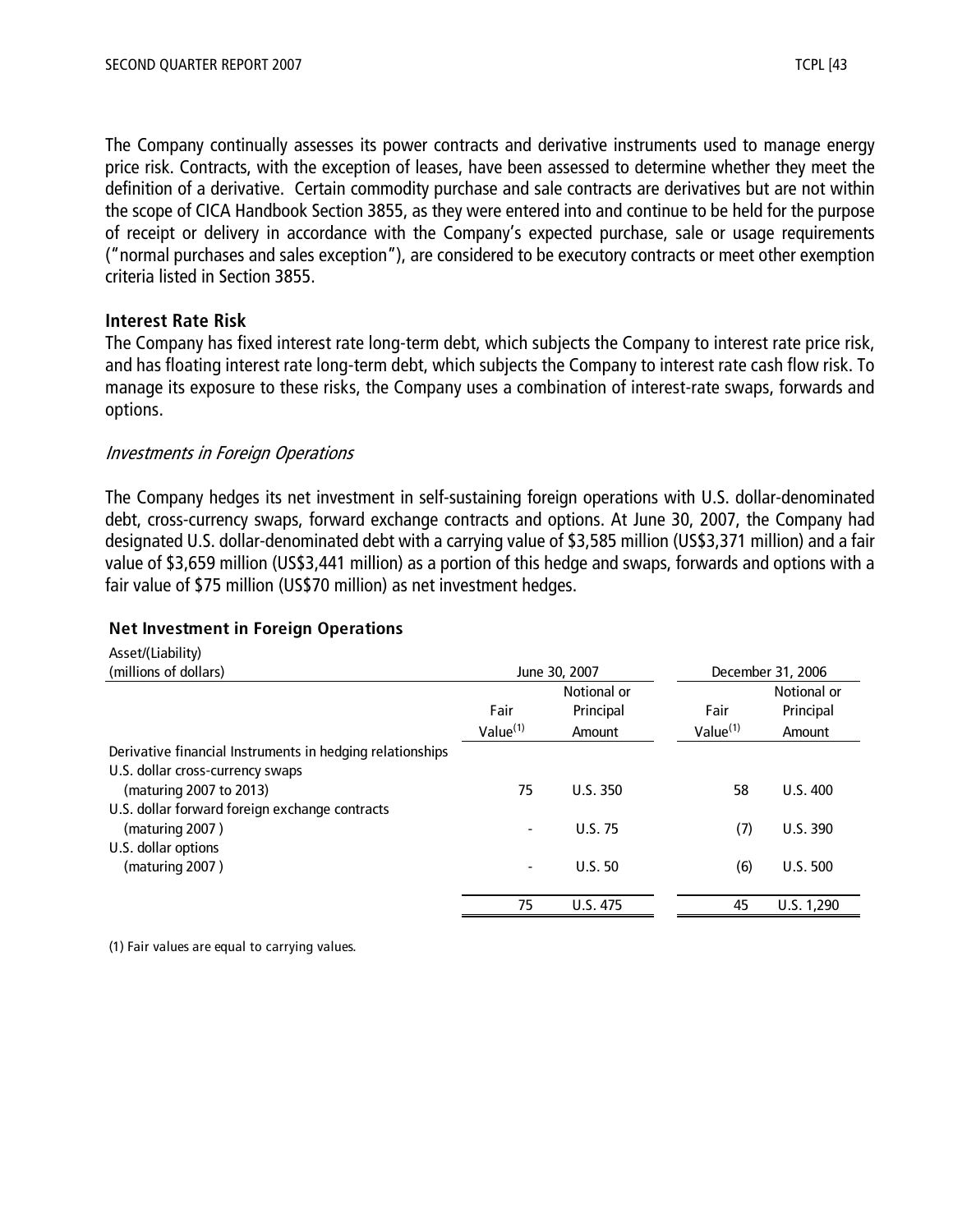The Company continually assesses its power contracts and derivative instruments used to manage energy price risk. Contracts, with the exception of leases, have been assessed to determine whether they meet the definition of a derivative. Certain commodity purchase and sale contracts are derivatives but are not within the scope of CICA Handbook Section 3855, as they were entered into and continue to be held for the purpose of receipt or delivery in accordance with the Company's expected purchase, sale or usage requirements ("normal purchases and sales exception"), are considered to be executory contracts or meet other exemption criteria listed in Section 3855.

#### **Interest Rate Risk**

The Company has fixed interest rate long-term debt, which subjects the Company to interest rate price risk, and has floating interest rate long-term debt, which subjects the Company to interest rate cash flow risk. To manage its exposure to these risks, the Company uses a combination of interest-rate swaps, forwards and options.

## Investments in Foreign Operations

The Company hedges its net investment in self-sustaining foreign operations with U.S. dollar-denominated debt, cross-currency swaps, forward exchange contracts and options. At June 30, 2007, the Company had designated U.S. dollar-denominated debt with a carrying value of \$3,585 million (US\$3,371 million) and a fair value of \$3,659 million (US\$3,441 million) as a portion of this hedge and swaps, forwards and options with a fair value of \$75 million (US\$70 million) as net investment hedges.

#### **Net Investment in Foreign Operations**

| Asset/(Liability)                                         |                      |             |                      |                   |  |
|-----------------------------------------------------------|----------------------|-------------|----------------------|-------------------|--|
| (millions of dollars)                                     | June 30, 2007        |             |                      | December 31, 2006 |  |
|                                                           |                      | Notional or |                      | Notional or       |  |
|                                                           | Fair                 | Principal   | Fair                 | Principal         |  |
|                                                           | Value <sup>(1)</sup> | Amount      | Value <sup>(1)</sup> | Amount            |  |
| Derivative financial Instruments in hedging relationships |                      |             |                      |                   |  |
| U.S. dollar cross-currency swaps                          |                      |             |                      |                   |  |
| (maturing 2007 to 2013)                                   | 75                   | U.S.350     | 58                   | U.S.400           |  |
| U.S. dollar forward foreign exchange contracts            |                      |             |                      |                   |  |
| (maturing 2007)                                           |                      | U.S.75      | (7)                  | U.S. 390          |  |
| U.S. dollar options                                       |                      |             |                      |                   |  |
| (maturing 2007)                                           |                      | U.S.50      | (6)                  | U.S. 500          |  |
|                                                           | 75                   | U.S. 475    | 45                   | U.S. 1,290        |  |

(1) Fair values are equal to carrying values.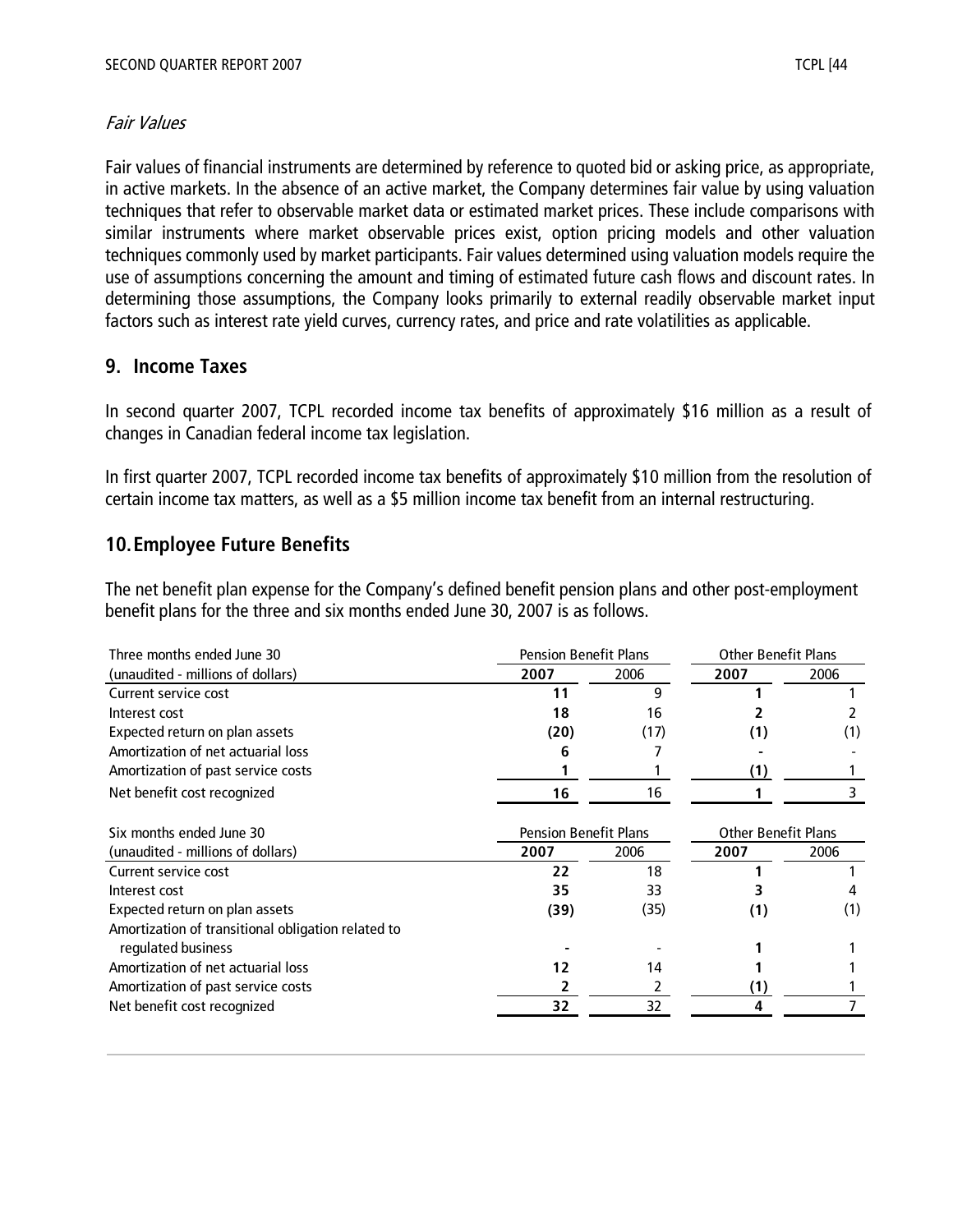## Fair Values

Fair values of financial instruments are determined by reference to quoted bid or asking price, as appropriate, in active markets. In the absence of an active market, the Company determines fair value by using valuation techniques that refer to observable market data or estimated market prices. These include comparisons with similar instruments where market observable prices exist, option pricing models and other valuation techniques commonly used by market participants. Fair values determined using valuation models require the use of assumptions concerning the amount and timing of estimated future cash flows and discount rates. In determining those assumptions, the Company looks primarily to external readily observable market input factors such as interest rate yield curves, currency rates, and price and rate volatilities as applicable.

## **9. Income Taxes**

In second quarter 2007, TCPL recorded income tax benefits of approximately \$16 million as a result of changes in Canadian federal income tax legislation.

In first quarter 2007, TCPL recorded income tax benefits of approximately \$10 million from the resolution of certain income tax matters, as well as a \$5 million income tax benefit from an internal restructuring.

## **10.Employee Future Benefits**

The net benefit plan expense for the Company's defined benefit pension plans and other post-employment benefit plans for the three and six months ended June 30, 2007 is as follows.

| Three months ended June 30                         | <b>Pension Benefit Plans</b> |      | <b>Other Benefit Plans</b> |      |
|----------------------------------------------------|------------------------------|------|----------------------------|------|
| (unaudited - millions of dollars)                  | 2007                         | 2006 | 2007                       | 2006 |
| Current service cost                               | 11                           | 9    |                            |      |
| Interest cost                                      | 18                           | 16   |                            |      |
| Expected return on plan assets                     | (20)                         | (17) | (1)                        | (1)  |
| Amortization of net actuarial loss                 | 6                            |      |                            |      |
| Amortization of past service costs                 |                              |      | (1)                        |      |
| Net benefit cost recognized                        | 16                           | 16   |                            |      |
|                                                    |                              |      |                            |      |
| Six months ended June 30                           | <b>Pension Benefit Plans</b> |      | <b>Other Benefit Plans</b> |      |
| (unaudited - millions of dollars)                  | 2007                         | 2006 | 2007                       | 2006 |
| Current service cost                               | 22                           | 18   |                            |      |
| Interest cost                                      | 35                           | 33   |                            |      |
| Expected return on plan assets                     | (39)                         | (35) | (1)                        | (1)  |
| Amortization of transitional obligation related to |                              |      |                            |      |
| regulated business                                 |                              |      |                            |      |
| Amortization of net actuarial loss                 | 12                           | 14   |                            |      |
| Amortization of past service costs                 |                              | 2    | (1)                        |      |
| Net benefit cost recognized                        | 32                           | 32   | 4                          |      |